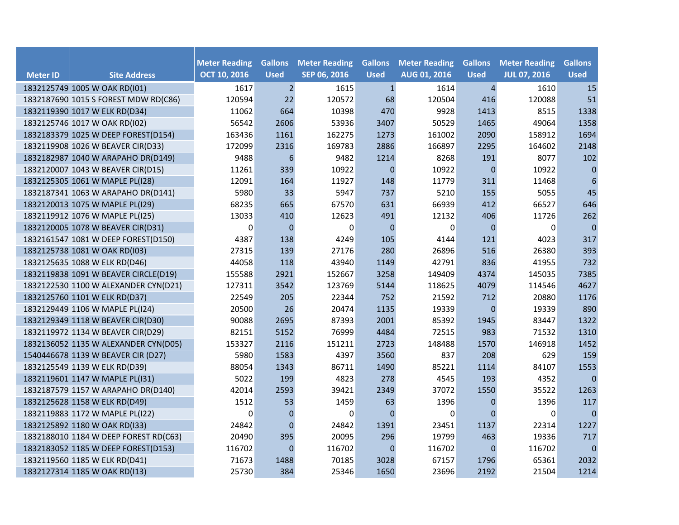|                 |                                       | <b>Meter Reading</b> | <b>Gallons</b> | <b>Meter Reading</b> | <b>Gallons</b> | <b>Meter Reading</b> | <b>Gallons</b> | <b>Meter Reading</b> | <b>Gallons</b>   |
|-----------------|---------------------------------------|----------------------|----------------|----------------------|----------------|----------------------|----------------|----------------------|------------------|
| <b>Meter ID</b> | <b>Site Address</b>                   | <b>OCT 10, 2016</b>  | <b>Used</b>    | SEP 06, 2016         | <b>Used</b>    | <b>AUG 01, 2016</b>  | <b>Used</b>    | <b>JUL 07, 2016</b>  | <b>Used</b>      |
|                 | 1832125749 1005 W OAK RD(I01)         | 1617                 | $\overline{2}$ | 1615                 | $\mathbf{1}$   | 1614                 | $\overline{4}$ | 1610                 | 15               |
|                 | 1832187690 1015 S FOREST MDW RD(C86)  | 120594               | 22             | 120572               | 68             | 120504               | 416            | 120088               | 51               |
|                 | 1832119390 1017 W ELK RD(D34)         | 11062                | 664            | 10398                | 470            | 9928                 | 1413           | 8515                 | 1338             |
|                 | 1832125746 1017 W OAK RD(I02)         | 56542                | 2606           | 53936                | 3407           | 50529                | 1465           | 49064                | 1358             |
|                 | 1832183379 1025 W DEEP FOREST(D154)   | 163436               | 1161           | 162275               | 1273           | 161002               | 2090           | 158912               | 1694             |
|                 | 1832119908 1026 W BEAVER CIR(D33)     | 172099               | 2316           | 169783               | 2886           | 166897               | 2295           | 164602               | 2148             |
|                 | 1832182987 1040 W ARAPAHO DR(D149)    | 9488                 | 6              | 9482                 | 1214           | 8268                 | 191            | 8077                 | 102              |
|                 | 1832120007 1043 W BEAVER CIR(D15)     | 11261                | 339            | 10922                | $\mathbf 0$    | 10922                | $\pmb{0}$      | 10922                | $\pmb{0}$        |
|                 | 1832125305 1061 W MAPLE PL(I28)       | 12091                | 164            | 11927                | 148            | 11779                | 311            | 11468                | $\boldsymbol{6}$ |
|                 | 1832187341 1063 W ARAPAHO DR(D141)    | 5980                 | 33             | 5947                 | 737            | 5210                 | 155            | 5055                 | 45               |
|                 | 1832120013 1075 W MAPLE PL(I29)       | 68235                | 665            | 67570                | 631            | 66939                | 412            | 66527                | 646              |
|                 | 1832119912 1076 W MAPLE PL(I25)       | 13033                | 410            | 12623                | 491            | 12132                | 406            | 11726                | 262              |
|                 | 1832120005 1078 W BEAVER CIR(D31)     | 0                    | $\mathbf{0}$   | $\Omega$             | $\mathbf{0}$   | $\mathbf 0$          | $\mathbf 0$    | $\mathbf 0$          | $\pmb{0}$        |
|                 | 1832161547 1081 W DEEP FOREST(D150)   | 4387                 | 138            | 4249                 | 105            | 4144                 | 121            | 4023                 | 317              |
|                 | 1832125738 1081 W OAK RD(I03)         | 27315                | 139            | 27176                | 280            | 26896                | 516            | 26380                | 393              |
|                 | 1832125635 1088 W ELK RD(D46)         | 44058                | 118            | 43940                | 1149           | 42791                | 836            | 41955                | 732              |
|                 | 1832119838 1091 W BEAVER CIRCLE(D19)  | 155588               | 2921           | 152667               | 3258           | 149409               | 4374           | 145035               | 7385             |
|                 | 1832122530 1100 W ALEXANDER CYN(D21)  | 127311               | 3542           | 123769               | 5144           | 118625               | 4079           | 114546               | 4627             |
|                 | 1832125760 1101 W ELK RD(D37)         | 22549                | 205            | 22344                | 752            | 21592                | 712            | 20880                | 1176             |
|                 | 1832129449 1106 W MAPLE PL(I24)       | 20500                | 26             | 20474                | 1135           | 19339                | $\overline{0}$ | 19339                | 890              |
|                 | 1832129349 1118 W BEAVER CIR(D30)     | 90088                | 2695           | 87393                | 2001           | 85392                | 1945           | 83447                | 1322             |
|                 | 1832119972 1134 W BEAVER CIR(D29)     | 82151                | 5152           | 76999                | 4484           | 72515                | 983            | 71532                | 1310             |
|                 | 1832136052 1135 W ALEXANDER CYN(D05)  | 153327               | 2116           | 151211               | 2723           | 148488               | 1570           | 146918               | 1452             |
|                 | 1540446678 1139 W BEAVER CIR (D27)    | 5980                 | 1583           | 4397                 | 3560           | 837                  | 208            | 629                  | 159              |
|                 | 1832125549 1139 W ELK RD(D39)         | 88054                | 1343           | 86711                | 1490           | 85221                | 1114           | 84107                | 1553             |
|                 | 1832119601 1147 W MAPLE PL(I31)       | 5022                 | 199            | 4823                 | 278            | 4545                 | 193            | 4352                 | $\mathbf{0}$     |
|                 | 1832187579 1157 W ARAPAHO DR(D140)    | 42014                | 2593           | 39421                | 2349           | 37072                | 1550           | 35522                | 1263             |
|                 | 1832125628 1158 W ELK RD(D49)         | 1512                 | 53             | 1459                 | 63             | 1396                 | $\mathbf 0$    | 1396                 | 117              |
|                 | 1832119883 1172 W MAPLE PL(I22)       | 0                    | $\overline{0}$ | 0                    | $\Omega$       | 0                    | $\Omega$       | $\mathbf 0$          | $\pmb{0}$        |
|                 | 1832125892 1180 W OAK RD(I33)         | 24842                | $\mathbf{0}$   | 24842                | 1391           | 23451                | 1137           | 22314                | 1227             |
|                 | 1832188010 1184 W DEEP FOREST RD(C63) | 20490                | 395            | 20095                | 296            | 19799                | 463            | 19336                | 717              |
|                 | 1832183052 1185 W DEEP FOREST(D153)   | 116702               | $\pmb{0}$      | 116702               | $\mathbf 0$    | 116702               | $\mathbf 0$    | 116702               | $\mathbf 0$      |
|                 | 1832119560 1185 W ELK RD(D41)         | 71673                | 1488           | 70185                | 3028           | 67157                | 1796           | 65361                | 2032             |
|                 | 1832127314 1185 W OAK RD(I13)         | 25730                | 384            | 25346                | 1650           | 23696                | 2192           | 21504                | 1214             |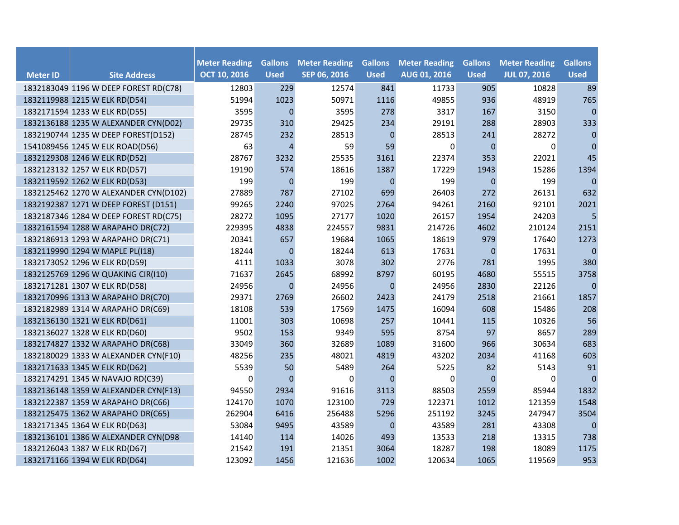|                 |                                       |                                             | <b>Gallons</b> |                                      | <b>Gallons</b> | <b>Meter Reading</b> |                               |                                             |                               |
|-----------------|---------------------------------------|---------------------------------------------|----------------|--------------------------------------|----------------|----------------------|-------------------------------|---------------------------------------------|-------------------------------|
| <b>Meter ID</b> | <b>Site Address</b>                   | <b>Meter Reading</b><br><b>OCT 10, 2016</b> | <b>Used</b>    | <b>Meter Reading</b><br>SEP 06, 2016 | <b>Used</b>    | AUG 01, 2016         | <b>Gallons</b><br><b>Used</b> | <b>Meter Reading</b><br><b>JUL 07, 2016</b> | <b>Gallons</b><br><b>Used</b> |
|                 | 1832183049 1196 W DEEP FOREST RD(C78) | 12803                                       | 229            | 12574                                | 841            | 11733                | 905                           | 10828                                       | 89                            |
|                 | 1832119988 1215 W ELK RD(D54)         | 51994                                       | 1023           | 50971                                | 1116           | 49855                | 936                           | 48919                                       | 765                           |
|                 | 1832171594 1233 W ELK RD(D55)         | 3595                                        | $\mathbf{0}$   | 3595                                 | 278            | 3317                 | 167                           | 3150                                        | $\pmb{0}$                     |
|                 | 1832136188 1235 W ALEXANDER CYN(D02)  | 29735                                       | 310            | 29425                                | 234            | 29191                | 288                           | 28903                                       | 333                           |
|                 | 1832190744 1235 W DEEP FOREST(D152)   | 28745                                       | 232            | 28513                                | $\mathbf{0}$   | 28513                | 241                           | 28272                                       | $\mathbf{0}$                  |
|                 | 1541089456 1245 W ELK ROAD(D56)       | 63                                          | 4              | 59                                   | 59             | 0                    | $\mathbf 0$                   | 0                                           | $\pmb{0}$                     |
|                 | 1832129308 1246 W ELK RD(D52)         | 28767                                       | 3232           | 25535                                | 3161           | 22374                | 353                           | 22021                                       | 45                            |
|                 | 1832123132 1257 W ELK RD(D57)         | 19190                                       | 574            | 18616                                | 1387           | 17229                | 1943                          | 15286                                       | 1394                          |
|                 | 1832119592 1262 W ELK RD(D53)         | 199                                         | $\mathbf{0}$   | 199                                  | $\mathbf{0}$   | 199                  | $\mathbf{0}$                  | 199                                         | $\mathbf{0}$                  |
|                 | 1832125462 1270 W ALEXANDER CYN(D102) | 27889                                       | 787            | 27102                                | 699            | 26403                | 272                           | 26131                                       | 632                           |
|                 | 1832192387 1271 W DEEP FOREST (D151)  | 99265                                       | 2240           | 97025                                | 2764           | 94261                | 2160                          | 92101                                       | 2021                          |
|                 | 1832187346 1284 W DEEP FOREST RD(C75) | 28272                                       | 1095           | 27177                                | 1020           | 26157                | 1954                          | 24203                                       | 5                             |
|                 | 1832161594 1288 W ARAPAHO DR(C72)     | 229395                                      | 4838           | 224557                               | 9831           | 214726               | 4602                          | 210124                                      | 2151                          |
|                 | 1832186913 1293 W ARAPAHO DR(C71)     | 20341                                       | 657            | 19684                                | 1065           | 18619                | 979                           | 17640                                       | 1273                          |
|                 | 1832119990 1294 W MAPLE PL(I18)       | 18244                                       | $\mathbf 0$    | 18244                                | 613            | 17631                | 0                             | 17631                                       | $\mathbf{0}$                  |
|                 | 1832173052 1296 W ELK RD(D59)         | 4111                                        | 1033           | 3078                                 | 302            | 2776                 | 781                           | 1995                                        | 380                           |
|                 | 1832125769 1296 W QUAKING CIR(I10)    | 71637                                       | 2645           | 68992                                | 8797           | 60195                | 4680                          | 55515                                       | 3758                          |
|                 | 1832171281 1307 W ELK RD(D58)         | 24956                                       | $\mathbf{0}$   | 24956                                | $\mathbf{0}$   | 24956                | 2830                          | 22126                                       | $\mathbf{0}$                  |
|                 | 1832170996 1313 W ARAPAHO DR(C70)     | 29371                                       | 2769           | 26602                                | 2423           | 24179                | 2518                          | 21661                                       | 1857                          |
|                 | 1832182989 1314 W ARAPAHO DR(C69)     | 18108                                       | 539            | 17569                                | 1475           | 16094                | 608                           | 15486                                       | 208                           |
|                 | 1832136130 1321 W ELK RD(D61)         | 11001                                       | 303            | 10698                                | 257            | 10441                | 115                           | 10326                                       | 56                            |
|                 | 1832136027 1328 W ELK RD(D60)         | 9502                                        | 153            | 9349                                 | 595            | 8754                 | 97                            | 8657                                        | 289                           |
|                 | 1832174827 1332 W ARAPAHO DR(C68)     | 33049                                       | 360            | 32689                                | 1089           | 31600                | 966                           | 30634                                       | 683                           |
|                 | 1832180029 1333 W ALEXANDER CYN(F10)  | 48256                                       | 235            | 48021                                | 4819           | 43202                | 2034                          | 41168                                       | 603                           |
|                 | 1832171633 1345 W ELK RD(D62)         | 5539                                        | 50             | 5489                                 | 264            | 5225                 | 82                            | 5143                                        | 91                            |
|                 | 1832174291 1345 W NAVAJO RD(C39)      | 0                                           | $\Omega$       | 0                                    | $\Omega$       | 0                    | $\Omega$                      | 0                                           | $\mathbf{0}$                  |
|                 | 1832136148 1359 W ALEXANDER CYN(F13)  | 94550                                       | 2934           | 91616                                | 3113           | 88503                | 2559                          | 85944                                       | 1832                          |
|                 | 1832122387 1359 W ARAPAHO DR(C66)     | 124170                                      | 1070           | 123100                               | 729            | 122371               | 1012                          | 121359                                      | 1548                          |
|                 | 1832125475 1362 W ARAPAHO DR(C65)     | 262904                                      | 6416           | 256488                               | 5296           | 251192               | 3245                          | 247947                                      | 3504                          |
|                 | 1832171345 1364 W ELK RD(D63)         | 53084                                       | 9495           | 43589                                | $\mathbf{0}$   | 43589                | 281                           | 43308                                       | $\mathbf 0$                   |
|                 | 1832136101 1386 W ALEXANDER CYN(D98   | 14140                                       | 114            | 14026                                | 493            | 13533                | 218                           | 13315                                       | 738                           |
|                 | 1832126043 1387 W ELK RD(D67)         | 21542                                       | 191            | 21351                                | 3064           | 18287                | 198                           | 18089                                       | 1175                          |
|                 | 1832171166 1394 W ELK RD(D64)         | 123092                                      | 1456           | 121636                               | 1002           | 120634               | 1065                          | 119569                                      | 953                           |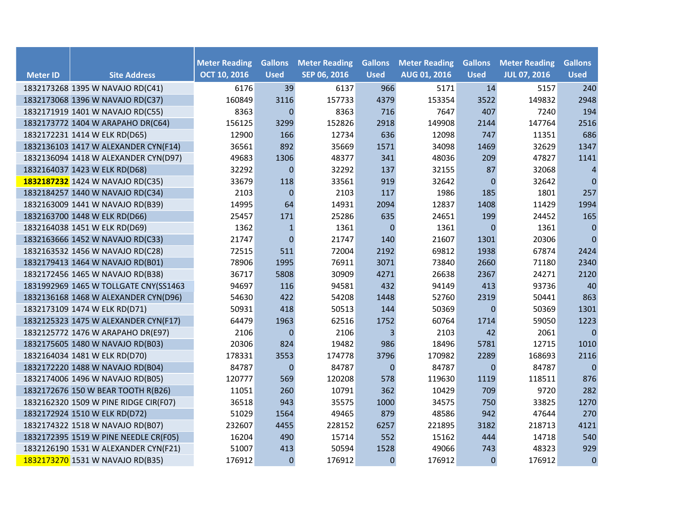| <b>Meter ID</b> | <b>Site Address</b>                   | <b>Meter Reading</b><br><b>OCT 10, 2016</b> | <b>Gallons</b><br><b>Used</b> | <b>Meter Reading</b><br>SEP 06, 2016 | <b>Gallons</b><br><b>Used</b> | <b>Meter Reading</b><br><b>AUG 01, 2016</b> | <b>Gallons</b><br><b>Used</b> | <b>Meter Reading</b><br><b>JUL 07, 2016</b> | <b>Gallons</b><br><b>Used</b> |
|-----------------|---------------------------------------|---------------------------------------------|-------------------------------|--------------------------------------|-------------------------------|---------------------------------------------|-------------------------------|---------------------------------------------|-------------------------------|
|                 | 1832173268 1395 W NAVAJO RD(C41)      | 6176                                        | 39                            | 6137                                 | 966                           | 5171                                        | 14                            | 5157                                        | 240                           |
|                 | 1832173068 1396 W NAVAJO RD(C37)      | 160849                                      | 3116                          | 157733                               | 4379                          | 153354                                      | 3522                          | 149832                                      | 2948                          |
|                 | 1832171919 1401 W NAVAJO RD(C55)      | 8363                                        | $\mathbf{0}$                  | 8363                                 | 716                           | 7647                                        | 407                           | 7240                                        | 194                           |
|                 | 1832173772 1404 W ARAPAHO DR(C64)     | 156125                                      | 3299                          | 152826                               | 2918                          | 149908                                      | 2144                          | 147764                                      | 2516                          |
|                 | 1832172231 1414 W ELK RD(D65)         | 12900                                       | 166                           | 12734                                | 636                           | 12098                                       | 747                           | 11351                                       | 686                           |
|                 | 1832136103 1417 W ALEXANDER CYN(F14)  | 36561                                       | 892                           | 35669                                | 1571                          | 34098                                       | 1469                          | 32629                                       | 1347                          |
|                 | 1832136094 1418 W ALEXANDER CYN(D97)  | 49683                                       | 1306                          | 48377                                | 341                           | 48036                                       | 209                           | 47827                                       | 1141                          |
|                 | 1832164037 1423 W ELK RD(D68)         | 32292                                       | $\mathbf{0}$                  | 32292                                | 137                           | 32155                                       | 87                            | 32068                                       | $\overline{4}$                |
|                 | 1832187232 1424 W NAVAJO RD(C35)      | 33679                                       | 118                           | 33561                                | 919                           | 32642                                       | $\mathbf{0}$                  | 32642                                       | $\mathbf{0}$                  |
|                 | 1832184257 1440 W NAVAJO RD(C34)      | 2103                                        | $\mathbf{0}$                  | 2103                                 | 117                           | 1986                                        | 185                           | 1801                                        | 257                           |
|                 | 1832163009 1441 W NAVAJO RD(B39)      | 14995                                       | 64                            | 14931                                | 2094                          | 12837                                       | 1408                          | 11429                                       | 1994                          |
|                 | 1832163700 1448 W ELK RD(D66)         | 25457                                       | 171                           | 25286                                | 635                           | 24651                                       | 199                           | 24452                                       | 165                           |
|                 | 1832164038 1451 W ELK RD(D69)         | 1362                                        | $\mathbf{1}$                  | 1361                                 | $\mathbf{0}$                  | 1361                                        | $\overline{0}$                | 1361                                        | $\mathbf{0}$                  |
|                 | 1832163666 1452 W NAVAJO RD(C33)      | 21747                                       | $\mathbf{0}$                  | 21747                                | 140                           | 21607                                       | 1301                          | 20306                                       | $\mathbf{0}$                  |
|                 | 1832163532 1456 W NAVAJO RD(C28)      | 72515                                       | 511                           | 72004                                | 2192                          | 69812                                       | 1938                          | 67874                                       | 2424                          |
|                 | 1832179413 1464 W NAVAJO RD(B01)      | 78906                                       | 1995                          | 76911                                | 3071                          | 73840                                       | 2660                          | 71180                                       | 2340                          |
|                 | 1832172456 1465 W NAVAJO RD(B38)      | 36717                                       | 5808                          | 30909                                | 4271                          | 26638                                       | 2367                          | 24271                                       | 2120                          |
|                 | 1831992969 1465 W TOLLGATE CNY(SS1463 | 94697                                       | 116                           | 94581                                | 432                           | 94149                                       | 413                           | 93736                                       | 40                            |
|                 | 1832136168 1468 W ALEXANDER CYN(D96)  | 54630                                       | 422                           | 54208                                | 1448                          | 52760                                       | 2319                          | 50441                                       | 863                           |
|                 | 1832173109 1474 W ELK RD(D71)         | 50931                                       | 418                           | 50513                                | 144                           | 50369                                       | $\mathbf 0$                   | 50369                                       | 1301                          |
|                 | 1832125323 1475 W ALEXANDER CYN(F17)  | 64479                                       | 1963                          | 62516                                | 1752                          | 60764                                       | 1714                          | 59050                                       | 1223                          |
|                 | 1832125772 1476 W ARAPAHO DR(E97)     | 2106                                        | $\boldsymbol{0}$              | 2106                                 | 3                             | 2103                                        | 42                            | 2061                                        | $\pmb{0}$                     |
|                 | 1832175605 1480 W NAVAJO RD(B03)      | 20306                                       | 824                           | 19482                                | 986                           | 18496                                       | 5781                          | 12715                                       | 1010                          |
|                 | 1832164034 1481 W ELK RD(D70)         | 178331                                      | 3553                          | 174778                               | 3796                          | 170982                                      | 2289                          | 168693                                      | 2116                          |
|                 | 1832172220 1488 W NAVAJO RD(B04)      | 84787                                       | $\mathbf{0}$                  | 84787                                | $\mathbf{0}$                  | 84787                                       | $\mathbf{0}$                  | 84787                                       | $\mathbf{0}$                  |
|                 | 1832174006 1496 W NAVAJO RD(B05)      | 120777                                      | 569                           | 120208                               | 578                           | 119630                                      | 1119                          | 118511                                      | 876                           |
|                 | 1832172676 150 W BEAR TOOTH R(B26)    | 11051                                       | 260                           | 10791                                | 362                           | 10429                                       | 709                           | 9720                                        | 282                           |
|                 | 1832162320 1509 W PINE RIDGE CIR(F07) | 36518                                       | 943                           | 35575                                | 1000                          | 34575                                       | 750                           | 33825                                       | 1270                          |
|                 | 1832172924 1510 W ELK RD(D72)         | 51029                                       | 1564                          | 49465                                | 879                           | 48586                                       | 942                           | 47644                                       | 270                           |
|                 | 1832174322 1518 W NAVAJO RD(B07)      | 232607                                      | 4455                          | 228152                               | 6257                          | 221895                                      | 3182                          | 218713                                      | 4121                          |
|                 | 1832172395 1519 W PINE NEEDLE CR(F05) | 16204                                       | 490                           | 15714                                | 552                           | 15162                                       | 444                           | 14718                                       | 540                           |
|                 | 1832126190 1531 W ALEXANDER CYN(F21)  | 51007                                       | 413                           | 50594                                | 1528                          | 49066                                       | 743                           | 48323                                       | 929                           |
|                 | 1832173270 1531 W NAVAJO RD(B35)      | 176912                                      | $\mathbf{0}$                  | 176912                               | $\mathbf{0}$                  | 176912                                      | $\mathbf{0}$                  | 176912                                      | $\mathbf 0$                   |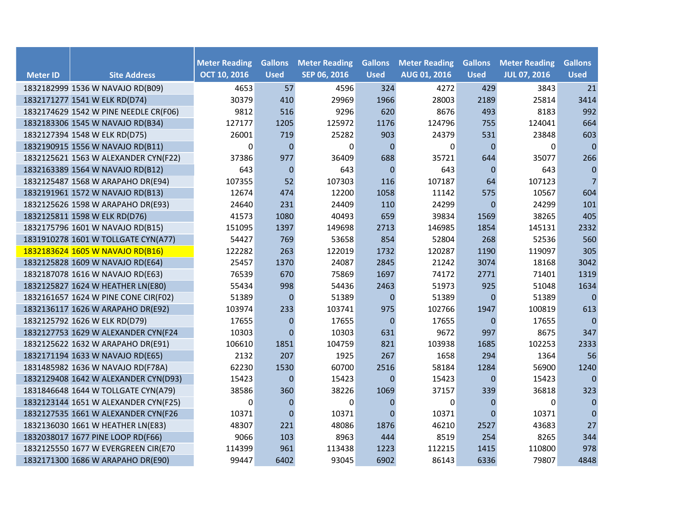| <b>Meter ID</b> | <b>Site Address</b>                   | <b>Meter Reading</b><br><b>OCT 10, 2016</b> | <b>Gallons</b><br><b>Used</b> | <b>Meter Reading</b><br>SEP 06, 2016 | <b>Gallons</b><br><b>Used</b> | <b>Meter Reading</b><br>AUG 01, 2016 | <b>Gallons</b><br><b>Used</b> | <b>Meter Reading</b><br><b>JUL 07, 2016</b> | <b>Gallons</b><br><b>Used</b> |
|-----------------|---------------------------------------|---------------------------------------------|-------------------------------|--------------------------------------|-------------------------------|--------------------------------------|-------------------------------|---------------------------------------------|-------------------------------|
|                 | 1832182999 1536 W NAVAJO RD(B09)      | 4653                                        | 57                            | 4596                                 | 324                           | 4272                                 | 429                           | 3843                                        | 21                            |
|                 | 1832171277 1541 W ELK RD(D74)         | 30379                                       | 410                           | 29969                                | 1966                          | 28003                                | 2189                          | 25814                                       | 3414                          |
|                 | 1832174629 1542 W PINE NEEDLE CR(F06) | 9812                                        | 516                           | 9296                                 | 620                           | 8676                                 | 493                           | 8183                                        | 992                           |
|                 | 1832183306 1545 W NAVAJO RD(B34)      | 127177                                      | 1205                          | 125972                               | 1176                          | 124796                               | 755                           | 124041                                      | 664                           |
|                 | 1832127394 1548 W ELK RD(D75)         | 26001                                       | 719                           | 25282                                | 903                           | 24379                                | 531                           | 23848                                       | 603                           |
|                 | 1832190915 1556 W NAVAJO RD(B11)      | $\boldsymbol{0}$                            | $\Omega$                      | $\Omega$                             | $\Omega$                      | 0                                    | $\Omega$                      | $\Omega$                                    | $\mathbf 0$                   |
|                 | 1832125621 1563 W ALEXANDER CYN(F22)  | 37386                                       | 977                           | 36409                                | 688                           | 35721                                | 644                           | 35077                                       | 266                           |
|                 | 1832163389 1564 W NAVAJO RD(B12)      | 643                                         | $\mathbf{0}$                  | 643                                  | $\mathbf{0}$                  | 643                                  | $\mathbf 0$                   | 643                                         | $\pmb{0}$                     |
|                 | 1832125487 1568 W ARAPAHO DR(E94)     | 107355                                      | 52                            | 107303                               | 116                           | 107187                               | 64                            | 107123                                      | $7\overline{ }$               |
|                 | 1832191961 1572 W NAVAJO RD(B13)      | 12674                                       | 474                           | 12200                                | 1058                          | 11142                                | 575                           | 10567                                       | 604                           |
|                 | 1832125626 1598 W ARAPAHO DR(E93)     | 24640                                       | 231                           | 24409                                | 110                           | 24299                                | $\mathbf 0$                   | 24299                                       | 101                           |
|                 | 1832125811 1598 W ELK RD(D76)         | 41573                                       | 1080                          | 40493                                | 659                           | 39834                                | 1569                          | 38265                                       | 405                           |
|                 | 1832175796 1601 W NAVAJO RD(B15)      | 151095                                      | 1397                          | 149698                               | 2713                          | 146985                               | 1854                          | 145131                                      | 2332                          |
|                 | 1831910278 1601 W TOLLGATE CYN(A77)   | 54427                                       | 769                           | 53658                                | 854                           | 52804                                | 268                           | 52536                                       | 560                           |
|                 | 1832183624 1605 W NAVAJO RD(B16)      | 122282                                      | 263                           | 122019                               | 1732                          | 120287                               | 1190                          | 119097                                      | 305                           |
|                 | 1832125828 1609 W NAVAJO RD(E64)      | 25457                                       | 1370                          | 24087                                | 2845                          | 21242                                | 3074                          | 18168                                       | 3042                          |
|                 | 1832187078 1616 W NAVAJO RD(E63)      | 76539                                       | 670                           | 75869                                | 1697                          | 74172                                | 2771                          | 71401                                       | 1319                          |
|                 | 1832125827 1624 W HEATHER LN(E80)     | 55434                                       | 998                           | 54436                                | 2463                          | 51973                                | 925                           | 51048                                       | 1634                          |
|                 | 1832161657 1624 W PINE CONE CIR(F02)  | 51389                                       | $\mathbf{0}$                  | 51389                                | $\mathbf{0}$                  | 51389                                | $\Omega$                      | 51389                                       | $\mathbf{0}$                  |
|                 | 1832136117 1626 W ARAPAHO DR(E92)     | 103974                                      | 233                           | 103741                               | 975                           | 102766                               | 1947                          | 100819                                      | 613                           |
|                 | 1832125792 1626 W ELK RD(D79)         | 17655                                       | $\pmb{0}$                     | 17655                                | $\mathbf 0$                   | 17655                                | $\mathbf{0}$                  | 17655                                       | $\pmb{0}$                     |
|                 | 1832127753 1629 W ALEXANDER CYN(F24   | 10303                                       | $\Omega$                      | 10303                                | 631                           | 9672                                 | 997                           | 8675                                        | 347                           |
|                 | 1832125622 1632 W ARAPAHO DR(E91)     | 106610                                      | 1851                          | 104759                               | 821                           | 103938                               | 1685                          | 102253                                      | 2333                          |
|                 | 1832171194 1633 W NAVAJO RD(E65)      | 2132                                        | 207                           | 1925                                 | 267                           | 1658                                 | 294                           | 1364                                        | 56                            |
|                 | 1831485982 1636 W NAVAJO RD(F78A)     | 62230                                       | 1530                          | 60700                                | 2516                          | 58184                                | 1284                          | 56900                                       | 1240                          |
|                 | 1832129408 1642 W ALEXANDER CYN(D93)  | 15423                                       | $\mathbf{0}$                  | 15423                                | $\Omega$                      | 15423                                | $\mathbf{0}$                  | 15423                                       | $\mathbf{0}$                  |
|                 | 1831846648 1644 W TOLLGATE CYN(A79)   | 38586                                       | 360                           | 38226                                | 1069                          | 37157                                | 339                           | 36818                                       | 323                           |
|                 | 1832123144 1651 W ALEXANDER CYN(F25)  | 0                                           | $\Omega$                      | 0                                    | $\Omega$                      | 0                                    | $\overline{0}$                | $\Omega$                                    | $\mathbf 0$                   |
|                 | 1832127535 1661 W ALEXANDER CYN(F26   | 10371                                       | $\mathbf 0$                   | 10371                                | $\Omega$                      | 10371                                | $\mathbf{0}$                  | 10371                                       | $\mathbf 0$                   |
|                 | 1832136030 1661 W HEATHER LN(E83)     | 48307                                       | 221                           | 48086                                | 1876                          | 46210                                | 2527                          | 43683                                       | 27                            |
|                 | 1832038017 1677 PINE LOOP RD(F66)     | 9066                                        | 103                           | 8963                                 | 444                           | 8519                                 | 254                           | 8265                                        | 344                           |
|                 | 1832125550 1677 W EVERGREEN CIR(E70   | 114399                                      | 961                           | 113438                               | 1223                          | 112215                               | 1415                          | 110800                                      | 978                           |
|                 | 1832171300 1686 W ARAPAHO DR(E90)     | 99447                                       | 6402                          | 93045                                | 6902                          | 86143                                | 6336                          | 79807                                       | 4848                          |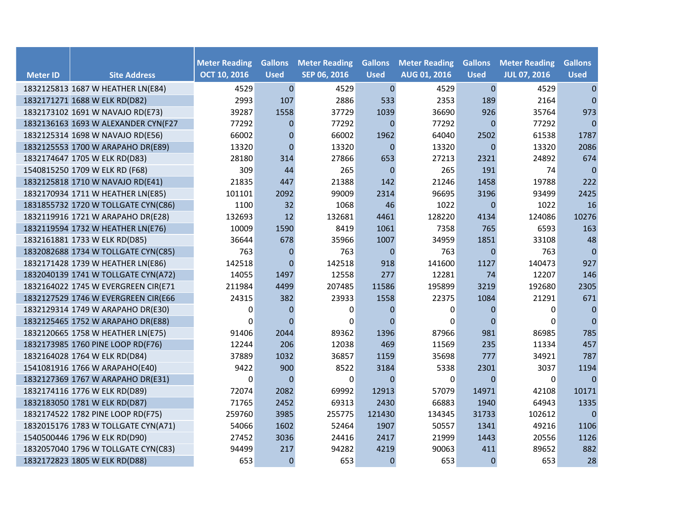| <b>Meter ID</b> | <b>Site Address</b>                 | <b>Meter Reading</b><br><b>OCT 10, 2016</b> | <b>Gallons</b><br><b>Used</b> | <b>Meter Reading</b><br>SEP 06, 2016 | <b>Gallons</b><br><b>Used</b> | <b>Meter Reading</b><br>AUG 01, 2016 | <b>Gallons</b><br><b>Used</b> | <b>Meter Reading</b><br><b>JUL 07, 2016</b> | <b>Gallons</b><br><b>Used</b> |
|-----------------|-------------------------------------|---------------------------------------------|-------------------------------|--------------------------------------|-------------------------------|--------------------------------------|-------------------------------|---------------------------------------------|-------------------------------|
|                 | 1832125813 1687 W HEATHER LN(E84)   | 4529                                        | $\pmb{0}$                     | 4529                                 | $\mathbf 0$                   | 4529                                 | $\mathbf 0$                   | 4529                                        | $\pmb{0}$                     |
|                 | 1832171271 1688 W ELK RD(D82)       | 2993                                        | 107                           | 2886                                 | 533                           | 2353                                 | 189                           | 2164                                        | $\mathbf{0}$                  |
|                 | 1832173102 1691 W NAVAJO RD(E73)    | 39287                                       | 1558                          | 37729                                | 1039                          | 36690                                | 926                           | 35764                                       | 973                           |
|                 | 1832136163 1693 W ALEXANDER CYN(F27 | 77292                                       | $\mathbf{0}$                  | 77292                                | $\mathbf{0}$                  | 77292                                | $\mathbf 0$                   | 77292                                       | $\Omega$                      |
|                 | 1832125314 1698 W NAVAJO RD(E56)    | 66002                                       | $\mathbf 0$                   | 66002                                | 1962                          | 64040                                | 2502                          | 61538                                       | 1787                          |
|                 | 1832125553 1700 W ARAPAHO DR(E89)   | 13320                                       | $\Omega$                      | 13320                                | $\Omega$                      | 13320                                | $\Omega$                      | 13320                                       | 2086                          |
|                 | 1832174647 1705 W ELK RD(D83)       | 28180                                       | 314                           | 27866                                | 653                           | 27213                                | 2321                          | 24892                                       | 674                           |
|                 | 1540815250 1709 W ELK RD (F68)      | 309                                         | 44                            | 265                                  | $\mathbf{0}$                  | 265                                  | 191                           | 74                                          | $\mathbf 0$                   |
|                 | 1832125818 1710 W NAVAJO RD(E41)    | 21835                                       | 447                           | 21388                                | 142                           | 21246                                | 1458                          | 19788                                       | 222                           |
|                 | 1832170934 1711 W HEATHER LN(E85)   | 101101                                      | 2092                          | 99009                                | 2314                          | 96695                                | 3196                          | 93499                                       | 2425                          |
|                 | 1831855732 1720 W TOLLGATE CYN(C86) | 1100                                        | 32                            | 1068                                 | 46                            | 1022                                 | $\mathbf{0}$                  | 1022                                        | 16                            |
|                 | 1832119916 1721 W ARAPAHO DR(E28)   | 132693                                      | 12                            | 132681                               | 4461                          | 128220                               | 4134                          | 124086                                      | 10276                         |
|                 | 1832119594 1732 W HEATHER LN(E76)   | 10009                                       | 1590                          | 8419                                 | 1061                          | 7358                                 | 765                           | 6593                                        | 163                           |
|                 | 1832161881 1733 W ELK RD(D85)       | 36644                                       | 678                           | 35966                                | 1007                          | 34959                                | 1851                          | 33108                                       | 48                            |
|                 | 1832082688 1734 W TOLLGATE CYN(C85) | 763                                         | $\mathbf{0}$                  | 763                                  | $\mathbf 0$                   | 763                                  | $\overline{0}$                | 763                                         | $\mathbf{0}$                  |
|                 | 1832171428 1739 W HEATHER LN(E86)   | 142518                                      | $\overline{0}$                | 142518                               | 918                           | 141600                               | 1127                          | 140473                                      | 927                           |
|                 | 1832040139 1741 W TOLLGATE CYN(A72) | 14055                                       | 1497                          | 12558                                | 277                           | 12281                                | 74                            | 12207                                       | 146                           |
|                 | 1832164022 1745 W EVERGREEN CIR(E71 | 211984                                      | 4499                          | 207485                               | 11586                         | 195899                               | 3219                          | 192680                                      | 2305                          |
|                 | 1832127529 1746 W EVERGREEN CIR(E66 | 24315                                       | 382                           | 23933                                | 1558                          | 22375                                | 1084                          | 21291                                       | 671                           |
|                 | 1832129314 1749 W ARAPAHO DR(E30)   | 0                                           | $\mathbf{0}$                  | 0                                    | $\mathbf 0$                   | 0                                    | $\mathbf 0$                   | $\Omega$                                    | $\mathbf 0$                   |
|                 | 1832125465 1752 W ARAPAHO DR(E88)   | 0                                           | $\Omega$                      | $\Omega$                             | $\Omega$                      | 0                                    | $\mathbf 0$                   | $\Omega$                                    | $\pmb{0}$                     |
|                 | 1832120665 1758 W HEATHER LN(E75)   | 91406                                       | 2044                          | 89362                                | 1396                          | 87966                                | 981                           | 86985                                       | 785                           |
|                 | 1832173985 1760 PINE LOOP RD(F76)   | 12244                                       | 206                           | 12038                                | 469                           | 11569                                | 235                           | 11334                                       | 457                           |
|                 | 1832164028 1764 W ELK RD(D84)       | 37889                                       | 1032                          | 36857                                | 1159                          | 35698                                | 777                           | 34921                                       | 787                           |
|                 | 1541081916 1766 W ARAPAHO(E40)      | 9422                                        | 900                           | 8522                                 | 3184                          | 5338                                 | 2301                          | 3037                                        | 1194                          |
|                 | 1832127369 1767 W ARAPAHO DR(E31)   | 0                                           | $\mathbf{0}$                  | 0                                    | $\Omega$                      | 0                                    | $\Omega$                      | 0                                           | $\mathbf{0}$                  |
|                 | 1832174116 1776 W ELK RD(D89)       | 72074                                       | 2082                          | 69992                                | 12913                         | 57079                                | 14971                         | 42108                                       | 10171                         |
|                 | 1832183050 1781 W ELK RD(D87)       | 71765                                       | 2452                          | 69313                                | 2430                          | 66883                                | 1940                          | 64943                                       | 1335                          |
|                 | 1832174522 1782 PINE LOOP RD(F75)   | 259760                                      | 3985                          | 255775                               | 121430                        | 134345                               | 31733                         | 102612                                      | $\pmb{0}$                     |
|                 | 1832015176 1783 W TOLLGATE CYN(A71) | 54066                                       | 1602                          | 52464                                | 1907                          | 50557                                | 1341                          | 49216                                       | 1106                          |
|                 | 1540500446 1796 W ELK RD(D90)       | 27452                                       | 3036                          | 24416                                | 2417                          | 21999                                | 1443                          | 20556                                       | 1126                          |
|                 | 1832057040 1796 W TOLLGATE CYN(C83) | 94499                                       | 217                           | 94282                                | 4219                          | 90063                                | 411                           | 89652                                       | 882                           |
|                 | 1832172823 1805 W ELK RD(D88)       | 653                                         | $\mathbf 0$                   | 653                                  | $\mathbf{0}$                  | 653                                  | $\mathbf 0$                   | 653                                         | 28                            |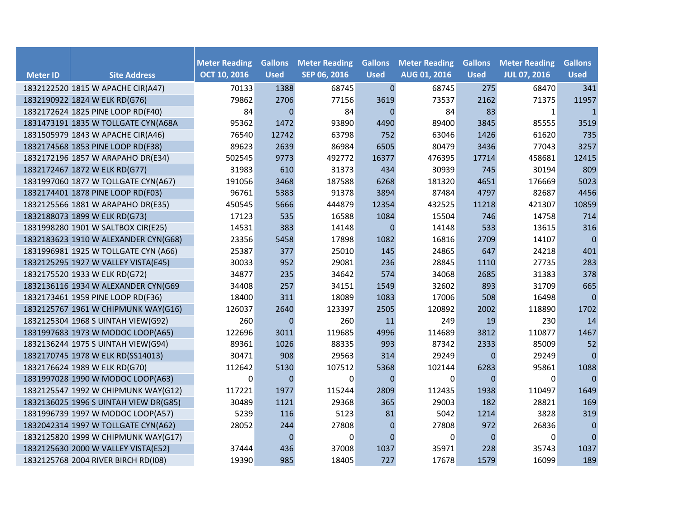|                 |                                       | <b>Meter Reading</b> | <b>Gallons</b> | <b>Meter Reading</b> | <b>Gallons</b> | <b>Meter Reading</b> | <b>Gallons</b> | <b>Meter Reading</b> | <b>Gallons</b> |
|-----------------|---------------------------------------|----------------------|----------------|----------------------|----------------|----------------------|----------------|----------------------|----------------|
| <b>Meter ID</b> | <b>Site Address</b>                   | <b>OCT 10, 2016</b>  | <b>Used</b>    | SEP 06, 2016         | <b>Used</b>    | <b>AUG 01, 2016</b>  | <b>Used</b>    | <b>JUL 07, 2016</b>  | <b>Used</b>    |
|                 | 1832122520 1815 W APACHE CIR(A47)     | 70133                | 1388           | 68745                | $\mathbf{0}$   | 68745                | 275            | 68470                | 341            |
|                 | 1832190922 1824 W ELK RD(G76)         | 79862                | 2706           | 77156                | 3619           | 73537                | 2162           | 71375                | 11957          |
|                 | 1832172624 1825 PINE LOOP RD(F40)     | 84                   | $\Omega$       | 84                   | $\Omega$       | 84                   | 83             | 1                    | $\mathbf{1}$   |
|                 | 1831473191 1835 W TOLLGATE CYN(A68A   | 95362                | 1472           | 93890                | 4490           | 89400                | 3845           | 85555                | 3519           |
|                 | 1831505979 1843 W APACHE CIR(A46)     | 76540                | 12742          | 63798                | 752            | 63046                | 1426           | 61620                | 735            |
|                 | 1832174568 1853 PINE LOOP RD(F38)     | 89623                | 2639           | 86984                | 6505           | 80479                | 3436           | 77043                | 3257           |
|                 | 1832172196 1857 W ARAPAHO DR(E34)     | 502545               | 9773           | 492772               | 16377          | 476395               | 17714          | 458681               | 12415          |
|                 | 1832172467 1872 W ELK RD(G77)         | 31983                | 610            | 31373                | 434            | 30939                | 745            | 30194                | 809            |
|                 | 1831997060 1877 W TOLLGATE CYN(A67)   | 191056               | 3468           | 187588               | 6268           | 181320               | 4651           | 176669               | 5023           |
|                 | 1832174401 1878 PINE LOOP RD(F03)     | 96761                | 5383           | 91378                | 3894           | 87484                | 4797           | 82687                | 4456           |
|                 | 1832125566 1881 W ARAPAHO DR(E35)     | 450545               | 5666           | 444879               | 12354          | 432525               | 11218          | 421307               | 10859          |
|                 | 1832188073 1899 W ELK RD(G73)         | 17123                | 535            | 16588                | 1084           | 15504                | 746            | 14758                | 714            |
|                 | 1831998280 1901 W SALTBOX CIR(E25)    | 14531                | 383            | 14148                | $\mathbf{0}$   | 14148                | 533            | 13615                | 316            |
|                 | 1832183623 1910 W ALEXANDER CYN(G68)  | 23356                | 5458           | 17898                | 1082           | 16816                | 2709           | 14107                | $\pmb{0}$      |
|                 | 1831996981 1925 W TOLLGATE CYN (A66)  | 25387                | 377            | 25010                | 145            | 24865                | 647            | 24218                | 401            |
|                 | 1832125295 1927 W VALLEY VISTA(E45)   | 30033                | 952            | 29081                | 236            | 28845                | 1110           | 27735                | 283            |
|                 | 1832175520 1933 W ELK RD(G72)         | 34877                | 235            | 34642                | 574            | 34068                | 2685           | 31383                | 378            |
|                 | 1832136116 1934 W ALEXANDER CYN(G69   | 34408                | 257            | 34151                | 1549           | 32602                | 893            | 31709                | 665            |
|                 | 1832173461 1959 PINE LOOP RD(F36)     | 18400                | 311            | 18089                | 1083           | 17006                | 508            | 16498                | $\mathbf{0}$   |
|                 | 1832125767 1961 W CHIPMUNK WAY(G16)   | 126037               | 2640           | 123397               | 2505           | 120892               | 2002           | 118890               | 1702           |
|                 | 1832125304 1968 S UINTAH VIEW(G92)    | 260                  | $\mathbf{0}$   | 260                  | 11             | 249                  | 19             | 230                  | 14             |
|                 | 1831997683 1973 W MODOC LOOP(A65)     | 122696               | 3011           | 119685               | 4996           | 114689               | 3812           | 110877               | 1467           |
|                 | 1832136244 1975 S UINTAH VIEW(G94)    | 89361                | 1026           | 88335                | 993            | 87342                | 2333           | 85009                | 52             |
|                 | 1832170745 1978 W ELK RD(SS14013)     | 30471                | 908            | 29563                | 314            | 29249                | $\Omega$       | 29249                | $\mathbf{0}$   |
|                 | 1832176624 1989 W ELK RD(G70)         | 112642               | 5130           | 107512               | 5368           | 102144               | 6283           | 95861                | 1088           |
|                 | 1831997028 1990 W MODOC LOOP(A63)     | $\mathbf 0$          | $\mathbf 0$    | 0                    | $\mathbf 0$    | 0                    | $\mathbf{0}$   | 0                    | $\mathbf{0}$   |
|                 | 1832125547 1992 W CHIPMUNK WAY(G12)   | 117221               | 1977           | 115244               | 2809           | 112435               | 1938           | 110497               | 1649           |
|                 | 1832136025 1996 S UINTAH VIEW DR(G85) | 30489                | 1121           | 29368                | 365            | 29003                | 182            | 28821                | 169            |
|                 | 1831996739 1997 W MODOC LOOP(A57)     | 5239                 | 116            | 5123                 | 81             | 5042                 | 1214           | 3828                 | 319            |
|                 | 1832042314 1997 W TOLLGATE CYN(A62)   | 28052                | 244            | 27808                | $\mathbf 0$    | 27808                | 972            | 26836                | $\pmb{0}$      |
|                 | 1832125820 1999 W CHIPMUNK WAY(G17)   |                      | $\mathbf{0}$   | 0                    | $\Omega$       | 0                    | $\mathbf{0}$   | 0                    | $\mathbf{0}$   |
|                 | 1832125630 2000 W VALLEY VISTA(E52)   | 37444                | 436            | 37008                | 1037           | 35971                | 228            | 35743                | 1037           |
|                 | 1832125768 2004 RIVER BIRCH RD(I08)   | 19390                | 985            | 18405                | 727            | 17678                | 1579           | 16099                | 189            |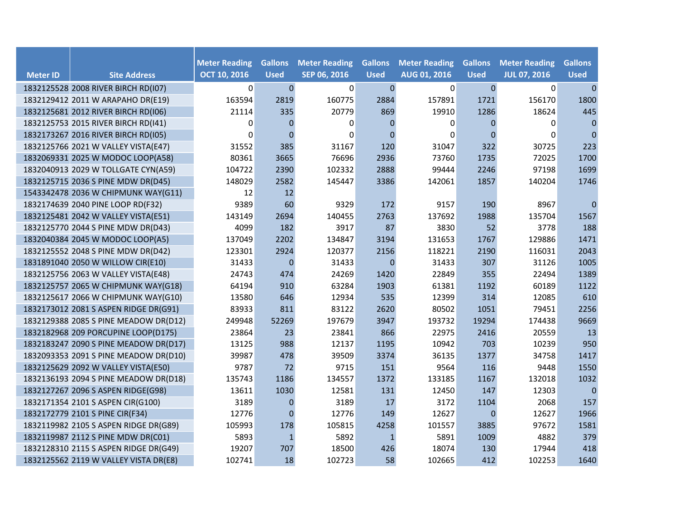| <b>Meter ID</b> | <b>Site Address</b>                   | <b>Meter Reading</b><br><b>OCT 10, 2016</b> | <b>Gallons</b><br><b>Used</b> | <b>Meter Reading</b><br>SEP 06, 2016 | <b>Gallons</b><br><b>Used</b> | <b>Meter Reading</b><br>AUG 01, 2016 | <b>Gallons</b><br><b>Used</b> | <b>Meter Reading</b><br><b>JUL 07, 2016</b> | <b>Gallons</b><br><b>Used</b> |
|-----------------|---------------------------------------|---------------------------------------------|-------------------------------|--------------------------------------|-------------------------------|--------------------------------------|-------------------------------|---------------------------------------------|-------------------------------|
|                 | 1832125528 2008 RIVER BIRCH RD(I07)   | 0                                           | $\overline{0}$                | $\pmb{0}$                            | $\boldsymbol{0}$              | $\overline{0}$                       | $\boldsymbol{0}$              | 0                                           | $\mathbf 0$                   |
|                 | 1832129412 2011 W ARAPAHO DR(E19)     | 163594                                      | 2819                          | 160775                               | 2884                          | 157891                               | 1721                          | 156170                                      | 1800                          |
|                 | 1832125681 2012 RIVER BIRCH RD(I06)   | 21114                                       | 335                           | 20779                                | 869                           | 19910                                | 1286                          | 18624                                       | 445                           |
|                 | 1832125753 2015 RIVER BIRCH RD(I41)   | 0                                           | $\Omega$                      | 0                                    | $\Omega$                      | 0                                    | $\overline{0}$                | 0                                           | $\mathbf 0$                   |
|                 | 1832173267 2016 RIVER BIRCH RD(I05)   | $\mathbf{0}$                                | $\overline{0}$                | $\Omega$                             | $\Omega$                      | 0                                    | $\overline{0}$                | $\Omega$                                    | $\mathbf{0}$                  |
|                 | 1832125766 2021 W VALLEY VISTA(E47)   | 31552                                       | 385                           | 31167                                | 120                           | 31047                                | 322                           | 30725                                       | 223                           |
|                 | 1832069331 2025 W MODOC LOOP(A58)     | 80361                                       | 3665                          | 76696                                | 2936                          | 73760                                | 1735                          | 72025                                       | 1700                          |
|                 | 1832040913 2029 W TOLLGATE CYN(A59)   | 104722                                      | 2390                          | 102332                               | 2888                          | 99444                                | 2246                          | 97198                                       | 1699                          |
|                 | 1832125715 2036 S PINE MDW DR(D45)    | 148029                                      | 2582                          | 145447                               | 3386                          | 142061                               | 1857                          | 140204                                      | 1746                          |
|                 | 1543342478 2036 W CHIPMUNK WAY(G11)   | 12                                          | 12                            |                                      |                               |                                      |                               |                                             |                               |
|                 | 1832174639 2040 PINE LOOP RD(F32)     | 9389                                        | 60                            | 9329                                 | 172                           | 9157                                 | 190                           | 8967                                        | $\pmb{0}$                     |
|                 | 1832125481 2042 W VALLEY VISTA(E51)   | 143149                                      | 2694                          | 140455                               | 2763                          | 137692                               | 1988                          | 135704                                      | 1567                          |
|                 | 1832125770 2044 S PINE MDW DR(D43)    | 4099                                        | 182                           | 3917                                 | 87                            | 3830                                 | 52                            | 3778                                        | 188                           |
|                 | 1832040384 2045 W MODOC LOOP(A5)      | 137049                                      | 2202                          | 134847                               | 3194                          | 131653                               | 1767                          | 129886                                      | 1471                          |
|                 | 1832125552 2048 S PINE MDW DR(D42)    | 123301                                      | 2924                          | 120377                               | 2156                          | 118221                               | 2190                          | 116031                                      | 2043                          |
|                 | 1831891040 2050 W WILLOW CIR(E10)     | 31433                                       | $\mathbf 0$                   | 31433                                | $\mathbf{0}$                  | 31433                                | 307                           | 31126                                       | 1005                          |
|                 | 1832125756 2063 W VALLEY VISTA(E48)   | 24743                                       | 474                           | 24269                                | 1420                          | 22849                                | 355                           | 22494                                       | 1389                          |
|                 | 1832125757 2065 W CHIPMUNK WAY(G18)   | 64194                                       | 910                           | 63284                                | 1903                          | 61381                                | 1192                          | 60189                                       | 1122                          |
|                 | 1832125617 2066 W CHIPMUNK WAY(G10)   | 13580                                       | 646                           | 12934                                | 535                           | 12399                                | 314                           | 12085                                       | 610                           |
|                 | 1832173012 2081 S ASPEN RIDGE DR(G91) | 83933                                       | 811                           | 83122                                | 2620                          | 80502                                | 1051                          | 79451                                       | 2256                          |
|                 | 1832129388 2085 S PINE MEADOW DR(D12) | 249948                                      | 52269                         | 197679                               | 3947                          | 193732                               | 19294                         | 174438                                      | 9669                          |
|                 | 1832182968 209 PORCUPINE LOOP(D175)   | 23864                                       | 23                            | 23841                                | 866                           | 22975                                | 2416                          | 20559                                       | 13                            |
|                 | 1832183247 2090 S PINE MEADOW DR(D17) | 13125                                       | 988                           | 12137                                | 1195                          | 10942                                | 703                           | 10239                                       | 950                           |
|                 | 1832093353 2091 S PINE MEADOW DR(D10) | 39987                                       | 478                           | 39509                                | 3374                          | 36135                                | 1377                          | 34758                                       | 1417                          |
|                 | 1832125629 2092 W VALLEY VISTA(E50)   | 9787                                        | 72                            | 9715                                 | 151                           | 9564                                 | 116                           | 9448                                        | 1550                          |
|                 | 1832136193 2094 S PINE MEADOW DR(D18) | 135743                                      | 1186                          | 134557                               | 1372                          | 133185                               | 1167                          | 132018                                      | 1032                          |
|                 | 1832127267 2096 S ASPEN RIDGE(G98)    | 13611                                       | 1030                          | 12581                                | 131                           | 12450                                | 147                           | 12303                                       | $\mathbf 0$                   |
|                 | 1832171354 2101 S ASPEN CIR(G100)     | 3189                                        | $\mathbf{0}$                  | 3189                                 | 17                            | 3172                                 | 1104                          | 2068                                        | 157                           |
|                 | 1832172779 2101 S PINE CIR(F34)       | 12776                                       | $\mathbf{0}$                  | 12776                                | 149                           | 12627                                | $\mathbf 0$                   | 12627                                       | 1966                          |
|                 | 1832119982 2105 S ASPEN RIDGE DR(G89) | 105993                                      | 178                           | 105815                               | 4258                          | 101557                               | 3885                          | 97672                                       | 1581                          |
|                 | 1832119987 2112 S PINE MDW DR(C01)    | 5893                                        | $\mathbf{1}$                  | 5892                                 | $\mathbf{1}$                  | 5891                                 | 1009                          | 4882                                        | 379                           |
|                 | 1832128310 2115 S ASPEN RIDGE DR(G49) | 19207                                       | 707                           | 18500                                | 426                           | 18074                                | 130                           | 17944                                       | 418                           |
|                 | 1832125562 2119 W VALLEY VISTA DR(E8) | 102741                                      | 18                            | 102723                               | 58                            | 102665                               | 412                           | 102253                                      | 1640                          |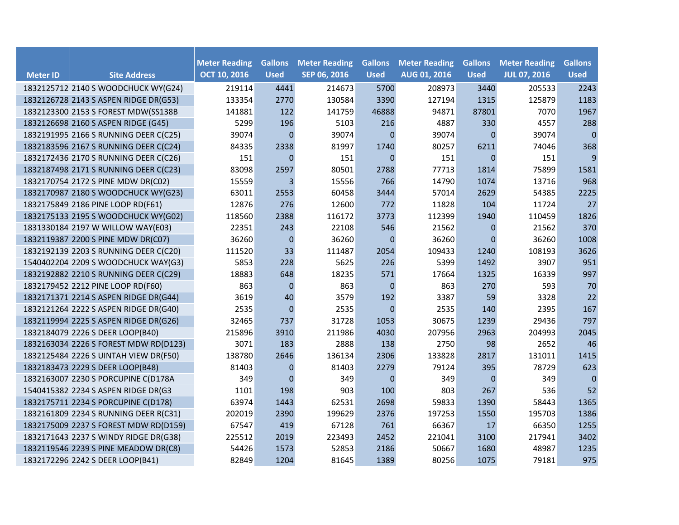|                 |                                       |                                             |                               |                                      | <b>Gallons</b> |                                             |                               |                                             |                               |
|-----------------|---------------------------------------|---------------------------------------------|-------------------------------|--------------------------------------|----------------|---------------------------------------------|-------------------------------|---------------------------------------------|-------------------------------|
| <b>Meter ID</b> | <b>Site Address</b>                   | <b>Meter Reading</b><br><b>OCT 10, 2016</b> | <b>Gallons</b><br><b>Used</b> | <b>Meter Reading</b><br>SEP 06, 2016 | <b>Used</b>    | <b>Meter Reading</b><br><b>AUG 01, 2016</b> | <b>Gallons</b><br><b>Used</b> | <b>Meter Reading</b><br><b>JUL 07, 2016</b> | <b>Gallons</b><br><b>Used</b> |
|                 | 1832125712 2140 S WOODCHUCK WY(G24)   | 219114                                      | 4441                          | 214673                               | 5700           | 208973                                      | 3440                          | 205533                                      | 2243                          |
|                 | 1832126728 2143 S ASPEN RIDGE DR(G53) | 133354                                      | 2770                          | 130584                               | 3390           | 127194                                      | 1315                          | 125879                                      | 1183                          |
|                 | 1832123300 2153 S FOREST MDW(SS138B   | 141881                                      | 122                           | 141759                               | 46888          | 94871                                       | 87801                         | 7070                                        | 1967                          |
|                 | 1832126698 2160 S ASPEN RIDGE (G45)   | 5299                                        | 196                           | 5103                                 | 216            | 4887                                        | 330                           | 4557                                        | 288                           |
|                 | 1832191995 2166 S RUNNING DEER C(C25) | 39074                                       | $\mathbf 0$                   | 39074                                | $\mathbf 0$    | 39074                                       | $\overline{0}$                | 39074                                       | $\pmb{0}$                     |
|                 | 1832183596 2167 S RUNNING DEER C(C24) | 84335                                       | 2338                          | 81997                                | 1740           | 80257                                       | 6211                          | 74046                                       | 368                           |
|                 | 1832172436 2170 S RUNNING DEER C(C26) | 151                                         | $\mathbf{0}$                  | 151                                  | $\mathbf{0}$   | 151                                         | $\mathbf{0}$                  | 151                                         | 9                             |
|                 | 1832187498 2171 S RUNNING DEER C(C23) | 83098                                       | 2597                          | 80501                                | 2788           | 77713                                       | 1814                          | 75899                                       | 1581                          |
|                 | 1832170754 2172 S PINE MDW DR(C02)    | 15559                                       | 3                             | 15556                                | 766            | 14790                                       | 1074                          | 13716                                       | 968                           |
|                 | 1832170987 2180 S WOODCHUCK WY(G23)   | 63011                                       | 2553                          | 60458                                | 3444           | 57014                                       | 2629                          | 54385                                       | 2225                          |
|                 | 1832175849 2186 PINE LOOP RD(F61)     | 12876                                       | 276                           | 12600                                | 772            | 11828                                       | 104                           | 11724                                       | 27                            |
|                 | 1832175133 2195 S WOODCHUCK WY(G02)   | 118560                                      | 2388                          | 116172                               | 3773           | 112399                                      | 1940                          | 110459                                      | 1826                          |
|                 | 1831330184 2197 W WILLOW WAY(E03)     | 22351                                       | 243                           | 22108                                | 546            | 21562                                       | $\boldsymbol{0}$              | 21562                                       | 370                           |
|                 | 1832119387 2200 S PINE MDW DR(C07)    | 36260                                       | $\mathbf 0$                   | 36260                                | $\mathbf 0$    | 36260                                       | $\boldsymbol{0}$              | 36260                                       | 1008                          |
|                 | 1832192139 2203 S RUNNING DEER C(C20) | 111520                                      | 33                            | 111487                               | 2054           | 109433                                      | 1240                          | 108193                                      | 3626                          |
|                 | 1540402204 2209 S WOODCHUCK WAY(G3)   | 5853                                        | 228                           | 5625                                 | 226            | 5399                                        | 1492                          | 3907                                        | 951                           |
|                 | 1832192882 2210 S RUNNING DEER C(C29) | 18883                                       | 648                           | 18235                                | 571            | 17664                                       | 1325                          | 16339                                       | 997                           |
|                 | 1832179452 2212 PINE LOOP RD(F60)     | 863                                         | $\mathbf 0$                   | 863                                  | $\mathbf 0$    | 863                                         | 270                           | 593                                         | 70                            |
|                 | 1832171371 2214 S ASPEN RIDGE DR(G44) | 3619                                        | 40                            | 3579                                 | 192            | 3387                                        | 59                            | 3328                                        | 22                            |
|                 | 1832121264 2222 S ASPEN RIDGE DR(G40) | 2535                                        | $\mathbf{0}$                  | 2535                                 | $\mathbf{0}$   | 2535                                        | 140                           | 2395                                        | 167                           |
|                 | 1832119994 2225 S ASPEN RIDGE DR(G26) | 32465                                       | 737                           | 31728                                | 1053           | 30675                                       | 1239                          | 29436                                       | 797                           |
|                 | 1832184079 2226 S DEER LOOP(B40)      | 215896                                      | 3910                          | 211986                               | 4030           | 207956                                      | 2963                          | 204993                                      | 2045                          |
|                 | 1832163034 2226 S FOREST MDW RD(D123) | 3071                                        | 183                           | 2888                                 | 138            | 2750                                        | 98                            | 2652                                        | 46                            |
|                 | 1832125484 2226 S UINTAH VIEW DR(F50) | 138780                                      | 2646                          | 136134                               | 2306           | 133828                                      | 2817                          | 131011                                      | 1415                          |
|                 | 1832183473 2229 S DEER LOOP(B48)      | 81403                                       | $\mathbf{0}$                  | 81403                                | 2279           | 79124                                       | 395                           | 78729                                       | 623                           |
|                 | 1832163007 2230 S PORCUPINE C(D178A   | 349                                         | $\mathbf 0$                   | 349                                  | $\mathbf 0$    | 349                                         | $\mathbf 0$                   | 349                                         | $\mathbf 0$                   |
|                 | 1540415382 2234 S ASPEN RIDGE DR(G3   | 1101                                        | 198                           | 903                                  | 100            | 803                                         | 267                           | 536                                         | 52                            |
|                 | 1832175711 2234 S PORCUPINE C(D178)   | 63974                                       | 1443                          | 62531                                | 2698           | 59833                                       | 1390                          | 58443                                       | 1365                          |
|                 | 1832161809 2234 S RUNNING DEER R(C31) | 202019                                      | 2390                          | 199629                               | 2376           | 197253                                      | 1550                          | 195703                                      | 1386                          |
|                 | 1832175009 2237 S FOREST MDW RD(D159) | 67547                                       | 419                           | 67128                                | 761            | 66367                                       | 17                            | 66350                                       | 1255                          |
|                 | 1832171643 2237 S WINDY RIDGE DR(G38) | 225512                                      | 2019                          | 223493                               | 2452           | 221041                                      | 3100                          | 217941                                      | 3402                          |
|                 | 1832119546 2239 S PINE MEADOW DR(C8)  | 54426                                       | 1573                          | 52853                                | 2186           | 50667                                       | 1680                          | 48987                                       | 1235                          |
|                 | 1832172296 2242 S DEER LOOP(B41)      | 82849                                       | 1204                          | 81645                                | 1389           | 80256                                       | 1075                          | 79181                                       | 975                           |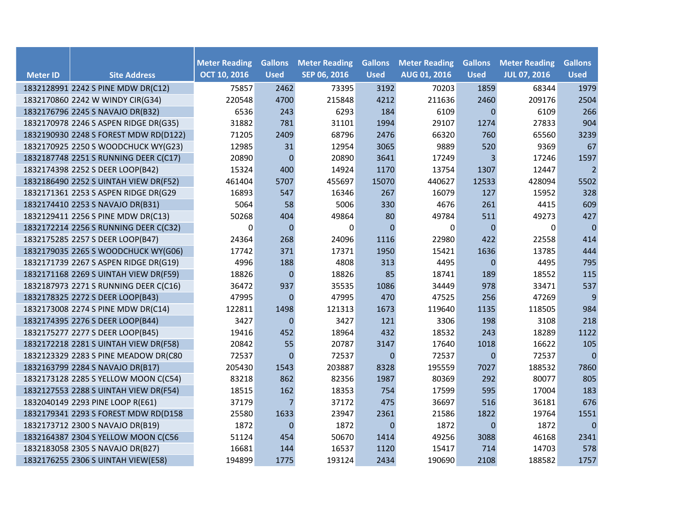|                 |                                       | <b>Meter Reading</b> | <b>Gallons</b>   |                                      | <b>Gallons</b> | <b>Meter Reading</b> | <b>Gallons</b>   | <b>Meter Reading</b> | <b>Gallons</b> |
|-----------------|---------------------------------------|----------------------|------------------|--------------------------------------|----------------|----------------------|------------------|----------------------|----------------|
| <b>Meter ID</b> | <b>Site Address</b>                   | <b>OCT 10, 2016</b>  | <b>Used</b>      | <b>Meter Reading</b><br>SEP 06, 2016 | <b>Used</b>    | AUG 01, 2016         | <b>Used</b>      | <b>JUL 07, 2016</b>  | <b>Used</b>    |
|                 | 1832128991 2242 S PINE MDW DR(C12)    | 75857                | 2462             | 73395                                | 3192           | 70203                | 1859             | 68344                | 1979           |
|                 | 1832170860 2242 W WINDY CIR(G34)      | 220548               | 4700             | 215848                               | 4212           | 211636               | 2460             | 209176               | 2504           |
|                 | 1832176796 2245 S NAVAJO DR(B32)      | 6536                 | 243              | 6293                                 | 184            | 6109                 | $\mathbf{0}$     | 6109                 | 266            |
|                 | 1832170978 2246 S ASPEN RIDGE DR(G35) | 31882                | 781              | 31101                                | 1994           | 29107                | 1274             | 27833                | 904            |
|                 | 1832190930 2248 S FOREST MDW RD(D122) | 71205                | 2409             | 68796                                | 2476           | 66320                | 760              | 65560                | 3239           |
|                 | 1832170925 2250 S WOODCHUCK WY(G23)   | 12985                | 31               | 12954                                | 3065           | 9889                 | 520              | 9369                 | 67             |
|                 | 1832187748 2251 S RUNNING DEER C(C17) | 20890                | $\boldsymbol{0}$ | 20890                                | 3641           | 17249                | 3                | 17246                | 1597           |
|                 | 1832174398 2252 S DEER LOOP(B42)      | 15324                | 400              | 14924                                | 1170           | 13754                | 1307             | 12447                | $\overline{2}$ |
|                 | 1832186490 2252 S UINTAH VIEW DR(F52) | 461404               | 5707             | 455697                               | 15070          | 440627               | 12533            | 428094               | 5502           |
|                 | 1832171361 2253 S ASPEN RIDGE DR(G29  | 16893                | 547              | 16346                                | 267            | 16079                | 127              | 15952                | 328            |
|                 | 1832174410 2253 S NAVAJO DR(B31)      | 5064                 | 58               | 5006                                 | 330            | 4676                 | 261              | 4415                 | 609            |
|                 | 1832129411 2256 S PINE MDW DR(C13)    | 50268                | 404              | 49864                                | 80             | 49784                | 511              | 49273                | 427            |
|                 | 1832172214 2256 S RUNNING DEER C(C32) | $\mathbf 0$          | $\mathbf 0$      | 0                                    | $\mathbf{0}$   | 0                    | $\overline{0}$   | 0                    | $\pmb{0}$      |
|                 | 1832175285 2257 S DEER LOOP(B47)      | 24364                | 268              | 24096                                | 1116           | 22980                | 422              | 22558                | 414            |
|                 | 1832179035 2265 S WOODCHUCK WY(G06)   | 17742                | 371              | 17371                                | 1950           | 15421                | 1636             | 13785                | 444            |
|                 | 1832171739 2267 S ASPEN RIDGE DR(G19) | 4996                 | 188              | 4808                                 | 313            | 4495                 | 0                | 4495                 | 795            |
|                 | 1832171168 2269 S UINTAH VIEW DR(F59) | 18826                | $\boldsymbol{0}$ | 18826                                | 85             | 18741                | 189              | 18552                | 115            |
|                 | 1832187973 2271 S RUNNING DEER C(C16) | 36472                | 937              | 35535                                | 1086           | 34449                | 978              | 33471                | 537            |
|                 | 1832178325 2272 S DEER LOOP(B43)      | 47995                | $\mathbf{0}$     | 47995                                | 470            | 47525                | 256              | 47269                | $9$            |
|                 | 1832173008 2274 S PINE MDW DR(C14)    | 122811               | 1498             | 121313                               | 1673           | 119640               | 1135             | 118505               | 984            |
|                 | 1832174395 2276 S DEER LOOP(B44)      | 3427                 | $\mathbf 0$      | 3427                                 | 121            | 3306                 | 198              | 3108                 | 218            |
|                 | 1832175277 2277 S DEER LOOP(B45)      | 19416                | 452              | 18964                                | 432            | 18532                | 243              | 18289                | 1122           |
|                 | 1832172218 2281 S UINTAH VIEW DR(F58) | 20842                | 55               | 20787                                | 3147           | 17640                | 1018             | 16622                | 105            |
|                 | 1832123329 2283 S PINE MEADOW DR(C80  | 72537                | $\mathbf{0}$     | 72537                                | $\mathbf{0}$   | 72537                | $\boldsymbol{0}$ | 72537                | $\mathbf 0$    |
|                 | 1832163799 2284 S NAVAJO DR(B17)      | 205430               | 1543             | 203887                               | 8328           | 195559               | 7027             | 188532               | 7860           |
|                 | 1832173128 2285 S YELLOW MOON C(C54)  | 83218                | 862              | 82356                                | 1987           | 80369                | 292              | 80077                | 805            |
|                 | 1832127553 2288 S UINTAH VIEW DR(F54) | 18515                | 162              | 18353                                | 754            | 17599                | 595              | 17004                | 183            |
|                 | 1832040149 2293 PINE LOOP R(E61)      | 37179                | 7                | 37172                                | 475            | 36697                | 516              | 36181                | 676            |
|                 | 1832179341 2293 S FOREST MDW RD(D158  | 25580                | 1633             | 23947                                | 2361           | 21586                | 1822             | 19764                | 1551           |
|                 | 1832173712 2300 S NAVAJO DR(B19)      | 1872                 | $\mathbf 0$      | 1872                                 | $\mathbf{0}$   | 1872                 | $\pmb{0}$        | 1872                 | $\pmb{0}$      |
|                 | 1832164387 2304 S YELLOW MOON C(C56   | 51124                | 454              | 50670                                | 1414           | 49256                | 3088             | 46168                | 2341           |
|                 | 1832183058 2305 S NAVAJO DR(B27)      | 16681                | 144              | 16537                                | 1120           | 15417                | 714              | 14703                | 578            |
|                 | 1832176255 2306 S UINTAH VIEW(E58)    | 194899               | 1775             | 193124                               | 2434           | 190690               | 2108             | 188582               | 1757           |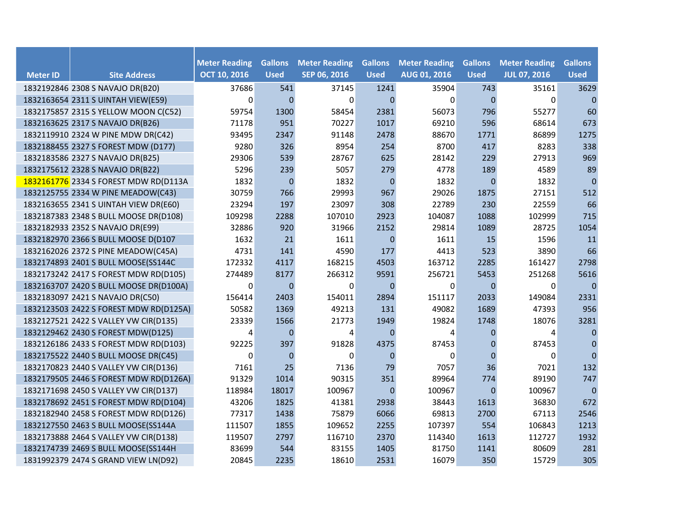| <b>Meter ID</b> | <b>Site Address</b>                    | <b>Meter Reading</b><br><b>OCT 10, 2016</b> | <b>Gallons</b><br><b>Used</b> | <b>Meter Reading</b><br>SEP 06, 2016 | <b>Gallons</b><br><b>Used</b> | <b>Meter Reading</b><br><b>AUG 01, 2016</b> | <b>Gallons</b><br><b>Used</b> | <b>Meter Reading</b><br><b>JUL 07, 2016</b> | <b>Gallons</b><br><b>Used</b> |
|-----------------|----------------------------------------|---------------------------------------------|-------------------------------|--------------------------------------|-------------------------------|---------------------------------------------|-------------------------------|---------------------------------------------|-------------------------------|
|                 | 1832192846 2308 S NAVAJO DR(B20)       | 37686                                       | 541                           | 37145                                | 1241                          | 35904                                       | 743                           | 35161                                       | 3629                          |
|                 | 1832163654 2311 S UINTAH VIEW(E59)     | $\mathbf 0$                                 | $\Omega$                      | $\mathbf 0$                          | $\Omega$                      | 0                                           | $\overline{0}$                | $\mathbf 0$                                 | $\mathbf 0$                   |
|                 | 1832175857 2315 S YELLOW MOON C(C52)   | 59754                                       | 1300                          | 58454                                | 2381                          | 56073                                       | 796                           | 55277                                       | 60                            |
|                 | 1832163625 2317 S NAVAJO DR(B26)       | 71178                                       | 951                           | 70227                                | 1017                          | 69210                                       | 596                           | 68614                                       | 673                           |
|                 | 1832119910 2324 W PINE MDW DR(C42)     | 93495                                       | 2347                          | 91148                                | 2478                          | 88670                                       | 1771                          | 86899                                       | 1275                          |
|                 | 1832188455 2327 S FOREST MDW (D177)    | 9280                                        | 326                           | 8954                                 | 254                           | 8700                                        | 417                           | 8283                                        | 338                           |
|                 | 1832183586 2327 S NAVAJO DR(B25)       | 29306                                       | 539                           | 28767                                | 625                           | 28142                                       | 229                           | 27913                                       | 969                           |
|                 | 1832175612 2328 S NAVAJO DR(B22)       | 5296                                        | 239                           | 5057                                 | 279                           | 4778                                        | 189                           | 4589                                        | 89                            |
|                 | 1832161776 2334 S FOREST MDW RD(D113A  | 1832                                        | $\boldsymbol{0}$              | 1832                                 | $\mathbf 0$                   | 1832                                        | $\mathbf{0}$                  | 1832                                        | $\mathbf 0$                   |
|                 | 1832125755 2334 W PINE MEADOW(C43)     | 30759                                       | 766                           | 29993                                | 967                           | 29026                                       | 1875                          | 27151                                       | 512                           |
|                 | 1832163655 2341 S UINTAH VIEW DR(E60)  | 23294                                       | 197                           | 23097                                | 308                           | 22789                                       | 230                           | 22559                                       | 66                            |
|                 | 1832187383 2348 S BULL MOOSE DR(D108)  | 109298                                      | 2288                          | 107010                               | 2923                          | 104087                                      | 1088                          | 102999                                      | 715                           |
|                 | 1832182933 2352 S NAVAJO DR(E99)       | 32886                                       | 920                           | 31966                                | 2152                          | 29814                                       | 1089                          | 28725                                       | 1054                          |
|                 | 1832182970 2366 S BULL MOOSE D(D107    | 1632                                        | 21                            | 1611                                 | $\mathbf{0}$                  | 1611                                        | 15                            | 1596                                        | 11                            |
|                 | 1832162026 2372 S PINE MEADOW(C45A)    | 4731                                        | 141                           | 4590                                 | 177                           | 4413                                        | 523                           | 3890                                        | 66                            |
|                 | 1832174893 2401 S BULL MOOSE(SS144C    | 172332                                      | 4117                          | 168215                               | 4503                          | 163712                                      | 2285                          | 161427                                      | 2798                          |
|                 | 1832173242 2417 S FOREST MDW RD(D105)  | 274489                                      | 8177                          | 266312                               | 9591                          | 256721                                      | 5453                          | 251268                                      | 5616                          |
|                 | 1832163707 2420 S BULL MOOSE DR(D100A) | 0                                           | $\mathbf{0}$                  | 0                                    | $\mathbf 0$                   | 0                                           | 0                             | 0                                           | $\mathbf{0}$                  |
|                 | 1832183097 2421 S NAVAJO DR(C50)       | 156414                                      | 2403                          | 154011                               | 2894                          | 151117                                      | 2033                          | 149084                                      | 2331                          |
|                 | 1832123503 2422 S FOREST MDW RD(D125A) | 50582                                       | 1369                          | 49213                                | 131                           | 49082                                       | 1689                          | 47393                                       | 956                           |
|                 | 1832127521 2422 S VALLEY VW CIR(D135)  | 23339                                       | 1566                          | 21773                                | 1949                          | 19824                                       | 1748                          | 18076                                       | 3281                          |
|                 | 1832129462 2430 S FOREST MDW(D125)     | 4                                           | $\Omega$                      | 4                                    | $\Omega$                      | 4                                           | $\overline{0}$                | 4                                           | 0                             |
|                 | 1832126186 2433 S FOREST MDW RD(D103)  | 92225                                       | 397                           | 91828                                | 4375                          | 87453                                       | $\mathbf 0$                   | 87453                                       | $\boldsymbol{0}$              |
|                 | 1832175522 2440 S BULL MOOSE DR(C45)   | $\mathbf 0$                                 | $\mathbf 0$                   | $\Omega$                             | $\Omega$                      | 0                                           | $\mathbf{0}$                  | 0                                           | $\mathbf 0$                   |
|                 | 1832170823 2440 S VALLEY VW CIR(D136)  | 7161                                        | 25                            | 7136                                 | 79                            | 7057                                        | 36                            | 7021                                        | 132                           |
|                 | 1832179505 2446 S FOREST MDW RD(D126A) | 91329                                       | 1014                          | 90315                                | 351                           | 89964                                       | 774                           | 89190                                       | 747                           |
|                 | 1832171698 2450 S VALLEY VW CIR(D137)  | 118984                                      | 18017                         | 100967                               | $\Omega$                      | 100967                                      | $\overline{0}$                | 100967                                      | $\mathbf{0}$                  |
|                 | 1832178692 2451 S FOREST MDW RD(D104)  | 43206                                       | 1825                          | 41381                                | 2938                          | 38443                                       | 1613                          | 36830                                       | 672                           |
|                 | 1832182940 2458 S FOREST MDW RD(D126)  | 77317                                       | 1438                          | 75879                                | 6066                          | 69813                                       | 2700                          | 67113                                       | 2546                          |
|                 | 1832127550 2463 S BULL MOOSE(SS144A    | 111507                                      | 1855                          | 109652                               | 2255                          | 107397                                      | 554                           | 106843                                      | 1213                          |
|                 | 1832173888 2464 S VALLEY VW CIR(D138)  | 119507                                      | 2797                          | 116710                               | 2370                          | 114340                                      | 1613                          | 112727                                      | 1932                          |
|                 | 1832174739 2469 S BULL MOOSE(SS144H    | 83699                                       | 544                           | 83155                                | 1405                          | 81750                                       | 1141                          | 80609                                       | 281                           |
|                 | 1831992379 2474 S GRAND VIEW LN(D92)   | 20845                                       | 2235                          | 18610                                | 2531                          | 16079                                       | 350                           | 15729                                       | 305                           |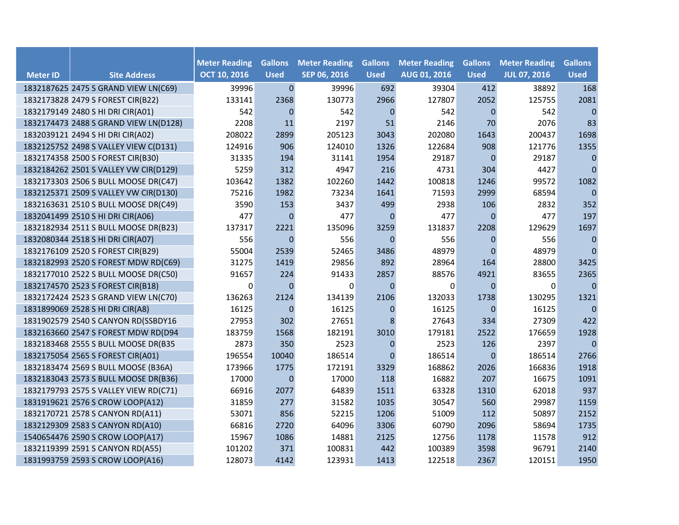| <b>Meter ID</b> | <b>Site Address</b>                   | <b>Meter Reading</b><br><b>OCT 10, 2016</b> | <b>Gallons</b><br><b>Used</b> | <b>Meter Reading</b><br>SEP 06, 2016 | <b>Gallons</b><br><b>Used</b> | <b>Meter Reading</b><br><b>AUG 01, 2016</b> | <b>Gallons</b><br><b>Used</b> | <b>Meter Reading</b><br><b>JUL 07, 2016</b> | <b>Gallons</b><br><b>Used</b> |
|-----------------|---------------------------------------|---------------------------------------------|-------------------------------|--------------------------------------|-------------------------------|---------------------------------------------|-------------------------------|---------------------------------------------|-------------------------------|
|                 | 1832187625 2475 S GRAND VIEW LN(C69)  | 39996                                       | $\pmb{0}$                     | 39996                                | 692                           | 39304                                       | 412                           | 38892                                       | 168                           |
|                 | 1832173828 2479 S FOREST CIR(B22)     | 133141                                      | 2368                          | 130773                               | 2966                          | 127807                                      | 2052                          | 125755                                      | 2081                          |
|                 | 1832179149 2480 S HI DRI CIR(A01)     | 542                                         | $\mathbf{0}$                  | 542                                  | $\Omega$                      | 542                                         | $\mathbf 0$                   | 542                                         | $\mathbf{0}$                  |
|                 | 1832174473 2488 S GRAND VIEW LN(D128) | 2208                                        | 11                            | 2197                                 | 51                            | 2146                                        | 70                            | 2076                                        | 83                            |
|                 | 1832039121 2494 S HI DRI CIR(A02)     | 208022                                      | 2899                          | 205123                               | 3043                          | 202080                                      | 1643                          | 200437                                      | 1698                          |
|                 | 1832125752 2498 S VALLEY VIEW C(D131) | 124916                                      | 906                           | 124010                               | 1326                          | 122684                                      | 908                           | 121776                                      | 1355                          |
|                 | 1832174358 2500 S FOREST CIR(B30)     | 31335                                       | 194                           | 31141                                | 1954                          | 29187                                       | 0                             | 29187                                       | $\pmb{0}$                     |
|                 | 1832184262 2501 S VALLEY VW CIR(D129) | 5259                                        | 312                           | 4947                                 | 216                           | 4731                                        | 304                           | 4427                                        | $\pmb{0}$                     |
|                 | 1832173303 2506 S BULL MOOSE DR(C47)  | 103642                                      | 1382                          | 102260                               | 1442                          | 100818                                      | 1246                          | 99572                                       | 1082                          |
|                 | 1832125371 2509 S VALLEY VW CIR(D130) | 75216                                       | 1982                          | 73234                                | 1641                          | 71593                                       | 2999                          | 68594                                       | $\mathbf{0}$                  |
|                 | 1832163631 2510 S BULL MOOSE DR(C49)  | 3590                                        | 153                           | 3437                                 | 499                           | 2938                                        | 106                           | 2832                                        | 352                           |
|                 | 1832041499 2510 S HI DRI CIR(A06)     | 477                                         | $\mathbf{0}$                  | 477                                  | $\mathbf 0$                   | 477                                         | $\boldsymbol{0}$              | 477                                         | 197                           |
|                 | 1832182934 2511 S BULL MOOSE DR(B23)  | 137317                                      | 2221                          | 135096                               | 3259                          | 131837                                      | 2208                          | 129629                                      | 1697                          |
|                 | 1832080344 2518 S HI DRI CIR(A07)     | 556                                         | $\mathbf{0}$                  | 556                                  | $\mathbf 0$                   | 556                                         | $\mathbf 0$                   | 556                                         | $\mathbf 0$                   |
|                 | 1832176109 2520 S FOREST CIR(B29)     | 55004                                       | 2539                          | 52465                                | 3486                          | 48979                                       | $\mathbf 0$                   | 48979                                       | $\mathbf{0}$                  |
|                 | 1832182993 2520 S FOREST MDW RD(C69)  | 31275                                       | 1419                          | 29856                                | 892                           | 28964                                       | 164                           | 28800                                       | 3425                          |
|                 | 1832177010 2522 S BULL MOOSE DR(C50)  | 91657                                       | 224                           | 91433                                | 2857                          | 88576                                       | 4921                          | 83655                                       | 2365                          |
|                 | 1832174570 2523 S FOREST CIR(B18)     | 0                                           | $\mathbf{0}$                  | 0                                    | $\mathbf 0$                   | 0                                           | $\mathbf 0$                   | 0                                           | $\mathbf{0}$                  |
|                 | 1832172424 2523 S GRAND VIEW LN(C70)  | 136263                                      | 2124                          | 134139                               | 2106                          | 132033                                      | 1738                          | 130295                                      | 1321                          |
|                 | 1831899069 2528 S HI DRI CIR(A8)      | 16125                                       | $\mathbf{0}$                  | 16125                                | $\mathbf 0$                   | 16125                                       | $\mathbf 0$                   | 16125                                       | $\mathbf{0}$                  |
|                 | 1831902579 2540 S CANYON RD(SSBDY16   | 27953                                       | 302                           | 27651                                | 8                             | 27643                                       | 334                           | 27309                                       | 422                           |
|                 | 1832163660 2547 S FOREST MDW RD(D94   | 183759                                      | 1568                          | 182191                               | 3010                          | 179181                                      | 2522                          | 176659                                      | 1928                          |
|                 | 1832183468 2555 S BULL MOOSE DR(B35   | 2873                                        | 350                           | 2523                                 | $\mathbf 0$                   | 2523                                        | 126                           | 2397                                        | $\mathbf{0}$                  |
|                 | 1832175054 2565 S FOREST CIR(A01)     | 196554                                      | 10040                         | 186514                               | $\Omega$                      | 186514                                      | $\Omega$                      | 186514                                      | 2766                          |
|                 | 1832183474 2569 S BULL MOOSE (B36A)   | 173966                                      | 1775                          | 172191                               | 3329                          | 168862                                      | 2026                          | 166836                                      | 1918                          |
|                 | 1832183043 2573 S BULL MOOSE DR(B36)  | 17000                                       | $\mathbf{0}$                  | 17000                                | 118                           | 16882                                       | 207                           | 16675                                       | 1091                          |
|                 | 1832179793 2575 S VALLEY VIEW RD(C71) | 66916                                       | 2077                          | 64839                                | 1511                          | 63328                                       | 1310                          | 62018                                       | 937                           |
|                 | 1831919621 2576 S CROW LOOP(A12)      | 31859                                       | 277                           | 31582                                | 1035                          | 30547                                       | 560                           | 29987                                       | 1159                          |
|                 | 1832170721 2578 S CANYON RD(A11)      | 53071                                       | 856                           | 52215                                | 1206                          | 51009                                       | 112                           | 50897                                       | 2152                          |
|                 | 1832129309 2583 S CANYON RD(A10)      | 66816                                       | 2720                          | 64096                                | 3306                          | 60790                                       | 2096                          | 58694                                       | 1735                          |
|                 | 1540654476 2590 S CROW LOOP(A17)      | 15967                                       | 1086                          | 14881                                | 2125                          | 12756                                       | 1178                          | 11578                                       | 912                           |
|                 | 1832119399 2591 S CANYON RD(A55)      | 101202                                      | 371                           | 100831                               | 442                           | 100389                                      | 3598                          | 96791                                       | 2140                          |
|                 | 1831993759 2593 S CROW LOOP(A16)      | 128073                                      | 4142                          | 123931                               | 1413                          | 122518                                      | 2367                          | 120151                                      | 1950                          |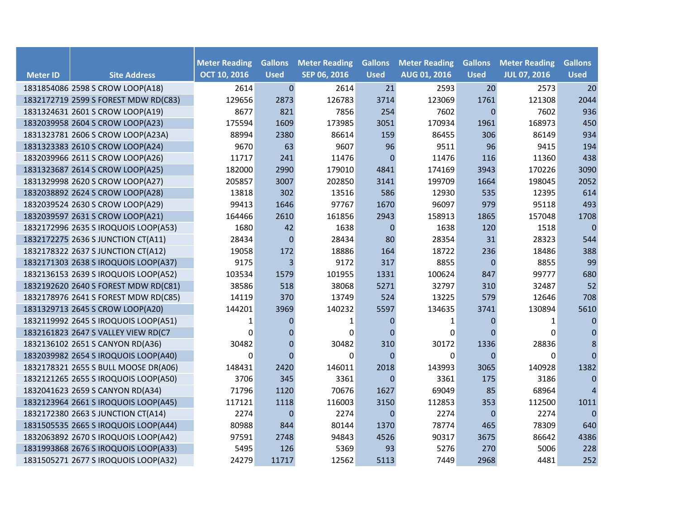|                 |                                      | <b>Meter Reading</b> | <b>Gallons</b>   | <b>Meter Reading</b> | <b>Gallons</b> | <b>Meter Reading</b> | <b>Gallons</b> | <b>Meter Reading</b> | <b>Gallons</b> |
|-----------------|--------------------------------------|----------------------|------------------|----------------------|----------------|----------------------|----------------|----------------------|----------------|
| <b>Meter ID</b> | <b>Site Address</b>                  | <b>OCT 10, 2016</b>  | <b>Used</b>      | SEP 06, 2016         | <b>Used</b>    | AUG 01, 2016         | <b>Used</b>    | <b>JUL 07, 2016</b>  | <b>Used</b>    |
|                 | 1831854086 2598 S CROW LOOP(A18)     | 2614                 | $\mathbf{0}$     | 2614                 | 21             | 2593                 | 20             | 2573                 | 20             |
|                 | 1832172719 2599 S FOREST MDW RD(C83) | 129656               | 2873             | 126783               | 3714           | 123069               | 1761           | 121308               | 2044           |
|                 | 1831324631 2601 S CROW LOOP(A19)     | 8677                 | 821              | 7856                 | 254            | 7602                 | $\mathbf 0$    | 7602                 | 936            |
|                 | 1832039958 2604 S CROW LOOP(A23)     | 175594               | 1609             | 173985               | 3051           | 170934               | 1961           | 168973               | 450            |
|                 | 1831323781 2606 S CROW LOOP(A23A)    | 88994                | 2380             | 86614                | 159            | 86455                | 306            | 86149                | 934            |
|                 | 1831323383 2610 S CROW LOOP(A24)     | 9670                 | 63               | 9607                 | 96             | 9511                 | 96             | 9415                 | 194            |
|                 | 1832039966 2611 S CROW LOOP(A26)     | 11717                | 241              | 11476                | $\mathbf 0$    | 11476                | 116            | 11360                | 438            |
|                 | 1831323687 2614 S CROW LOOP(A25)     | 182000               | 2990             | 179010               | 4841           | 174169               | 3943           | 170226               | 3090           |
|                 | 1831329998 2620 S CROW LOOP(A27)     | 205857               | 3007             | 202850               | 3141           | 199709               | 1664           | 198045               | 2052           |
|                 | 1832038892 2624 S CROW LOOP(A28)     | 13818                | 302              | 13516                | 586            | 12930                | 535            | 12395                | 614            |
|                 | 1832039524 2630 S CROW LOOP(A29)     | 99413                | 1646             | 97767                | 1670           | 96097                | 979            | 95118                | 493            |
|                 | 1832039597 2631 S CROW LOOP(A21)     | 164466               | 2610             | 161856               | 2943           | 158913               | 1865           | 157048               | 1708           |
|                 | 1832172996 2635 S IROQUOIS LOOP(A53) | 1680                 | 42               | 1638                 | $\mathbf 0$    | 1638                 | 120            | 1518                 | $\mathbf{0}$   |
|                 | 1832172275 2636 S JUNCTION CT(A11)   | 28434                | $\boldsymbol{0}$ | 28434                | 80             | 28354                | 31             | 28323                | 544            |
|                 | 1832178322 2637 S JUNCTION CT(A12)   | 19058                | 172              | 18886                | 164            | 18722                | 236            | 18486                | 388            |
|                 | 1832171303 2638 S IROQUOIS LOOP(A37) | 9175                 | 3                | 9172                 | 317            | 8855                 | $\mathbf 0$    | 8855                 | 99             |
|                 | 1832136153 2639 S IROQUOIS LOOP(A52) | 103534               | 1579             | 101955               | 1331           | 100624               | 847            | 99777                | 680            |
|                 | 1832192620 2640 S FOREST MDW RD(C81) | 38586                | 518              | 38068                | 5271           | 32797                | 310            | 32487                | 52             |
|                 | 1832178976 2641 S FOREST MDW RD(C85) | 14119                | 370              | 13749                | 524            | 13225                | 579            | 12646                | 708            |
|                 | 1831329713 2645 S CROW LOOP(A20)     | 144201               | 3969             | 140232               | 5597           | 134635               | 3741           | 130894               | 5610           |
|                 | 1832119992 2645 S IROQUOIS LOOP(A51) | 1                    | 0                | 1                    | $\mathbf 0$    | 1                    | 0              | 1                    | $\mathbf{0}$   |
|                 | 1832161823 2647 S VALLEY VIEW RD(C7  | 0                    | $\overline{0}$   | $\Omega$             | $\overline{0}$ | $\mathbf 0$          | $\Omega$       | $\Omega$             | $\mathbf 0$    |
|                 | 1832136102 2651 S CANYON RD(A36)     | 30482                | $\mathbf 0$      | 30482                | 310            | 30172                | 1336           | 28836                | $\bf 8$        |
|                 | 1832039982 2654 S IROQUOIS LOOP(A40) | $\mathbf 0$          | $\Omega$         | $\mathbf 0$          | $\Omega$       | 0                    | $\mathbf{0}$   | 0                    | $\mathbf{0}$   |
|                 | 1832178321 2655 S BULL MOOSE DR(A06) | 148431               | 2420             | 146011               | 2018           | 143993               | 3065           | 140928               | 1382           |
|                 | 1832121265 2655 S IROQUOIS LOOP(A50) | 3706                 | 345              | 3361                 | $\overline{0}$ | 3361                 | 175            | 3186                 | $\mathbf{0}$   |
|                 | 1832041623 2659 S CANYON RD(A34)     | 71796                | 1120             | 70676                | 1627           | 69049                | 85             | 68964                | $\overline{4}$ |
|                 | 1832123964 2661 S IROQUOIS LOOP(A45) | 117121               | 1118             | 116003               | 3150           | 112853               | 353            | 112500               | 1011           |
|                 | 1832172380 2663 S JUNCTION CT(A14)   | 2274                 | $\mathbf 0$      | 2274                 | $\mathbf 0$    | 2274                 | 0              | 2274                 | $\mathbf{0}$   |
|                 | 1831505535 2665 S IROQUOIS LOOP(A44) | 80988                | 844              | 80144                | 1370           | 78774                | 465            | 78309                | 640            |
|                 | 1832063892 2670 S IROQUOIS LOOP(A42) | 97591                | 2748             | 94843                | 4526           | 90317                | 3675           | 86642                | 4386           |
|                 | 1831993868 2676 S IROQUOIS LOOP(A33) | 5495                 | 126              | 5369                 | 93             | 5276                 | 270            | 5006                 | 228            |
|                 | 1831505271 2677 S IROQUOIS LOOP(A32) | 24279                | 11717            | 12562                | 5113           | 7449                 | 2968           | 4481                 | 252            |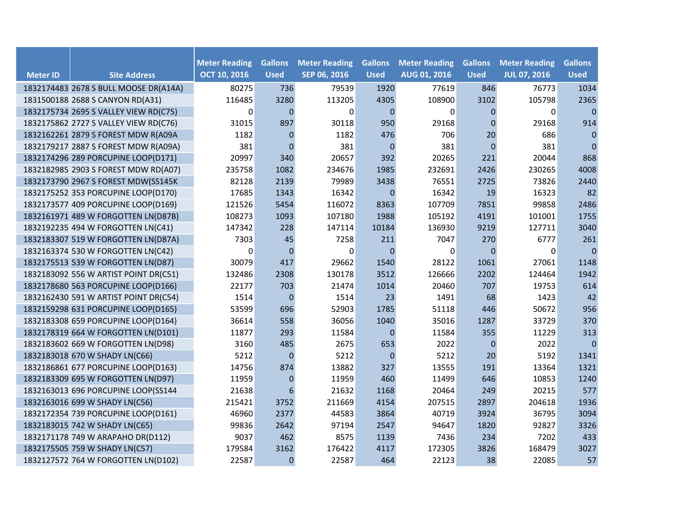| <b>Meter ID</b> | <b>Site Address</b>                   | <b>Meter Reading</b><br><b>OCT 10, 2016</b> | <b>Gallons</b><br><b>Used</b> | <b>Meter Reading</b><br>SEP 06, 2016 | <b>Gallons</b><br><b>Used</b> | <b>Meter Reading</b><br><b>AUG 01, 2016</b> | <b>Gallons</b><br><b>Used</b> | <b>Meter Reading</b><br><b>JUL 07, 2016</b> | <b>Gallons</b><br><b>Used</b> |
|-----------------|---------------------------------------|---------------------------------------------|-------------------------------|--------------------------------------|-------------------------------|---------------------------------------------|-------------------------------|---------------------------------------------|-------------------------------|
|                 | 1832174483 2678 S BULL MOOSE DR(A14A) | 80275                                       | 736                           | 79539                                | 1920                          | 77619                                       | 846                           | 76773                                       | 1034                          |
|                 | 1831500188 2688 S CANYON RD(A31)      | 116485                                      | 3280                          | 113205                               | 4305                          | 108900                                      | 3102                          | 105798                                      | 2365                          |
|                 | 1832175734 2695 S VALLEY VIEW RD(C75) | 0                                           | $\mathbf{0}$                  | $\Omega$                             | $\mathbf{0}$                  | 0                                           | 0                             | $\mathbf 0$                                 | $\mathbf{0}$                  |
|                 | 1832175862 2727 S VALLEY VIEW RD(C76) | 31015                                       | 897                           | 30118                                | 950                           | 29168                                       | $\mathbf{0}$                  | 29168                                       | 914                           |
|                 | 1832162261 2879 S FOREST MDW R(A09A   | 1182                                        | $\Omega$                      | 1182                                 | 476                           | 706                                         | 20                            | 686                                         | $\mathbf{0}$                  |
|                 | 1832179217 2887 S FOREST MDW R(A09A)  | 381                                         | $\Omega$                      | 381                                  | $\mathbf{0}$                  | 381                                         | $\overline{0}$                | 381                                         | $\mathbf{0}$                  |
|                 | 1832174296 289 PORCUPINE LOOP(D171)   | 20997                                       | 340                           | 20657                                | 392                           | 20265                                       | 221                           | 20044                                       | 868                           |
|                 | 1832182985 2903 S FOREST MDW RD(A07)  | 235758                                      | 1082                          | 234676                               | 1985                          | 232691                                      | 2426                          | 230265                                      | 4008                          |
|                 | 1832173790 2967 S FOREST MDW(SS145K   | 82128                                       | 2139                          | 79989                                | 3438                          | 76551                                       | 2725                          | 73826                                       | 2440                          |
|                 | 1832175252 353 PORCUPINE LOOP(D170)   | 17685                                       | 1343                          | 16342                                | $\mathbf 0$                   | 16342                                       | 19                            | 16323                                       | 82                            |
|                 | 1832173577 409 PORCUPINE LOOP(D169)   | 121526                                      | 5454                          | 116072                               | 8363                          | 107709                                      | 7851                          | 99858                                       | 2486                          |
|                 | 1832161971 489 W FORGOTTEN LN(D87B)   | 108273                                      | 1093                          | 107180                               | 1988                          | 105192                                      | 4191                          | 101001                                      | 1755                          |
|                 | 1832192235 494 W FORGOTTEN LN(C41)    | 147342                                      | 228                           | 147114                               | 10184                         | 136930                                      | 9219                          | 127711                                      | 3040                          |
|                 | 1832183307 519 W FORGOTTEN LN(D87A)   | 7303                                        | 45                            | 7258                                 | 211                           | 7047                                        | 270                           | 6777                                        | 261                           |
|                 | 1832163374 530 W FORGOTTEN LN(C42)    | 0                                           | $\mathbf{0}$                  | 0                                    | $\mathbf 0$                   | 0                                           | $\overline{0}$                | 0                                           | $\mathbf{0}$                  |
|                 | 1832175513 539 W FORGOTTEN LN(D87)    | 30079                                       | 417                           | 29662                                | 1540                          | 28122                                       | 1061                          | 27061                                       | 1148                          |
|                 | 1832183092 556 W ARTIST POINT DR(C51) | 132486                                      | 2308                          | 130178                               | 3512                          | 126666                                      | 2202                          | 124464                                      | 1942                          |
|                 | 1832178680 563 PORCUPINE LOOP(D166)   | 22177                                       | 703                           | 21474                                | 1014                          | 20460                                       | 707                           | 19753                                       | 614                           |
|                 | 1832162430 591 W ARTIST POINT DR(C54) | 1514                                        | $\mathbf{0}$                  | 1514                                 | 23                            | 1491                                        | 68                            | 1423                                        | 42                            |
|                 | 1832159298 631 PORCUPINE LOOP(D165)   | 53599                                       | 696                           | 52903                                | 1785                          | 51118                                       | 446                           | 50672                                       | 956                           |
|                 | 1832183308 659 PORCUPINE LOOP(D164)   | 36614                                       | 558                           | 36056                                | 1040                          | 35016                                       | 1287                          | 33729                                       | 370                           |
|                 | 1832178319 664 W FORGOTTEN LN(D101)   | 11877                                       | 293                           | 11584                                | $\mathbf 0$                   | 11584                                       | 355                           | 11229                                       | 313                           |
|                 | 1832183602 669 W FORGOTTEN LN(D98)    | 3160                                        | 485                           | 2675                                 | 653                           | 2022                                        | $\mathbf 0$                   | 2022                                        | $\pmb{0}$                     |
|                 | 1832183018 670 W SHADY LN(C66)        | 5212                                        | $\Omega$                      | 5212                                 | $\mathbf{0}$                  | 5212                                        | 20                            | 5192                                        | 1341                          |
|                 | 1832186861 677 PORCUPINE LOOP(D163)   | 14756                                       | 874                           | 13882                                | 327                           | 13555                                       | 191                           | 13364                                       | 1321                          |
|                 | 1832183309 695 W FORGOTTEN LN(D97)    | 11959                                       | $\mathbf{0}$                  | 11959                                | 460                           | 11499                                       | 646                           | 10853                                       | 1240                          |
|                 | 1832163013 696 PORCUPINE LOOP(SS144   | 21638                                       | 6                             | 21632                                | 1168                          | 20464                                       | 249                           | 20215                                       | 577                           |
|                 | 1832163016 699 W SHADY LN(C56)        | 215421                                      | 3752                          | 211669                               | 4154                          | 207515                                      | 2897                          | 204618                                      | 1936                          |
|                 | 1832172354 739 PORCUPINE LOOP(D161)   | 46960                                       | 2377                          | 44583                                | 3864                          | 40719                                       | 3924                          | 36795                                       | 3094                          |
|                 | 1832183015 742 W SHADY LN(C65)        | 99836                                       | 2642                          | 97194                                | 2547                          | 94647                                       | 1820                          | 92827                                       | 3326                          |
|                 | 1832171178 749 W ARAPAHO DR(D112)     | 9037                                        | 462                           | 8575                                 | 1139                          | 7436                                        | 234                           | 7202                                        | 433                           |
|                 | 1832175505 759 W SHADY LN(C57)        | 179584                                      | 3162                          | 176422                               | 4117                          | 172305                                      | 3826                          | 168479                                      | 3027                          |
|                 | 1832127572 764 W FORGOTTEN LN(D102)   | 22587                                       | $\mathbf{0}$                  | 22587                                | 464                           | 22123                                       | 38                            | 22085                                       | 57                            |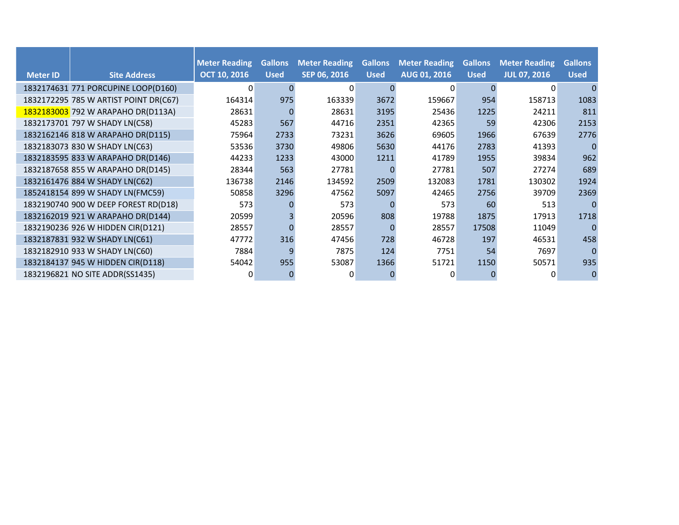|                 |                                       | <b>Meter Reading</b> | <b>Gallons</b> | <b>Meter Reading</b> | <b>Gallons</b> | <b>Meter Reading</b> | <b>Gallons</b> | <b>Meter Reading</b> | <b>Gallons</b> |
|-----------------|---------------------------------------|----------------------|----------------|----------------------|----------------|----------------------|----------------|----------------------|----------------|
| <b>Meter ID</b> | <b>Site Address</b>                   | <b>OCT 10, 2016</b>  | <b>Used</b>    | SEP 06, 2016         | <b>Used</b>    | AUG 01, 2016         | <b>Used</b>    | <b>JUL 07, 2016</b>  | <b>Used</b>    |
|                 | 1832174631 771 PORCUPINE LOOP(D160)   | 0                    |                | $\Omega$             | $\Omega$       | 0                    | <sup>0</sup>   | $\Omega$             |                |
|                 | 1832172295 785 W ARTIST POINT DR(C67) | 164314               | 975            | 163339               | 3672           | 159667               | 954            | 158713               | 1083           |
|                 | 1832183003 792 W ARAPAHO DR(D113A)    | 28631                |                | 28631                | 3195           | 25436                | 1225           | 24211                | 811            |
|                 | 1832173701 797 W SHADY LN(C58)        | 45283                | 567            | 44716                | 2351           | 42365                | 59             | 42306                | 2153           |
|                 | 1832162146 818 W ARAPAHO DR(D115)     | 75964                | 2733           | 73231                | 3626           | 69605                | 1966           | 67639                | 2776           |
|                 | 1832183073 830 W SHADY LN(C63)        | 53536                | 3730           | 49806                | 5630           | 44176                | 2783           | 41393                |                |
|                 | 1832183595 833 W ARAPAHO DR(D146)     | 44233                | 1233           | 43000                | 1211           | 41789                | 1955           | 39834                | 962            |
|                 | 1832187658 855 W ARAPAHO DR(D145)     | 28344                | 563            | 27781                | $\Omega$       | 27781                | 507            | 27274                | 689            |
|                 | 1832161476 884 W SHADY LN(C62)        | 136738               | 2146           | 134592               | 2509           | 132083               | 1781           | 130302               | 1924           |
|                 | 1852418154 899 W SHADY LN(FMC59)      | 50858                | 3296           | 47562                | 5097           | 42465                | 2756           | 39709                | 2369           |
|                 | 1832190740 900 W DEEP FOREST RD(D18)  | 573                  |                | 573                  |                | 573                  | 60             | 513                  |                |
|                 | 1832162019 921 W ARAPAHO DR(D144)     | 20599                |                | 20596                | 808            | 19788                | 1875           | 17913                | 1718           |
|                 | 1832190236 926 W HIDDEN CIR(D121)     | 28557                |                | 28557                | $\Omega$       | 28557                | 17508          | 11049                |                |
|                 | 1832187831 932 W SHADY LN(C61)        | 47772                | 316            | 47456                | 728            | 46728                | 197            | 46531                | 458            |
|                 | 1832182910 933 W SHADY LN(C60)        | 7884                 | q              | 7875                 | 124            | 7751                 | 54             | 7697                 |                |
|                 | 1832184137 945 W HIDDEN CIR(D118)     | 54042                | 955            | 53087                | 1366           | 51721                | 1150           | 50571                | 935            |
|                 | 1832196821 NO SITE ADDR(SS1435)       | 0                    |                | 0                    |                | 0                    | 0              | $\Omega$             |                |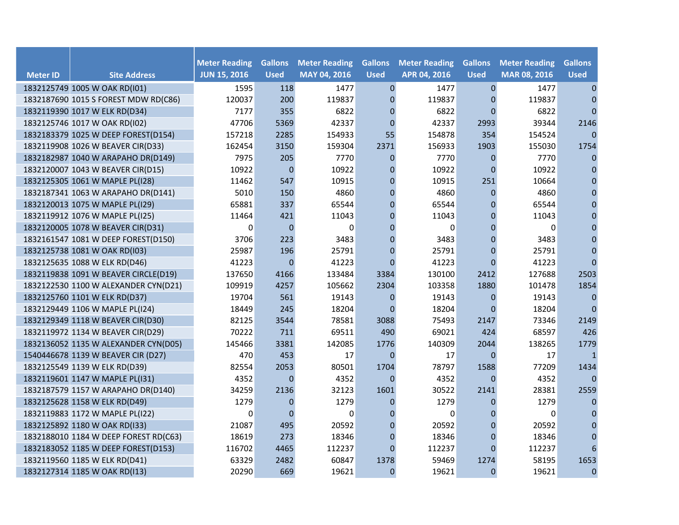|                 |                                       | <b>Meter Reading</b> | <b>Gallons</b> | <b>Meter Reading</b> | <b>Gallons</b>   | <b>Meter Reading</b> | <b>Gallons</b>   | <b>Meter Reading</b> | <b>Gallons</b> |
|-----------------|---------------------------------------|----------------------|----------------|----------------------|------------------|----------------------|------------------|----------------------|----------------|
| <b>Meter ID</b> | <b>Site Address</b>                   | <b>JUN 15, 2016</b>  | <b>Used</b>    | MAY 04, 2016         | <b>Used</b>      | APR 04, 2016         | <b>Used</b>      | MAR 08, 2016         | <b>Used</b>    |
|                 | 1832125749 1005 W OAK RD(I01)         | 1595                 | 118            | 1477                 | $\mathbf{0}$     | 1477                 | $\mathbf{0}$     | 1477                 | $\mathbf{0}$   |
|                 | 1832187690 1015 S FOREST MDW RD(C86)  | 120037               | 200            | 119837               | $\mathbf{0}$     | 119837               | $\Omega$         | 119837               | $\mathbf{0}$   |
|                 | 1832119390 1017 W ELK RD(D34)         | 7177                 | 355            | 6822                 | $\mathbf 0$      | 6822                 | $\mathbf{0}$     | 6822                 | $\mathbf{0}$   |
|                 | 1832125746 1017 W OAK RD(I02)         | 47706                | 5369           | 42337                | $\mathbf{0}$     | 42337                | 2993             | 39344                | 2146           |
|                 | 1832183379 1025 W DEEP FOREST(D154)   | 157218               | 2285           | 154933               | 55               | 154878               | 354              | 154524               | $\mathbf{0}$   |
|                 | 1832119908 1026 W BEAVER CIR(D33)     | 162454               | 3150           | 159304               | 2371             | 156933               | 1903             | 155030               | 1754           |
|                 | 1832182987 1040 W ARAPAHO DR(D149)    | 7975                 | 205            | 7770                 | $\boldsymbol{0}$ | 7770                 | $\boldsymbol{0}$ | 7770                 | $\mathbf{0}$   |
|                 | 1832120007 1043 W BEAVER CIR(D15)     | 10922                | $\pmb{0}$      | 10922                | $\boldsymbol{0}$ | 10922                | $\Omega$         | 10922                | 0              |
|                 | 1832125305 1061 W MAPLE PL(I28)       | 11462                | 547            | 10915                | $\pmb{0}$        | 10915                | 251              | 10664                | $\mathbf{0}$   |
|                 | 1832187341 1063 W ARAPAHO DR(D141)    | 5010                 | 150            | 4860                 | $\pmb{0}$        | 4860                 | $\pmb{0}$        | 4860                 | $\mathbf{0}$   |
|                 | 1832120013 1075 W MAPLE PL(I29)       | 65881                | 337            | 65544                | $\pmb{0}$        | 65544                | $\overline{0}$   | 65544                | $\mathbf{0}$   |
|                 | 1832119912 1076 W MAPLE PL(I25)       | 11464                | 421            | 11043                | $\mathbf 0$      | 11043                | $\overline{0}$   | 11043                | 0              |
|                 | 1832120005 1078 W BEAVER CIR(D31)     | 0                    | $\Omega$       | $\Omega$             | $\mathbf{0}$     | $\Omega$             | $\overline{0}$   | $\Omega$             | $\mathbf{0}$   |
|                 | 1832161547 1081 W DEEP FOREST(D150)   | 3706                 | 223            | 3483                 | $\mathbf 0$      | 3483                 | $\mathbf 0$      | 3483                 | $\mathbf{0}$   |
|                 | 1832125738 1081 W OAK RD(I03)         | 25987                | 196            | 25791                | $\mathbf{0}$     | 25791                | $\mathbf 0$      | 25791                | $\pmb{0}$      |
|                 | 1832125635 1088 W ELK RD(D46)         | 41223                | $\mathbf{0}$   | 41223                | $\Omega$         | 41223                | $\Omega$         | 41223                | $\mathbf{0}$   |
|                 | 1832119838 1091 W BEAVER CIRCLE(D19)  | 137650               | 4166           | 133484               | 3384             | 130100               | 2412             | 127688               | 2503           |
|                 | 1832122530 1100 W ALEXANDER CYN(D21)  | 109919               | 4257           | 105662               | 2304             | 103358               | 1880             | 101478               | 1854           |
|                 | 1832125760 1101 W ELK RD(D37)         | 19704                | 561            | 19143                | $\Omega$         | 19143                | $\mathbf{0}$     | 19143                | $\mathbf{0}$   |
|                 | 1832129449 1106 W MAPLE PL(I24)       | 18449                | 245            | 18204                | $\Omega$         | 18204                | $\Omega$         | 18204                | $\Omega$       |
|                 | 1832129349 1118 W BEAVER CIR(D30)     | 82125                | 3544           | 78581                | 3088             | 75493                | 2147             | 73346                | 2149           |
|                 | 1832119972 1134 W BEAVER CIR(D29)     | 70222                | 711            | 69511                | 490              | 69021                | 424              | 68597                | 426            |
|                 | 1832136052 1135 W ALEXANDER CYN(D05)  | 145466               | 3381           | 142085               | 1776             | 140309               | 2044             | 138265               | 1779           |
|                 | 1540446678 1139 W BEAVER CIR (D27)    | 470                  | 453            | 17                   | $\mathbf{0}$     | 17                   | $\overline{0}$   | 17                   | $\mathbf{1}$   |
|                 | 1832125549 1139 W ELK RD(D39)         | 82554                | 2053           | 80501                | 1704             | 78797                | 1588             | 77209                | 1434           |
|                 | 1832119601 1147 W MAPLE PL(I31)       | 4352                 | $\overline{0}$ | 4352                 | $\Omega$         | 4352                 | $\overline{0}$   | 4352                 | $\mathbf{0}$   |
|                 | 1832187579 1157 W ARAPAHO DR(D140)    | 34259                | 2136           | 32123                | 1601             | 30522                | 2141             | 28381                | 2559           |
|                 | 1832125628 1158 W ELK RD(D49)         | 1279                 | $\overline{0}$ | 1279                 | $\mathbf{0}$     | 1279                 | $\Omega$         | 1279                 | $\mathbf{0}$   |
|                 | 1832119883 1172 W MAPLE PL(I22)       | 0                    | $\Omega$       | $\Omega$             | $\mathbf{0}$     | 0                    | $\overline{0}$   | 0                    | $\mathbf{0}$   |
|                 | 1832125892 1180 W OAK RD(I33)         | 21087                | 495            | 20592                | $\mathbf 0$      | 20592                | $\mathbf 0$      | 20592                | $\mathbf{0}$   |
|                 | 1832188010 1184 W DEEP FOREST RD(C63) | 18619                | 273            | 18346                | $\mathbf 0$      | 18346                | $\mathbf{0}$     | 18346                | $\pmb{0}$      |
|                 | 1832183052 1185 W DEEP FOREST(D153)   | 116702               | 4465           | 112237               | $\Omega$         | 112237               | $\Omega$         | 112237               | 6              |
|                 | 1832119560 1185 W ELK RD(D41)         | 63329                | 2482           | 60847                | 1378             | 59469                | 1274             | 58195                | 1653           |
|                 | 1832127314 1185 W OAK RD(I13)         | 20290                | 669            | 19621                | $\Omega$         | 19621                | $\overline{0}$   | 19621                | $\mathbf{0}$   |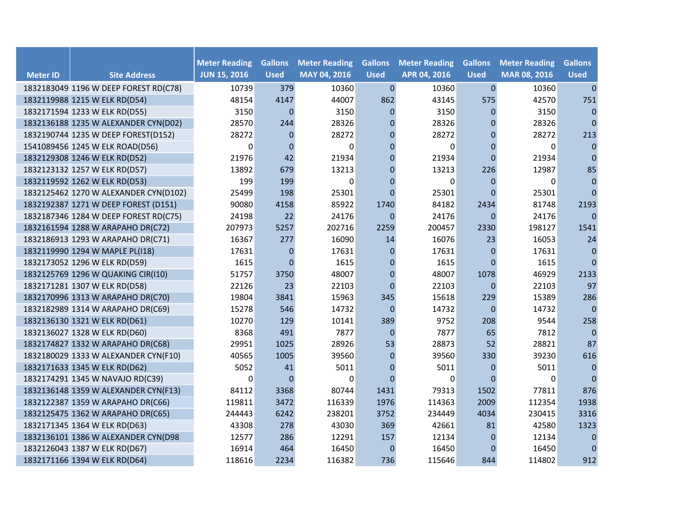|                 |                                       | <b>Meter Reading</b> | <b>Gallons</b> | <b>Meter Reading</b> | <b>Gallons</b> | <b>Meter Reading</b> | <b>Gallons</b>   | <b>Meter Reading</b> | <b>Gallons</b> |
|-----------------|---------------------------------------|----------------------|----------------|----------------------|----------------|----------------------|------------------|----------------------|----------------|
| <b>Meter ID</b> | <b>Site Address</b>                   | <b>JUN 15, 2016</b>  | <b>Used</b>    | MAY 04, 2016         | <b>Used</b>    | APR 04, 2016         | <b>Used</b>      | MAR 08, 2016         | <b>Used</b>    |
|                 | 1832183049 1196 W DEEP FOREST RD(C78) | 10739                | 379            | 10360                | $\mathbf{0}$   | 10360                | $\mathbf 0$      | 10360                | $\mathbf{0}$   |
|                 | 1832119988 1215 W ELK RD(D54)         | 48154                | 4147           | 44007                | 862            | 43145                | 575              | 42570                | 751            |
|                 | 1832171594 1233 W ELK RD(D55)         | 3150                 | $\Omega$       | 3150                 | $\Omega$       | 3150                 | $\Omega$         | 3150                 | $\mathbf{0}$   |
|                 | 1832136188 1235 W ALEXANDER CYN(D02)  | 28570                | 244            | 28326                | $\Omega$       | 28326                | $\Omega$         | 28326                | $\mathbf{0}$   |
|                 | 1832190744 1235 W DEEP FOREST(D152)   | 28272                | $\mathbf{0}$   | 28272                | $\mathbf 0$    | 28272                | $\overline{0}$   | 28272                | 213            |
|                 | 1541089456 1245 W ELK ROAD(D56)       | $\Omega$             | $\mathbf 0$    | $\Omega$             | $\Omega$       | $\Omega$             | $\overline{0}$   | $\Omega$             | $\mathbf{0}$   |
|                 | 1832129308 1246 W ELK RD(D52)         | 21976                | 42             | 21934                | $\mathbf 0$    | 21934                | $\overline{0}$   | 21934                | $\mathbf 0$    |
|                 | 1832123132 1257 W ELK RD(D57)         | 13892                | 679            | 13213                | $\mathbf 0$    | 13213                | 226              | 12987                | 85             |
|                 | 1832119592 1262 W ELK RD(D53)         | 199                  | 199            | $\Omega$             | $\Omega$       | 0                    | $\Omega$         | $\Omega$             | $\mathbf{0}$   |
|                 | 1832125462 1270 W ALEXANDER CYN(D102) | 25499                | 198            | 25301                | $\Omega$       | 25301                | $\overline{0}$   | 25301                | $\mathbf{0}$   |
|                 | 1832192387 1271 W DEEP FOREST (D151)  | 90080                | 4158           | 85922                | 1740           | 84182                | 2434             | 81748                | 2193           |
|                 | 1832187346 1284 W DEEP FOREST RD(C75) | 24198                | 22             | 24176                | $\mathbf{0}$   | 24176                | $\mathbf 0$      | 24176                | $\mathbf{0}$   |
|                 | 1832161594 1288 W ARAPAHO DR(C72)     | 207973               | 5257           | 202716               | 2259           | 200457               | 2330             | 198127               | 1541           |
|                 | 1832186913 1293 W ARAPAHO DR(C71)     | 16367                | 277            | 16090                | 14             | 16076                | 23               | 16053                | 24             |
|                 | 1832119990 1294 W MAPLE PL(I18)       | 17631                | $\mathbf{0}$   | 17631                | $\mathbf{0}$   | 17631                | $\Omega$         | 17631                | $\mathbf{0}$   |
|                 | 1832173052 1296 W ELK RD(D59)         | 1615                 | $\overline{0}$ | 1615                 | $\mathbf 0$    | 1615                 | $\Omega$         | 1615                 | $\mathbf{0}$   |
|                 | 1832125769 1296 W QUAKING CIR(I10)    | 51757                | 3750           | 48007                | $\mathbf 0$    | 48007                | 1078             | 46929                | 2133           |
|                 | 1832171281 1307 W ELK RD(D58)         | 22126                | 23             | 22103                | $\Omega$       | 22103                | $\Omega$         | 22103                | 97             |
|                 | 1832170996 1313 W ARAPAHO DR(C70)     | 19804                | 3841           | 15963                | 345            | 15618                | 229              | 15389                | 286            |
|                 | 1832182989 1314 W ARAPAHO DR(C69)     | 15278                | 546            | 14732                | $\Omega$       | 14732                | $\Omega$         | 14732                | $\mathbf{0}$   |
|                 | 1832136130 1321 W ELK RD(D61)         | 10270                | 129            | 10141                | 389            | 9752                 | 208              | 9544                 | 258            |
|                 | 1832136027 1328 W ELK RD(D60)         | 8368                 | 491            | 7877                 | $\mathbf{0}$   | 7877                 | 65               | 7812                 | $\pmb{0}$      |
|                 | 1832174827 1332 W ARAPAHO DR(C68)     | 29951                | 1025           | 28926                | 53             | 28873                | 52               | 28821                | 87             |
|                 | 1832180029 1333 W ALEXANDER CYN(F10)  | 40565                | 1005           | 39560                | $\Omega$       | 39560                | 330              | 39230                | 616            |
|                 | 1832171633 1345 W ELK RD(D62)         | 5052                 | 41             | 5011                 | $\Omega$       | 5011                 | $\overline{0}$   | 5011                 | $\pmb{0}$      |
|                 | 1832174291 1345 W NAVAJO RD(C39)      | 0                    | $\Omega$       | $\Omega$             | $\Omega$       | $\Omega$             | $\Omega$         | $\Omega$             | $\mathbf{0}$   |
|                 | 1832136148 1359 W ALEXANDER CYN(F13)  | 84112                | 3368           | 80744                | 1431           | 79313                | 1502             | 77811                | 876            |
|                 | 1832122387 1359 W ARAPAHO DR(C66)     | 119811               | 3472           | 116339               | 1976           | 114363               | 2009             | 112354               | 1938           |
|                 | 1832125475 1362 W ARAPAHO DR(C65)     | 244443               | 6242           | 238201               | 3752           | 234449               | 4034             | 230415               | 3316           |
|                 | 1832171345 1364 W ELK RD(D63)         | 43308                | 278            | 43030                | 369            | 42661                | 81               | 42580                | 1323           |
|                 | 1832136101 1386 W ALEXANDER CYN(D98   | 12577                | 286            | 12291                | 157            | 12134                | $\boldsymbol{0}$ | 12134                | $\pmb{0}$      |
|                 | 1832126043 1387 W ELK RD(D67)         | 16914                | 464            | 16450                | $\mathbf 0$    | 16450                | $\Omega$         | 16450                | $\mathbf{0}$   |
|                 | 1832171166 1394 W ELK RD(D64)         | 118616               | 2234           | 116382               | 736            | 115646               | 844              | 114802               | 912            |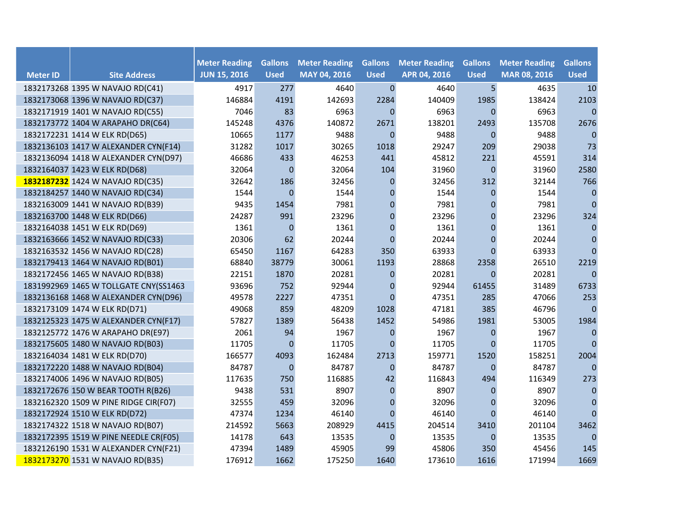|                 |                                       | <b>Meter Reading</b> | <b>Gallons</b>   | <b>Meter Reading</b> | <b>Gallons</b> | <b>Meter Reading</b> | <b>Gallons</b> | <b>Meter Reading</b> | <b>Gallons</b> |
|-----------------|---------------------------------------|----------------------|------------------|----------------------|----------------|----------------------|----------------|----------------------|----------------|
| <b>Meter ID</b> | <b>Site Address</b>                   | <b>JUN 15, 2016</b>  | <b>Used</b>      | MAY 04, 2016         | <b>Used</b>    | APR 04, 2016         | <b>Used</b>    | MAR 08, 2016         | <b>Used</b>    |
|                 | 1832173268 1395 W NAVAJO RD(C41)      | 4917                 | 277              | 4640                 | $\mathbf{0}$   | 4640                 | 5 <sub>5</sub> | 4635                 | 10             |
|                 | 1832173068 1396 W NAVAJO RD(C37)      | 146884               | 4191             | 142693               | 2284           | 140409               | 1985           | 138424               | 2103           |
|                 | 1832171919 1401 W NAVAJO RD(C55)      | 7046                 | 83               | 6963                 | $\Omega$       | 6963                 | $\mathbf{0}$   | 6963                 | $\Omega$       |
|                 | 1832173772 1404 W ARAPAHO DR(C64)     | 145248               | 4376             | 140872               | 2671           | 138201               | 2493           | 135708               | 2676           |
|                 | 1832172231 1414 W ELK RD(D65)         | 10665                | 1177             | 9488                 | $\theta$       | 9488                 | $\Omega$       | 9488                 | $\mathbf{0}$   |
|                 | 1832136103 1417 W ALEXANDER CYN(F14)  | 31282                | 1017             | 30265                | 1018           | 29247                | 209            | 29038                | 73             |
|                 | 1832136094 1418 W ALEXANDER CYN(D97)  | 46686                | 433              | 46253                | 441            | 45812                | 221            | 45591                | 314            |
|                 | 1832164037 1423 W ELK RD(D68)         | 32064                | $\overline{0}$   | 32064                | 104            | 31960                | $\mathbf{0}$   | 31960                | 2580           |
|                 | 1832187232 1424 W NAVAJO RD(C35)      | 32642                | 186              | 32456                | $\mathbf 0$    | 32456                | 312            | 32144                | 766            |
|                 | 1832184257 1440 W NAVAJO RD(C34)      | 1544                 | $\mathbf{0}$     | 1544                 | $\mathbf 0$    | 1544                 | $\mathbf{0}$   | 1544                 | $\mathbf 0$    |
|                 | 1832163009 1441 W NAVAJO RD(B39)      | 9435                 | 1454             | 7981                 | $\pmb{0}$      | 7981                 | 0              | 7981                 | $\mathbf{0}$   |
|                 | 1832163700 1448 W ELK RD(D66)         | 24287                | 991              | 23296                | $\pmb{0}$      | 23296                | 0              | 23296                | 324            |
|                 | 1832164038 1451 W ELK RD(D69)         | 1361                 | $\overline{0}$   | 1361                 | $\mathbf{0}$   | 1361                 | $\mathbf{0}$   | 1361                 | $\mathbf{0}$   |
|                 | 1832163666 1452 W NAVAJO RD(C33)      | 20306                | 62               | 20244                | $\mathbf{0}$   | 20244                | $\mathbf{0}$   | 20244                | $\mathbf{0}$   |
|                 | 1832163532 1456 W NAVAJO RD(C28)      | 65450                | 1167             | 64283                | 350            | 63933                | $\mathbf{0}$   | 63933                | $\mathbf{0}$   |
|                 | 1832179413 1464 W NAVAJO RD(B01)      | 68840                | 38779            | 30061                | 1193           | 28868                | 2358           | 26510                | 2219           |
|                 | 1832172456 1465 W NAVAJO RD(B38)      | 22151                | 1870             | 20281                | $\mathbf 0$    | 20281                | $\Omega$       | 20281                | $\mathbf{0}$   |
|                 | 1831992969 1465 W TOLLGATE CNY(SS1463 | 93696                | 752              | 92944                | $\pmb{0}$      | 92944                | 61455          | 31489                | 6733           |
|                 | 1832136168 1468 W ALEXANDER CYN(D96)  | 49578                | 2227             | 47351                | $\Omega$       | 47351                | 285            | 47066                | 253            |
|                 | 1832173109 1474 W ELK RD(D71)         | 49068                | 859              | 48209                | 1028           | 47181                | 385            | 46796                | $\mathbf{0}$   |
|                 | 1832125323 1475 W ALEXANDER CYN(F17)  | 57827                | 1389             | 56438                | 1452           | 54986                | 1981           | 53005                | 1984           |
|                 | 1832125772 1476 W ARAPAHO DR(E97)     | 2061                 | 94               | 1967                 | $\mathbf 0$    | 1967                 | 0              | 1967                 | 0              |
|                 | 1832175605 1480 W NAVAJO RD(B03)      | 11705                | $\overline{0}$   | 11705                | $\Omega$       | 11705                | $\mathbf{0}$   | 11705                | $\mathbf{0}$   |
|                 | 1832164034 1481 W ELK RD(D70)         | 166577               | 4093             | 162484               | 2713           | 159771               | 1520           | 158251               | 2004           |
|                 | 1832172220 1488 W NAVAJO RD(B04)      | 84787                | $\boldsymbol{0}$ | 84787                | $\mathbf{0}$   | 84787                | $\mathbf{0}$   | 84787                | $\mathbf{0}$   |
|                 | 1832174006 1496 W NAVAJO RD(B05)      | 117635               | 750              | 116885               | 42             | 116843               | 494            | 116349               | 273            |
|                 | 1832172676 150 W BEAR TOOTH R(B26)    | 9438                 | 531              | 8907                 | $\mathbf{0}$   | 8907                 | 0              | 8907                 | $\pmb{0}$      |
|                 | 1832162320 1509 W PINE RIDGE CIR(F07) | 32555                | 459              | 32096                | $\pmb{0}$      | 32096                | 0              | 32096                | $\pmb{0}$      |
|                 | 1832172924 1510 W ELK RD(D72)         | 47374                | 1234             | 46140                | $\Omega$       | 46140                | $\Omega$       | 46140                | $\mathbf{0}$   |
|                 | 1832174322 1518 W NAVAJO RD(B07)      | 214592               | 5663             | 208929               | 4415           | 204514               | 3410           | 201104               | 3462           |
|                 | 1832172395 1519 W PINE NEEDLE CR(F05) | 14178                | 643              | 13535                | $\mathbf 0$    | 13535                | $\mathbf{0}$   | 13535                | $\mathbf{0}$   |
|                 | 1832126190 1531 W ALEXANDER CYN(F21)  | 47394                | 1489             | 45905                | 99             | 45806                | 350            | 45456                | 145            |
|                 | 1832173270 1531 W NAVAJO RD(B35)      | 176912               | 1662             | 175250               | 1640           | 173610               | 1616           | 171994               | 1669           |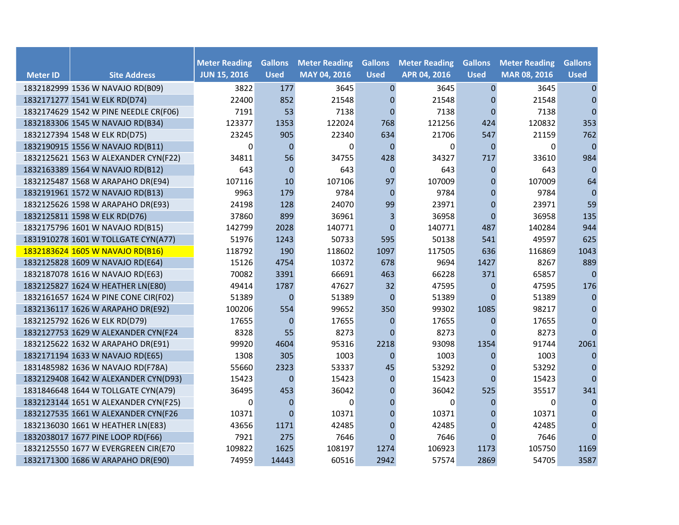|                 |                                       | <b>Meter Reading</b> | <b>Gallons</b> | <b>Meter Reading</b> | <b>Gallons</b>          | <b>Meter Reading</b> | <b>Gallons</b> | <b>Meter Reading</b> | <b>Gallons</b> |
|-----------------|---------------------------------------|----------------------|----------------|----------------------|-------------------------|----------------------|----------------|----------------------|----------------|
| <b>Meter ID</b> | <b>Site Address</b>                   | <b>JUN 15, 2016</b>  | <b>Used</b>    | MAY 04, 2016         | <b>Used</b>             | APR 04, 2016         | <b>Used</b>    | MAR 08, 2016         | <b>Used</b>    |
|                 | 1832182999 1536 W NAVAJO RD(B09)      | 3822                 | 177            | 3645                 | $\mathbf{0}$            | 3645                 | $\pmb{0}$      | 3645                 | $\mathbf{0}$   |
|                 | 1832171277 1541 W ELK RD(D74)         | 22400                | 852            | 21548                | $\mathbf 0$             | 21548                | 0              | 21548                | $\mathbf{0}$   |
|                 | 1832174629 1542 W PINE NEEDLE CR(F06) | 7191                 | 53             | 7138                 | $\mathbf{0}$            | 7138                 | $\mathbf 0$    | 7138                 | $\mathbf 0$    |
|                 | 1832183306 1545 W NAVAJO RD(B34)      | 123377               | 1353           | 122024               | 768                     | 121256               | 424            | 120832               | 353            |
|                 | 1832127394 1548 W ELK RD(D75)         | 23245                | 905            | 22340                | 634                     | 21706                | 547            | 21159                | 762            |
|                 | 1832190915 1556 W NAVAJO RD(B11)      | 0                    | $\mathbf{0}$   | 0                    | $\Omega$                | 0                    | $\Omega$       | $\Omega$             | $\mathbf{0}$   |
|                 | 1832125621 1563 W ALEXANDER CYN(F22)  | 34811                | 56             | 34755                | 428                     | 34327                | 717            | 33610                | 984            |
|                 | 1832163389 1564 W NAVAJO RD(B12)      | 643                  | $\Omega$       | 643                  | $\Omega$                | 643                  | $\Omega$       | 643                  | $\mathbf 0$    |
|                 | 1832125487 1568 W ARAPAHO DR(E94)     | 107116               | 10             | 107106               | 97                      | 107009               | $\overline{0}$ | 107009               | 64             |
|                 | 1832191961 1572 W NAVAJO RD(B13)      | 9963                 | 179            | 9784                 | $\mathbf{0}$            | 9784                 | $\mathbf 0$    | 9784                 | $\mathbf 0$    |
|                 | 1832125626 1598 W ARAPAHO DR(E93)     | 24198                | 128            | 24070                | 99                      | 23971                | $\mathbf 0$    | 23971                | 59             |
|                 | 1832125811 1598 W ELK RD(D76)         | 37860                | 899            | 36961                | $\overline{\mathbf{3}}$ | 36958                | $\mathbf 0$    | 36958                | 135            |
|                 | 1832175796 1601 W NAVAJO RD(B15)      | 142799               | 2028           | 140771               | $\mathbf{0}$            | 140771               | 487            | 140284               | 944            |
|                 | 1831910278 1601 W TOLLGATE CYN(A77)   | 51976                | 1243           | 50733                | 595                     | 50138                | 541            | 49597                | 625            |
|                 | 1832183624 1605 W NAVAJO RD(B16)      | 118792               | 190            | 118602               | 1097                    | 117505               | 636            | 116869               | 1043           |
|                 | 1832125828 1609 W NAVAJO RD(E64)      | 15126                | 4754           | 10372                | 678                     | 9694                 | 1427           | 8267                 | 889            |
|                 | 1832187078 1616 W NAVAJO RD(E63)      | 70082                | 3391           | 66691                | 463                     | 66228                | 371            | 65857                | $\mathbf{0}$   |
|                 | 1832125827 1624 W HEATHER LN(E80)     | 49414                | 1787           | 47627                | 32                      | 47595                | $\mathbf 0$    | 47595                | 176            |
|                 | 1832161657 1624 W PINE CONE CIR(F02)  | 51389                | $\mathbf{0}$   | 51389                | $\mathbf{0}$            | 51389                | $\mathbf{0}$   | 51389                | $\mathbf 0$    |
|                 | 1832136117 1626 W ARAPAHO DR(E92)     | 100206               | 554            | 99652                | 350                     | 99302                | 1085           | 98217                | $\mathbf{0}$   |
|                 | 1832125792 1626 W ELK RD(D79)         | 17655                | $\mathbf{0}$   | 17655                | $\mathbf{0}$            | 17655                | $\mathbf{0}$   | 17655                | $\mathbf 0$    |
|                 | 1832127753 1629 W ALEXANDER CYN(F24   | 8328                 | 55             | 8273                 | $\Omega$                | 8273                 | $\Omega$       | 8273                 | $\overline{0}$ |
|                 | 1832125622 1632 W ARAPAHO DR(E91)     | 99920                | 4604           | 95316                | 2218                    | 93098                | 1354           | 91744                | 2061           |
|                 | 1832171194 1633 W NAVAJO RD(E65)      | 1308                 | 305            | 1003                 | $\Omega$                | 1003                 | $\Omega$       | 1003                 | $\mathbf{0}$   |
|                 | 1831485982 1636 W NAVAJO RD(F78A)     | 55660                | 2323           | 53337                | 45                      | 53292                | 0              | 53292                | $\mathbf{0}$   |
|                 | 1832129408 1642 W ALEXANDER CYN(D93)  | 15423                | $\mathbf{0}$   | 15423                | $\mathbf{0}$            | 15423                | $\mathbf{0}$   | 15423                | $\mathbf{0}$   |
|                 | 1831846648 1644 W TOLLGATE CYN(A79)   | 36495                | 453            | 36042                | $\Omega$                | 36042                | 525            | 35517                | 341            |
|                 | 1832123144 1651 W ALEXANDER CYN(F25)  | 0                    | $\Omega$       | $\Omega$             | $\mathbf{0}$            | 0                    | $\Omega$       | 0                    | $\mathbf{0}$   |
|                 | 1832127535 1661 W ALEXANDER CYN(F26   | 10371                | $\Omega$       | 10371                | $\mathbf 0$             | 10371                | $\mathbf 0$    | 10371                | $\mathbf{0}$   |
|                 | 1832136030 1661 W HEATHER LN(E83)     | 43656                | 1171           | 42485                | $\mathbf 0$             | 42485                | $\overline{0}$ | 42485                | $\pmb{0}$      |
|                 | 1832038017 1677 PINE LOOP RD(F66)     | 7921                 | 275            | 7646                 | $\Omega$                | 7646                 | $\Omega$       | 7646                 | $\mathbf{0}$   |
|                 | 1832125550 1677 W EVERGREEN CIR(E70   | 109822               | 1625           | 108197               | 1274                    | 106923               | 1173           | 105750               | 1169           |
|                 | 1832171300 1686 W ARAPAHO DR(E90)     | 74959                | 14443          | 60516                | 2942                    | 57574                | 2869           | 54705                | 3587           |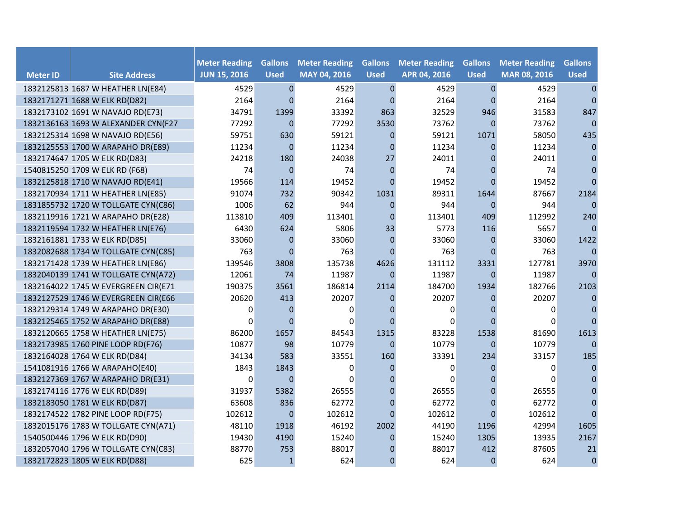|                 |                                     | <b>Meter Reading</b> | <b>Gallons</b> | <b>Meter Reading</b> | <b>Gallons</b>   | <b>Meter Reading</b> | <b>Gallons</b> | <b>Meter Reading</b> | <b>Gallons</b> |
|-----------------|-------------------------------------|----------------------|----------------|----------------------|------------------|----------------------|----------------|----------------------|----------------|
| <b>Meter ID</b> | <b>Site Address</b>                 | <b>JUN 15, 2016</b>  | <b>Used</b>    | MAY 04, 2016         | <b>Used</b>      | APR 04, 2016         | <b>Used</b>    | MAR 08, 2016         | <b>Used</b>    |
|                 | 1832125813 1687 W HEATHER LN(E84)   | 4529                 | $\mathbf 0$    | 4529                 | $\pmb{0}$        | 4529                 | $\mathbf 0$    | 4529                 | $\pmb{0}$      |
|                 | 1832171271 1688 W ELK RD(D82)       | 2164                 | $\Omega$       | 2164                 | $\Omega$         | 2164                 | $\Omega$       | 2164                 | $\mathbf{0}$   |
|                 | 1832173102 1691 W NAVAJO RD(E73)    | 34791                | 1399           | 33392                | 863              | 32529                | 946            | 31583                | 847            |
|                 | 1832136163 1693 W ALEXANDER CYN(F27 | 77292                | $\mathbf{0}$   | 77292                | 3530             | 73762                | $\Omega$       | 73762                | $\mathbf{0}$   |
|                 | 1832125314 1698 W NAVAJO RD(E56)    | 59751                | 630            | 59121                | $\theta$         | 59121                | 1071           | 58050                | 435            |
|                 | 1832125553 1700 W ARAPAHO DR(E89)   | 11234                | $\mathbf{0}$   | 11234                | $\Omega$         | 11234                | 0              | 11234                | $\mathbf{0}$   |
|                 | 1832174647 1705 W ELK RD(D83)       | 24218                | 180            | 24038                | 27               | 24011                | 0              | 24011                | $\mathbf{0}$   |
|                 | 1540815250 1709 W ELK RD (F68)      | 74                   | $\overline{0}$ | 74                   | $\Omega$         | 74                   | $\Omega$       | 74                   | 0              |
|                 | 1832125818 1710 W NAVAJO RD(E41)    | 19566                | 114            | 19452                | $\Omega$         | 19452                | $\Omega$       | 19452                | $\Omega$       |
|                 | 1832170934 1711 W HEATHER LN(E85)   | 91074                | 732            | 90342                | 1031             | 89311                | 1644           | 87667                | 2184           |
|                 | 1831855732 1720 W TOLLGATE CYN(C86) | 1006                 | 62             | 944                  | $\boldsymbol{0}$ | 944                  | $\overline{0}$ | 944                  | $\mathbf{0}$   |
|                 | 1832119916 1721 W ARAPAHO DR(E28)   | 113810               | 409            | 113401               | $\mathbf 0$      | 113401               | 409            | 112992               | 240            |
|                 | 1832119594 1732 W HEATHER LN(E76)   | 6430                 | 624            | 5806                 | 33               | 5773                 | 116            | 5657                 | $\mathbf{0}$   |
|                 | 1832161881 1733 W ELK RD(D85)       | 33060                | $\mathbf{0}$   | 33060                | $\mathbf{0}$     | 33060                | 0              | 33060                | 1422           |
|                 | 1832082688 1734 W TOLLGATE CYN(C85) | 763                  | $\mathbf{0}$   | 763                  | $\Omega$         | 763                  | $\Omega$       | 763                  | $\mathbf{0}$   |
|                 | 1832171428 1739 W HEATHER LN(E86)   | 139546               | 3808           | 135738               | 4626             | 131112               | 3331           | 127781               | 3970           |
|                 | 1832040139 1741 W TOLLGATE CYN(A72) | 12061                | 74             | 11987                | $\Omega$         | 11987                | 0              | 11987                | $\Omega$       |
|                 | 1832164022 1745 W EVERGREEN CIR(E71 | 190375               | 3561           | 186814               | 2114             | 184700               | 1934           | 182766               | 2103           |
|                 | 1832127529 1746 W EVERGREEN CIR(E66 | 20620                | 413            | 20207                | $\Omega$         | 20207                | $\overline{0}$ | 20207                | $\mathbf{0}$   |
|                 | 1832129314 1749 W ARAPAHO DR(E30)   | 0                    | $\Omega$       | 0                    | $\Omega$         | 0                    | 0              | 0                    | $\mathbf{0}$   |
|                 | 1832125465 1752 W ARAPAHO DR(E88)   | 0                    | 0              | 0                    | $\Omega$         | 0                    | $\Omega$       | $\Omega$             | $\Omega$       |
|                 | 1832120665 1758 W HEATHER LN(E75)   | 86200                | 1657           | 84543                | 1315             | 83228                | 1538           | 81690                | 1613           |
|                 | 1832173985 1760 PINE LOOP RD(F76)   | 10877                | 98             | 10779                | $\Omega$         | 10779                | $\Omega$       | 10779                | $\mathbf{0}$   |
|                 | 1832164028 1764 W ELK RD(D84)       | 34134                | 583            | 33551                | 160              | 33391                | 234            | 33157                | 185            |
|                 | 1541081916 1766 W ARAPAHO(E40)      | 1843                 | 1843           | 0                    | $\Omega$         | 0                    | $\Omega$       | 0                    | $\Omega$       |
|                 | 1832127369 1767 W ARAPAHO DR(E31)   | $\mathbf 0$          | $\Omega$       | $\Omega$             | $\Omega$         | 0                    | 0              | $\Omega$             | $\Omega$       |
|                 | 1832174116 1776 W ELK RD(D89)       | 31937                | 5382           | 26555                | $\Omega$         | 26555                | $\overline{0}$ | 26555                | $\Omega$       |
|                 | 1832183050 1781 W ELK RD(D87)       | 63608                | 836            | 62772                | $\Omega$         | 62772                | $\overline{0}$ | 62772                | $\mathbf{0}$   |
|                 | 1832174522 1782 PINE LOOP RD(F75)   | 102612               | $\mathbf{0}$   | 102612               | $\Omega$         | 102612               | $\Omega$       | 102612               | $\mathbf{0}$   |
|                 | 1832015176 1783 W TOLLGATE CYN(A71) | 48110                | 1918           | 46192                | 2002             | 44190                | 1196           | 42994                | 1605           |
|                 | 1540500446 1796 W ELK RD(D90)       | 19430                | 4190           | 15240                | $\Omega$         | 15240                | 1305           | 13935                | 2167           |
|                 | 1832057040 1796 W TOLLGATE CYN(C83) | 88770                | 753            | 88017                | 0                | 88017                | 412            | 87605                | 21             |
|                 | 1832172823 1805 W ELK RD(D88)       | 625                  | $\mathbf{1}$   | 624                  | $\Omega$         | 624                  | $\mathbf{0}$   | 624                  | $\mathbf 0$    |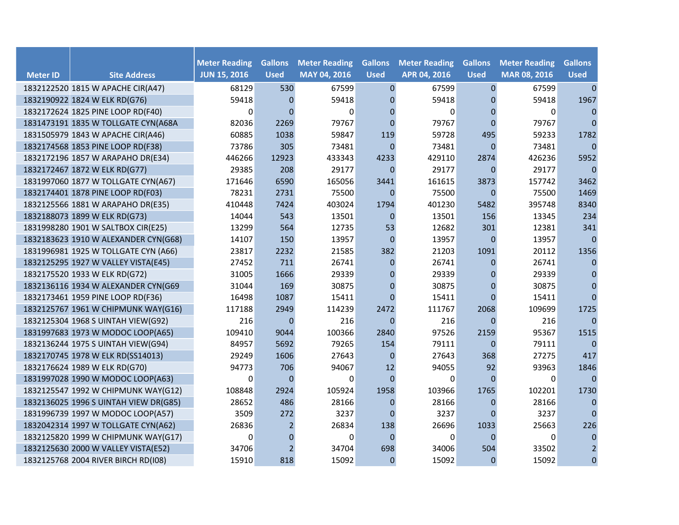|                 |                                       | <b>Meter Reading</b> | <b>Gallons</b> | <b>Meter Reading</b> | <b>Gallons</b> | <b>Meter Reading</b> | <b>Gallons</b> | <b>Meter Reading</b> | <b>Gallons</b> |
|-----------------|---------------------------------------|----------------------|----------------|----------------------|----------------|----------------------|----------------|----------------------|----------------|
| <b>Meter ID</b> | <b>Site Address</b>                   | <b>JUN 15, 2016</b>  | <b>Used</b>    | MAY 04, 2016         | <b>Used</b>    | APR 04, 2016         | <b>Used</b>    | MAR 08, 2016         | <b>Used</b>    |
|                 | 1832122520 1815 W APACHE CIR(A47)     | 68129                | 530            | 67599                | $\mathbf 0$    | 67599                | $\mathbf 0$    | 67599                | $\mathbf{0}$   |
|                 | 1832190922 1824 W ELK RD(G76)         | 59418                | $\mathbf{0}$   | 59418                | $\mathbf{0}$   | 59418                | $\mathbf{0}$   | 59418                | 1967           |
|                 | 1832172624 1825 PINE LOOP RD(F40)     | 0                    | $\Omega$       | $\Omega$             | $\Omega$       | 0                    | $\mathbf{0}$   | $\mathbf 0$          | $\mathbf{0}$   |
|                 | 1831473191 1835 W TOLLGATE CYN(A68A   | 82036                | 2269           | 79767                | $\Omega$       | 79767                | $\Omega$       | 79767                | $\mathbf{0}$   |
|                 | 1831505979 1843 W APACHE CIR(A46)     | 60885                | 1038           | 59847                | 119            | 59728                | 495            | 59233                | 1782           |
|                 | 1832174568 1853 PINE LOOP RD(F38)     | 73786                | 305            | 73481                | $\Omega$       | 73481                | $\overline{0}$ | 73481                | $\mathbf{0}$   |
|                 | 1832172196 1857 W ARAPAHO DR(E34)     | 446266               | 12923          | 433343               | 4233           | 429110               | 2874           | 426236               | 5952           |
|                 | 1832172467 1872 W ELK RD(G77)         | 29385                | 208            | 29177                | $\Omega$       | 29177                | $\Omega$       | 29177                | $\mathbf{0}$   |
|                 | 1831997060 1877 W TOLLGATE CYN(A67)   | 171646               | 6590           | 165056               | 3441           | 161615               | 3873           | 157742               | 3462           |
|                 | 1832174401 1878 PINE LOOP RD(F03)     | 78231                | 2731           | 75500                | $\mathbf{0}$   | 75500                | $\mathbf{0}$   | 75500                | 1469           |
|                 | 1832125566 1881 W ARAPAHO DR(E35)     | 410448               | 7424           | 403024               | 1794           | 401230               | 5482           | 395748               | 8340           |
|                 | 1832188073 1899 W ELK RD(G73)         | 14044                | 543            | 13501                | $\mathbf{0}$   | 13501                | 156            | 13345                | 234            |
|                 | 1831998280 1901 W SALTBOX CIR(E25)    | 13299                | 564            | 12735                | 53             | 12682                | 301            | 12381                | 341            |
|                 | 1832183623 1910 W ALEXANDER CYN(G68)  | 14107                | 150            | 13957                | $\Omega$       | 13957                | $\Omega$       | 13957                | $\mathbf{0}$   |
|                 | 1831996981 1925 W TOLLGATE CYN (A66)  | 23817                | 2232           | 21585                | 382            | 21203                | 1091           | 20112                | 1356           |
|                 | 1832125295 1927 W VALLEY VISTA(E45)   | 27452                | 711            | 26741                | $\mathbf{0}$   | 26741                | $\mathbf{0}$   | 26741                | $\mathbf{0}$   |
|                 | 1832175520 1933 W ELK RD(G72)         | 31005                | 1666           | 29339                | $\mathbf 0$    | 29339                | $\overline{0}$ | 29339                | $\mathbf{0}$   |
|                 | 1832136116 1934 W ALEXANDER CYN(G69   | 31044                | 169            | 30875                | $\mathbf{0}$   | 30875                | $\mathbf{0}$   | 30875                | $\mathbf{0}$   |
|                 | 1832173461 1959 PINE LOOP RD(F36)     | 16498                | 1087           | 15411                | $\Omega$       | 15411                | $\overline{0}$ | 15411                | $\mathbf{0}$   |
|                 | 1832125767 1961 W CHIPMUNK WAY(G16)   | 117188               | 2949           | 114239               | 2472           | 111767               | 2068           | 109699               | 1725           |
|                 | 1832125304 1968 S UINTAH VIEW(G92)    | 216                  | $\mathbf{0}$   | 216                  | $\Omega$       | 216                  | $\Omega$       | 216                  | $\mathbf{0}$   |
|                 | 1831997683 1973 W MODOC LOOP(A65)     | 109410               | 9044           | 100366               | 2840           | 97526                | 2159           | 95367                | 1515           |
|                 | 1832136244 1975 S UINTAH VIEW(G94)    | 84957                | 5692           | 79265                | 154            | 79111                | $\mathbf{0}$   | 79111                | $\mathbf{0}$   |
|                 | 1832170745 1978 W ELK RD(SS14013)     | 29249                | 1606           | 27643                | $\mathbf{0}$   | 27643                | 368            | 27275                | 417            |
|                 | 1832176624 1989 W ELK RD(G70)         | 94773                | 706            | 94067                | 12             | 94055                | 92             | 93963                | 1846           |
|                 | 1831997028 1990 W MODOC LOOP(A63)     | 0                    | $\Omega$       | 0                    | $\Omega$       | 0                    | $\Omega$       | 0                    | $\mathbf{0}$   |
|                 | 1832125547 1992 W CHIPMUNK WAY(G12)   | 108848               | 2924           | 105924               | 1958           | 103966               | 1765           | 102201               | 1730           |
|                 | 1832136025 1996 S UINTAH VIEW DR(G85) | 28652                | 486            | 28166                | $\Omega$       | 28166                | $\overline{0}$ | 28166                | $\mathbf{0}$   |
|                 | 1831996739 1997 W MODOC LOOP(A57)     | 3509                 | 272            | 3237                 | $\Omega$       | 3237                 | $\Omega$       | 3237                 | $\mathbf{0}$   |
|                 | 1832042314 1997 W TOLLGATE CYN(A62)   | 26836                | $\overline{2}$ | 26834                | 138            | 26696                | 1033           | 25663                | 226            |
|                 | 1832125820 1999 W CHIPMUNK WAY(G17)   | 0                    | $\Omega$       | $\Omega$             | $\Omega$       | 0                    | $\Omega$       | $\Omega$             | $\mathbf 0$    |
|                 | 1832125630 2000 W VALLEY VISTA(E52)   | 34706                | $\overline{2}$ | 34704                | 698            | 34006                | 504            | 33502                | $\overline{2}$ |
|                 | 1832125768 2004 RIVER BIRCH RD(I08)   | 15910                | 818            | 15092                | $\mathbf{0}$   | 15092                | $\Omega$       | 15092                | $\mathbf 0$    |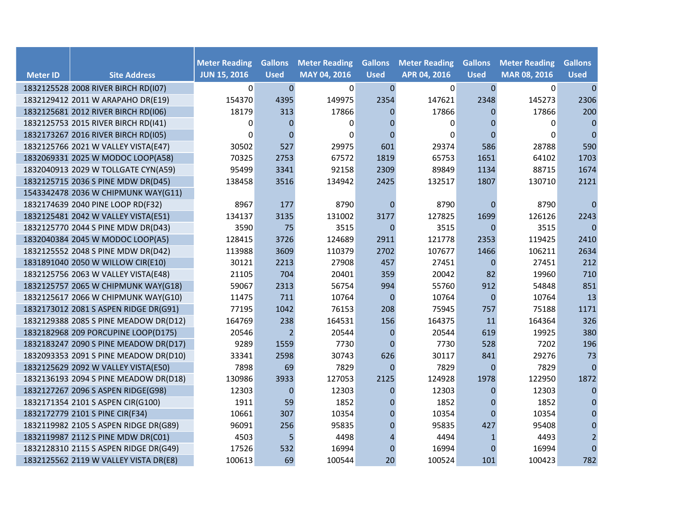|                 |                                       | <b>Meter Reading</b> | <b>Gallons</b> | <b>Meter Reading</b> | <b>Gallons</b>   | <b>Meter Reading</b> | <b>Gallons</b> | <b>Meter Reading</b> | <b>Gallons</b> |
|-----------------|---------------------------------------|----------------------|----------------|----------------------|------------------|----------------------|----------------|----------------------|----------------|
| <b>Meter ID</b> | <b>Site Address</b>                   | <b>JUN 15, 2016</b>  | <b>Used</b>    | MAY 04, 2016         | <b>Used</b>      | APR 04, 2016         | <b>Used</b>    | MAR 08, 2016         | <b>Used</b>    |
|                 | 1832125528 2008 RIVER BIRCH RD(I07)   | $\overline{0}$       | $\pmb{0}$      | $\mathbf 0$          | $\mathbf{0}$     | 0                    | $\pmb{0}$      | 0                    | $\mathbf 0$    |
|                 | 1832129412 2011 W ARAPAHO DR(E19)     | 154370               | 4395           | 149975               | 2354             | 147621               | 2348           | 145273               | 2306           |
|                 | 1832125681 2012 RIVER BIRCH RD(I06)   | 18179                | 313            | 17866                | $\Omega$         | 17866                | $\Omega$       | 17866                | 200            |
|                 | 1832125753 2015 RIVER BIRCH RD(I41)   | 0                    | $\Omega$       | $\Omega$             | $\Omega$         | 0                    | 0              | 0                    | $\mathbf{0}$   |
|                 | 1832173267 2016 RIVER BIRCH RD(I05)   | 0                    | $\Omega$       | $\Omega$             | $\Omega$         | 0                    | $\Omega$       | $\Omega$             | $\mathbf{0}$   |
|                 | 1832125766 2021 W VALLEY VISTA(E47)   | 30502                | 527            | 29975                | 601              | 29374                | 586            | 28788                | 590            |
|                 | 1832069331 2025 W MODOC LOOP(A58)     | 70325                | 2753           | 67572                | 1819             | 65753                | 1651           | 64102                | 1703           |
|                 | 1832040913 2029 W TOLLGATE CYN(A59)   | 95499                | 3341           | 92158                | 2309             | 89849                | 1134           | 88715                | 1674           |
|                 | 1832125715 2036 S PINE MDW DR(D45)    | 138458               | 3516           | 134942               | 2425             | 132517               | 1807           | 130710               | 2121           |
|                 | 1543342478 2036 W CHIPMUNK WAY(G11)   |                      |                |                      |                  |                      |                |                      |                |
|                 | 1832174639 2040 PINE LOOP RD(F32)     | 8967                 | 177            | 8790                 | $\mathbf{0}$     | 8790                 | 0              | 8790                 | $\mathbf{0}$   |
|                 | 1832125481 2042 W VALLEY VISTA(E51)   | 134137               | 3135           | 131002               | 3177             | 127825               | 1699           | 126126               | 2243           |
|                 | 1832125770 2044 S PINE MDW DR(D43)    | 3590                 | 75             | 3515                 | $\mathbf{0}$     | 3515                 | $\mathbf 0$    | 3515                 | $\mathbf{0}$   |
|                 | 1832040384 2045 W MODOC LOOP(A5)      | 128415               | 3726           | 124689               | 2911             | 121778               | 2353           | 119425               | 2410           |
|                 | 1832125552 2048 S PINE MDW DR(D42)    | 113988               | 3609           | 110379               | 2702             | 107677               | 1466           | 106211               | 2634           |
|                 | 1831891040 2050 W WILLOW CIR(E10)     | 30121                | 2213           | 27908                | 457              | 27451                | $\mathbf 0$    | 27451                | 212            |
|                 | 1832125756 2063 W VALLEY VISTA(E48)   | 21105                | 704            | 20401                | 359              | 20042                | 82             | 19960                | 710            |
|                 | 1832125757 2065 W CHIPMUNK WAY(G18)   | 59067                | 2313           | 56754                | 994              | 55760                | 912            | 54848                | 851            |
|                 | 1832125617 2066 W CHIPMUNK WAY(G10)   | 11475                | 711            | 10764                | $\mathbf 0$      | 10764                | $\mathbf 0$    | 10764                | 13             |
|                 | 1832173012 2081 S ASPEN RIDGE DR(G91) | 77195                | 1042           | 76153                | 208              | 75945                | 757            | 75188                | 1171           |
|                 | 1832129388 2085 S PINE MEADOW DR(D12) | 164769               | 238            | 164531               | 156              | 164375               | 11             | 164364               | 326            |
|                 | 1832182968 209 PORCUPINE LOOP(D175)   | 20546                | $\overline{2}$ | 20544                | $\mathbf 0$      | 20544                | 619            | 19925                | 380            |
|                 | 1832183247 2090 S PINE MEADOW DR(D17) | 9289                 | 1559           | 7730                 | $\mathbf 0$      | 7730                 | 528            | 7202                 | 196            |
|                 | 1832093353 2091 S PINE MEADOW DR(D10) | 33341                | 2598           | 30743                | 626              | 30117                | 841            | 29276                | 73             |
|                 | 1832125629 2092 W VALLEY VISTA(E50)   | 7898                 | 69             | 7829                 | $\Omega$         | 7829                 | 0              | 7829                 | $\mathbf{0}$   |
|                 | 1832136193 2094 S PINE MEADOW DR(D18) | 130986               | 3933           | 127053               | 2125             | 124928               | 1978           | 122950               | 1872           |
|                 | 1832127267 2096 S ASPEN RIDGE(G98)    | 12303                | $\mathbf{0}$   | 12303                | $\mathbf{0}$     | 12303                | 0              | 12303                | $\mathbf{0}$   |
|                 | 1832171354 2101 S ASPEN CIR(G100)     | 1911                 | 59             | 1852                 | $\boldsymbol{0}$ | 1852                 | $\overline{0}$ | 1852                 | $\mathbf{0}$   |
|                 | 1832172779 2101 S PINE CIR(F34)       | 10661                | 307            | 10354                | $\boldsymbol{0}$ | 10354                | $\Omega$       | 10354                | 0              |
|                 | 1832119982 2105 S ASPEN RIDGE DR(G89) | 96091                | 256            | 95835                | $\mathbf{0}$     | 95835                | 427            | 95408                | 0              |
|                 | 1832119987 2112 S PINE MDW DR(C01)    | 4503                 | 5              | 4498                 | $\overline{4}$   | 4494                 | $\mathbf{1}$   | 4493                 | $\overline{2}$ |
|                 | 1832128310 2115 S ASPEN RIDGE DR(G49) | 17526                | 532            | 16994                | $\boldsymbol{0}$ | 16994                | $\overline{0}$ | 16994                | $\overline{0}$ |
|                 | 1832125562 2119 W VALLEY VISTA DR(E8) | 100613               | 69             | 100544               | 20               | 100524               | 101            | 100423               | 782            |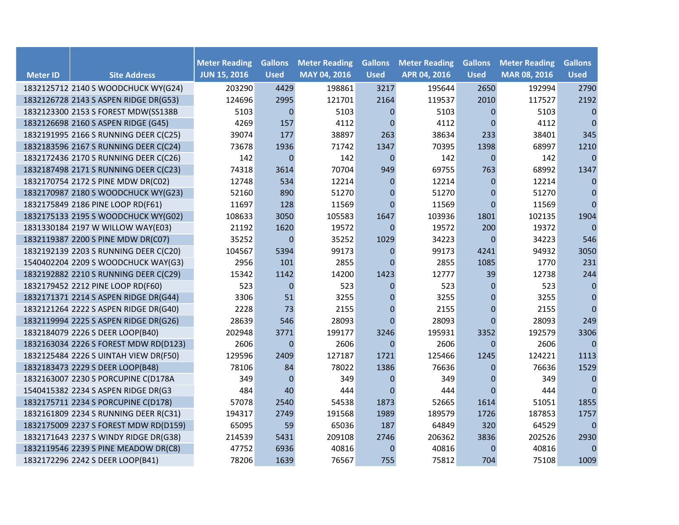|                 |                                       | <b>Meter Reading</b> | <b>Gallons</b>   | <b>Meter Reading</b> | <b>Gallons</b> | <b>Meter Reading</b> | <b>Gallons</b> | <b>Meter Reading</b> | <b>Gallons</b> |
|-----------------|---------------------------------------|----------------------|------------------|----------------------|----------------|----------------------|----------------|----------------------|----------------|
| <b>Meter ID</b> | <b>Site Address</b>                   | <b>JUN 15, 2016</b>  | <b>Used</b>      | MAY 04, 2016         | <b>Used</b>    | APR 04, 2016         | <b>Used</b>    | MAR 08, 2016         | <b>Used</b>    |
|                 | 1832125712 2140 S WOODCHUCK WY(G24)   | 203290               | 4429             | 198861               | 3217           | 195644               | 2650           | 192994               | 2790           |
|                 | 1832126728 2143 S ASPEN RIDGE DR(G53) | 124696               | 2995             | 121701               | 2164           | 119537               | 2010           | 117527               | 2192           |
|                 | 1832123300 2153 S FOREST MDW(SS138B   | 5103                 | $\mathbf{0}$     | 5103                 | $\Omega$       | 5103                 | $\mathbf{0}$   | 5103                 | $\mathbf{0}$   |
|                 | 1832126698 2160 S ASPEN RIDGE (G45)   | 4269                 | 157              | 4112                 | $\Omega$       | 4112                 | $\Omega$       | 4112                 | $\mathbf{0}$   |
|                 | 1832191995 2166 S RUNNING DEER C(C25) | 39074                | 177              | 38897                | 263            | 38634                | 233            | 38401                | 345            |
|                 | 1832183596 2167 S RUNNING DEER C(C24) | 73678                | 1936             | 71742                | 1347           | 70395                | 1398           | 68997                | 1210           |
|                 | 1832172436 2170 S RUNNING DEER C(C26) | 142                  | $\boldsymbol{0}$ | 142                  | $\mathbf{0}$   | 142                  | $\mathbf{0}$   | 142                  | $\mathbf{0}$   |
|                 | 1832187498 2171 S RUNNING DEER C(C23) | 74318                | 3614             | 70704                | 949            | 69755                | 763            | 68992                | 1347           |
|                 | 1832170754 2172 S PINE MDW DR(C02)    | 12748                | 534              | 12214                | $\mathbf{0}$   | 12214                | $\mathbf{0}$   | 12214                | $\mathbf{0}$   |
|                 | 1832170987 2180 S WOODCHUCK WY(G23)   | 52160                | 890              | 51270                | $\mathbf 0$    | 51270                | $\mathbf 0$    | 51270                | 0              |
|                 | 1832175849 2186 PINE LOOP RD(F61)     | 11697                | 128              | 11569                | $\mathbf 0$    | 11569                | $\Omega$       | 11569                | $\Omega$       |
|                 | 1832175133 2195 S WOODCHUCK WY(G02)   | 108633               | 3050             | 105583               | 1647           | 103936               | 1801           | 102135               | 1904           |
|                 | 1831330184 2197 W WILLOW WAY(E03)     | 21192                | 1620             | 19572                | $\mathbf 0$    | 19572                | 200            | 19372                | $\mathbf{0}$   |
|                 | 1832119387 2200 S PINE MDW DR(C07)    | 35252                | 0                | 35252                | 1029           | 34223                | $\mathbf 0$    | 34223                | 546            |
|                 | 1832192139 2203 S RUNNING DEER C(C20) | 104567               | 5394             | 99173                | $\mathbf{0}$   | 99173                | 4241           | 94932                | 3050           |
|                 | 1540402204 2209 S WOODCHUCK WAY(G3)   | 2956                 | 101              | 2855                 | $\Omega$       | 2855                 | 1085           | 1770                 | 231            |
|                 | 1832192882 2210 S RUNNING DEER C(C29) | 15342                | 1142             | 14200                | 1423           | 12777                | 39             | 12738                | 244            |
|                 | 1832179452 2212 PINE LOOP RD(F60)     | 523                  | $\mathbf{0}$     | 523                  | $\mathbf{0}$   | 523                  | 0              | 523                  | $\mathbf{0}$   |
|                 | 1832171371 2214 S ASPEN RIDGE DR(G44) | 3306                 | 51               | 3255                 | $\mathbf{0}$   | 3255                 | $\mathbf{0}$   | 3255                 | $\mathbf{0}$   |
|                 | 1832121264 2222 S ASPEN RIDGE DR(G40) | 2228                 | 73               | 2155                 | $\pmb{0}$      | 2155                 | $\mathbf 0$    | 2155                 | $\pmb{0}$      |
|                 | 1832119994 2225 S ASPEN RIDGE DR(G26) | 28639                | 546              | 28093                | $\Omega$       | 28093                | $\Omega$       | 28093                | 249            |
|                 | 1832184079 2226 S DEER LOOP(B40)      | 202948               | 3771             | 199177               | 3246           | 195931               | 3352           | 192579               | 3306           |
|                 | 1832163034 2226 S FOREST MDW RD(D123) | 2606                 | $\mathbf{0}$     | 2606                 | $\mathbf{0}$   | 2606                 | $\mathbf{0}$   | 2606                 | $\mathbf{0}$   |
|                 | 1832125484 2226 S UINTAH VIEW DR(F50) | 129596               | 2409             | 127187               | 1721           | 125466               | 1245           | 124221               | 1113           |
|                 | 1832183473 2229 S DEER LOOP(B48)      | 78106                | 84               | 78022                | 1386           | 76636                | 0              | 76636                | 1529           |
|                 | 1832163007 2230 S PORCUPINE C(D178A   | 349                  | $\mathbf{0}$     | 349                  | 0              | 349                  | 0              | 349                  | $\mathbf{0}$   |
|                 | 1540415382 2234 S ASPEN RIDGE DR(G3   | 484                  | 40               | 444                  | $\Omega$       | 444                  | $\Omega$       | 444                  | $\mathbf{0}$   |
|                 | 1832175711 2234 S PORCUPINE C(D178)   | 57078                | 2540             | 54538                | 1873           | 52665                | 1614           | 51051                | 1855           |
|                 | 1832161809 2234 S RUNNING DEER R(C31) | 194317               | 2749             | 191568               | 1989           | 189579               | 1726           | 187853               | 1757           |
|                 | 1832175009 2237 S FOREST MDW RD(D159) | 65095                | 59               | 65036                | 187            | 64849                | 320            | 64529                | $\mathbf 0$    |
|                 | 1832171643 2237 S WINDY RIDGE DR(G38) | 214539               | 5431             | 209108               | 2746           | 206362               | 3836           | 202526               | 2930           |
|                 | 1832119546 2239 S PINE MEADOW DR(C8)  | 47752                | 6936             | 40816                | $\mathbf 0$    | 40816                | 0              | 40816                | $\mathbf 0$    |
|                 | 1832172296 2242 S DEER LOOP(B41)      | 78206                | 1639             | 76567                | 755            | 75812                | 704            | 75108                | 1009           |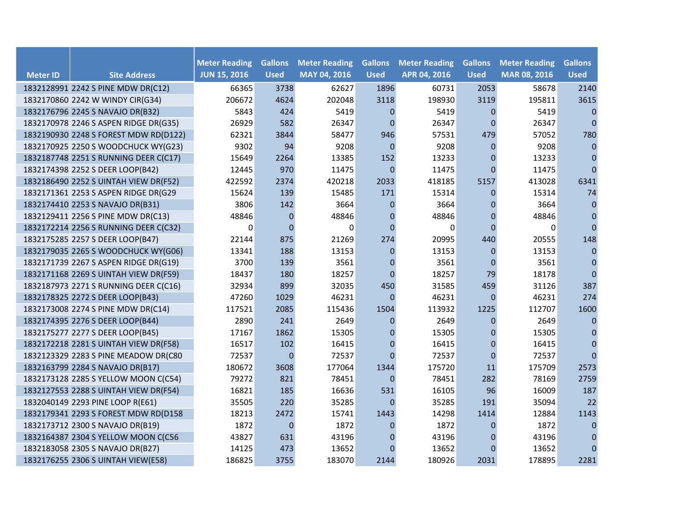|                 |                                       | <b>Meter Reading</b> | <b>Gallons</b>   | <b>Meter Reading</b> | <b>Gallons</b>   | <b>Meter Reading</b> | <b>Gallons</b> | <b>Meter Reading</b> | <b>Gallons</b> |
|-----------------|---------------------------------------|----------------------|------------------|----------------------|------------------|----------------------|----------------|----------------------|----------------|
| <b>Meter ID</b> | <b>Site Address</b>                   | <b>JUN 15, 2016</b>  | <b>Used</b>      | MAY 04, 2016         | <b>Used</b>      | APR 04, 2016         | <b>Used</b>    | MAR 08, 2016         | <b>Used</b>    |
|                 | 1832128991 2242 S PINE MDW DR(C12)    | 66365                | 3738             | 62627                | 1896             | 60731                | 2053           | 58678                | 2140           |
|                 | 1832170860 2242 W WINDY CIR(G34)      | 206672               | 4624             | 202048               | 3118             | 198930               | 3119           | 195811               | 3615           |
|                 | 1832176796 2245 S NAVAJO DR(B32)      | 5843                 | 424              | 5419                 | $\mathbf{0}$     | 5419                 | $\mathbf{0}$   | 5419                 | $\mathbf{0}$   |
|                 | 1832170978 2246 S ASPEN RIDGE DR(G35) | 26929                | 582              | 26347                | $\Omega$         | 26347                | $\Omega$       | 26347                | $\mathbf 0$    |
|                 | 1832190930 2248 S FOREST MDW RD(D122) | 62321                | 3844             | 58477                | 946              | 57531                | 479            | 57052                | 780            |
|                 | 1832170925 2250 S WOODCHUCK WY(G23)   | 9302                 | 94               | 9208                 | $\mathbf{0}$     | 9208                 | 0              | 9208                 | $\pmb{0}$      |
|                 | 1832187748 2251 S RUNNING DEER C(C17) | 15649                | 2264             | 13385                | 152              | 13233                | 0              | 13233                | $\pmb{0}$      |
|                 | 1832174398 2252 S DEER LOOP(B42)      | 12445                | 970              | 11475                | $\Omega$         | 11475                | $\Omega$       | 11475                | $\Omega$       |
|                 | 1832186490 2252 S UINTAH VIEW DR(F52) | 422592               | 2374             | 420218               | 2033             | 418185               | 5157           | 413028               | 6341           |
|                 | 1832171361 2253 S ASPEN RIDGE DR(G29  | 15624                | 139              | 15485                | 171              | 15314                | $\mathbf{0}$   | 15314                | 74             |
|                 | 1832174410 2253 S NAVAJO DR(B31)      | 3806                 | 142              | 3664                 | $\pmb{0}$        | 3664                 | 0              | 3664                 | $\mathbf{0}$   |
|                 | 1832129411 2256 S PINE MDW DR(C13)    | 48846                | $\mathbf{0}$     | 48846                | $\boldsymbol{0}$ | 48846                | $\mathbf{0}$   | 48846                | 0              |
|                 | 1832172214 2256 S RUNNING DEER C(C32) | $\mathbf 0$          | $\boldsymbol{0}$ | 0                    | $\mathbf{0}$     | 0                    | $\mathbf{0}$   | 0                    | $\pmb{0}$      |
|                 | 1832175285 2257 S DEER LOOP(B47)      | 22144                | 875              | 21269                | 274              | 20995                | 440            | 20555                | 148            |
|                 | 1832179035 2265 S WOODCHUCK WY(G06)   | 13341                | 188              | 13153                | $\mathbf{0}$     | 13153                | $\Omega$       | 13153                | $\mathbf{0}$   |
|                 | 1832171739 2267 S ASPEN RIDGE DR(G19) | 3700                 | 139              | 3561                 | $\mathbf{0}$     | 3561                 | $\mathbf{0}$   | 3561                 | $\mathbf{0}$   |
|                 | 1832171168 2269 S UINTAH VIEW DR(F59) | 18437                | 180              | 18257                | $\mathbf{0}$     | 18257                | 79             | 18178                | $\pmb{0}$      |
|                 | 1832187973 2271 S RUNNING DEER C(C16) | 32934                | 899              | 32035                | 450              | 31585                | 459            | 31126                | 387            |
|                 | 1832178325 2272 S DEER LOOP(B43)      | 47260                | 1029             | 46231                | $\Omega$         | 46231                | $\Omega$       | 46231                | 274            |
|                 | 1832173008 2274 S PINE MDW DR(C14)    | 117521               | 2085             | 115436               | 1504             | 113932               | 1225           | 112707               | 1600           |
|                 | 1832174395 2276 S DEER LOOP(B44)      | 2890                 | 241              | 2649                 | $\mathbf{0}$     | 2649                 | $\Omega$       | 2649                 | $\mathbf{0}$   |
|                 | 1832175277 2277 S DEER LOOP(B45)      | 17167                | 1862             | 15305                | $\mathbf{0}$     | 15305                | 0              | 15305                | $\mathbf{0}$   |
|                 | 1832172218 2281 S UINTAH VIEW DR(F58) | 16517                | 102              | 16415                | $\pmb{0}$        | 16415                | $\pmb{0}$      | 16415                | $\pmb{0}$      |
|                 | 1832123329 2283 S PINE MEADOW DR(C80  | 72537                | $\mathbf 0$      | 72537                | $\Omega$         | 72537                | $\mathbf 0$    | 72537                | $\mathbf{0}$   |
|                 | 1832163799 2284 S NAVAJO DR(B17)      | 180672               | 3608             | 177064               | 1344             | 175720               | 11             | 175709               | 2573           |
|                 | 1832173128 2285 S YELLOW MOON C(C54)  | 79272                | 821              | 78451                | $\Omega$         | 78451                | 282            | 78169                | 2759           |
|                 | 1832127553 2288 S UINTAH VIEW DR(F54) | 16821                | 185              | 16636                | 531              | 16105                | 96             | 16009                | 187            |
|                 | 1832040149 2293 PINE LOOP R(E61)      | 35505                | 220              | 35285                | $\Omega$         | 35285                | 191            | 35094                | 22             |
|                 | 1832179341 2293 S FOREST MDW RD(D158  | 18213                | 2472             | 15741                | 1443             | 14298                | 1414           | 12884                | 1143           |
|                 | 1832173712 2300 S NAVAJO DR(B19)      | 1872                 | $\mathbf 0$      | 1872                 | $\mathbf{0}$     | 1872                 | $\mathbf{0}$   | 1872                 | $\mathbf{0}$   |
|                 | 1832164387 2304 S YELLOW MOON C(C56   | 43827                | 631              | 43196                | $\boldsymbol{0}$ | 43196                | 0              | 43196                | 0              |
|                 | 1832183058 2305 S NAVAJO DR(B27)      | 14125                | 473              | 13652                | $\Omega$         | 13652                | 0              | 13652                | $\Omega$       |
|                 | 1832176255 2306 S UINTAH VIEW(E58)    | 186825               | 3755             | 183070               | 2144             | 180926               | 2031           | 178895               | 2281           |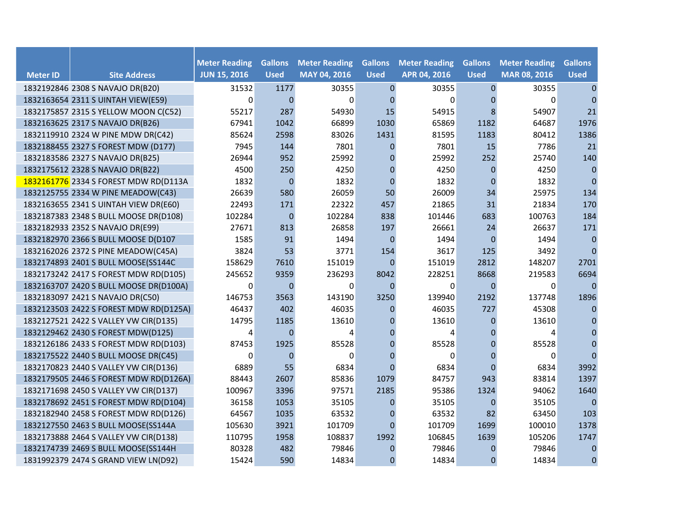|                 |                                        | <b>Meter Reading</b> | <b>Gallons</b> | <b>Meter Reading</b> | <b>Gallons</b>   | <b>Meter Reading</b> | <b>Gallons</b> | <b>Meter Reading</b> | <b>Gallons</b>   |
|-----------------|----------------------------------------|----------------------|----------------|----------------------|------------------|----------------------|----------------|----------------------|------------------|
| <b>Meter ID</b> | <b>Site Address</b>                    | <b>JUN 15, 2016</b>  | <b>Used</b>    | MAY 04, 2016         | <b>Used</b>      | APR 04, 2016         | <b>Used</b>    | MAR 08, 2016         | <b>Used</b>      |
|                 | 1832192846 2308 S NAVAJO DR(B20)       | 31532                | 1177           | 30355                | $\pmb{0}$        | 30355                | 0              | 30355                | $\pmb{0}$        |
|                 | 1832163654 2311 S UINTAH VIEW(E59)     | 0                    | $\Omega$       | $\Omega$             | $\Omega$         | 0                    | $\mathbf{0}$   | 0                    | $\mathbf{0}$     |
|                 | 1832175857 2315 S YELLOW MOON C(C52)   | 55217                | 287            | 54930                | 15               | 54915                | 8              | 54907                | 21               |
|                 | 1832163625 2317 S NAVAJO DR(B26)       | 67941                | 1042           | 66899                | 1030             | 65869                | 1182           | 64687                | 1976             |
|                 | 1832119910 2324 W PINE MDW DR(C42)     | 85624                | 2598           | 83026                | 1431             | 81595                | 1183           | 80412                | 1386             |
|                 | 1832188455 2327 S FOREST MDW (D177)    | 7945                 | 144            | 7801                 | $\mathbf{0}$     | 7801                 | 15             | 7786                 | 21               |
|                 | 1832183586 2327 S NAVAJO DR(B25)       | 26944                | 952            | 25992                | $\mathbf{0}$     | 25992                | 252            | 25740                | 140              |
|                 | 1832175612 2328 S NAVAJO DR(B22)       | 4500                 | 250            | 4250                 | $\mathbf 0$      | 4250                 | $\mathbf 0$    | 4250                 | $\pmb{0}$        |
|                 | 1832161776 2334 S FOREST MDW RD(D113A  | 1832                 | $\pmb{0}$      | 1832                 | $\mathbf{0}$     | 1832                 | $\mathbf 0$    | 1832                 | $\pmb{0}$        |
|                 | 1832125755 2334 W PINE MEADOW(C43)     | 26639                | 580            | 26059                | 50               | 26009                | 34             | 25975                | 134              |
|                 | 1832163655 2341 S UINTAH VIEW DR(E60)  | 22493                | 171            | 22322                | 457              | 21865                | 31             | 21834                | 170              |
|                 | 1832187383 2348 S BULL MOOSE DR(D108)  | 102284               | $\pmb{0}$      | 102284               | 838              | 101446               | 683            | 100763               | 184              |
|                 | 1832182933 2352 S NAVAJO DR(E99)       | 27671                | 813            | 26858                | 197              | 26661                | 24             | 26637                | 171              |
|                 | 1832182970 2366 S BULL MOOSE D(D107    | 1585                 | 91             | 1494                 | $\mathbf{0}$     | 1494                 | $\mathbf{0}$   | 1494                 | $\mathbf{0}$     |
|                 | 1832162026 2372 S PINE MEADOW(C45A)    | 3824                 | 53             | 3771                 | 154              | 3617                 | 125            | 3492                 | $\mathbf{0}$     |
|                 | 1832174893 2401 S BULL MOOSE(SS144C    | 158629               | 7610           | 151019               | $\mathbf{0}$     | 151019               | 2812           | 148207               | 2701             |
|                 | 1832173242 2417 S FOREST MDW RD(D105)  | 245652               | 9359           | 236293               | 8042             | 228251               | 8668           | 219583               | 6694             |
|                 | 1832163707 2420 S BULL MOOSE DR(D100A) | 0                    | $\overline{0}$ | $\Omega$             | $\Omega$         | 0                    | $\overline{0}$ | 0                    | $\Omega$         |
|                 | 1832183097 2421 S NAVAJO DR(C50)       | 146753               | 3563           | 143190               | 3250             | 139940               | 2192           | 137748               | 1896             |
|                 | 1832123503 2422 S FOREST MDW RD(D125A) | 46437                | 402            | 46035                | $\mathbf 0$      | 46035                | 727            | 45308                | $\mathbf{0}$     |
|                 | 1832127521 2422 S VALLEY VW CIR(D135)  | 14795                | 1185           | 13610                | $\boldsymbol{0}$ | 13610                | 0              | 13610                | $\mathbf{0}$     |
|                 | 1832129462 2430 S FOREST MDW(D125)     | 4                    | $\Omega$       | 4                    | $\mathbf{0}$     | 4                    | 0              | 4                    | $\Omega$         |
|                 | 1832126186 2433 S FOREST MDW RD(D103)  | 87453                | 1925           | 85528                | $\boldsymbol{0}$ | 85528                | $\overline{0}$ | 85528                | $\mathbf{0}$     |
|                 | 1832175522 2440 S BULL MOOSE DR(C45)   | 0                    | $\mathbf{0}$   | $\Omega$             | $\mathbf 0$      | 0                    | $\mathbf 0$    | $\mathbf 0$          | $\mathbf 0$      |
|                 | 1832170823 2440 S VALLEY VW CIR(D136)  | 6889                 | 55             | 6834                 | $\Omega$         | 6834                 | $\overline{0}$ | 6834                 | 3992             |
|                 | 1832179505 2446 S FOREST MDW RD(D126A) | 88443                | 2607           | 85836                | 1079             | 84757                | 943            | 83814                | 1397             |
|                 | 1832171698 2450 S VALLEY VW CIR(D137)  | 100967               | 3396           | 97571                | 2185             | 95386                | 1324           | 94062                | 1640             |
|                 | 1832178692 2451 S FOREST MDW RD(D104)  | 36158                | 1053           | 35105                | $\mathbf 0$      | 35105                | $\mathbf 0$    | 35105                | $\mathbf{0}$     |
|                 | 1832182940 2458 S FOREST MDW RD(D126)  | 64567                | 1035           | 63532                | $\mathbf{0}$     | 63532                | 82             | 63450                | 103              |
|                 | 1832127550 2463 S BULL MOOSE(SS144A    | 105630               | 3921           | 101709               | $\Omega$         | 101709               | 1699           | 100010               | 1378             |
|                 | 1832173888 2464 S VALLEY VW CIR(D138)  | 110795               | 1958           | 108837               | 1992             | 106845               | 1639           | 105206               | 1747             |
|                 | 1832174739 2469 S BULL MOOSE(SS144H    | 80328                | 482            | 79846                | $\mathbf 0$      | 79846                | $\Omega$       | 79846                | $\mathbf{0}$     |
|                 | 1831992379 2474 S GRAND VIEW LN(D92)   | 15424                | 590            | 14834                | $\overline{0}$   | 14834                | $\overline{0}$ | 14834                | $\boldsymbol{0}$ |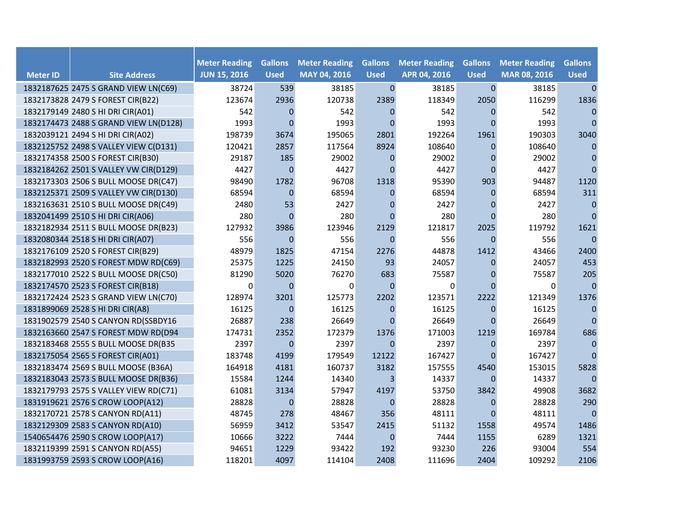|                 |                                       | <b>Meter Reading</b> | <b>Gallons</b>   | <b>Meter Reading</b> | <b>Gallons</b> | <b>Meter Reading</b> | <b>Gallons</b> | <b>Meter Reading</b> | <b>Gallons</b> |
|-----------------|---------------------------------------|----------------------|------------------|----------------------|----------------|----------------------|----------------|----------------------|----------------|
| <b>Meter ID</b> | <b>Site Address</b>                   | <b>JUN 15, 2016</b>  | <b>Used</b>      | MAY 04, 2016         | <b>Used</b>    | APR 04, 2016         | <b>Used</b>    | MAR 08, 2016         | <b>Used</b>    |
|                 | 1832187625 2475 S GRAND VIEW LN(C69)  | 38724                | 539              | 38185                | $\mathbf{0}$   | 38185                | $\overline{0}$ | 38185                | $\mathbf{0}$   |
|                 | 1832173828 2479 S FOREST CIR(B22)     | 123674               | 2936             | 120738               | 2389           | 118349               | 2050           | 116299               | 1836           |
|                 | 1832179149 2480 S HI DRI CIR(A01)     | 542                  | $\mathbf{0}$     | 542                  | $\Omega$       | 542                  | $\Omega$       | 542                  | $\mathbf{0}$   |
|                 | 1832174473 2488 S GRAND VIEW LN(D128) | 1993                 | $\Omega$         | 1993                 | $\Omega$       | 1993                 | $\Omega$       | 1993                 | $\mathbf{0}$   |
|                 | 1832039121 2494 S HI DRI CIR(A02)     | 198739               | 3674             | 195065               | 2801           | 192264               | 1961           | 190303               | 3040           |
|                 | 1832125752 2498 S VALLEY VIEW C(D131) | 120421               | 2857             | 117564               | 8924           | 108640               | 0              | 108640               | $\mathbf{0}$   |
|                 | 1832174358 2500 S FOREST CIR(B30)     | 29187                | 185              | 29002                | $\mathbf 0$    | 29002                | 0              | 29002                | $\pmb{0}$      |
|                 | 1832184262 2501 S VALLEY VW CIR(D129) | 4427                 | $\overline{0}$   | 4427                 | $\Omega$       | 4427                 | $\Omega$       | 4427                 | $\Omega$       |
|                 | 1832173303 2506 S BULL MOOSE DR(C47)  | 98490                | 1782             | 96708                | 1318           | 95390                | 903            | 94487                | 1120           |
|                 | 1832125371 2509 S VALLEY VW CIR(D130) | 68594                | $\boldsymbol{0}$ | 68594                | $\mathbf 0$    | 68594                | $\mathbf{0}$   | 68594                | 311            |
|                 | 1832163631 2510 S BULL MOOSE DR(C49)  | 2480                 | 53               | 2427                 | $\mathbf 0$    | 2427                 | $\overline{0}$ | 2427                 | $\pmb{0}$      |
|                 | 1832041499 2510 S HI DRI CIR(A06)     | 280                  | $\mathbf{0}$     | 280                  | $\mathbf{0}$   | 280                  | $\mathbf{0}$   | 280                  | $\mathbf{0}$   |
|                 | 1832182934 2511 S BULL MOOSE DR(B23)  | 127932               | 3986             | 123946               | 2129           | 121817               | 2025           | 119792               | 1621           |
|                 | 1832080344 2518 S HI DRI CIR(A07)     | 556                  | $\Omega$         | 556                  | $\Omega$       | 556                  | $\Omega$       | 556                  | $\pmb{0}$      |
|                 | 1832176109 2520 S FOREST CIR(B29)     | 48979                | 1825             | 47154                | 2276           | 44878                | 1412           | 43466                | 2400           |
|                 | 1832182993 2520 S FOREST MDW RD(C69)  | 25375                | 1225             | 24150                | 93             | 24057                | $\mathbf{0}$   | 24057                | 453            |
|                 | 1832177010 2522 S BULL MOOSE DR(C50)  | 81290                | 5020             | 76270                | 683            | 75587                | 0              | 75587                | 205            |
|                 | 1832174570 2523 S FOREST CIR(B18)     | 0                    | $\mathbf{0}$     | 0                    | $\Omega$       | 0                    | $\Omega$       | 0                    | $\Omega$       |
|                 | 1832172424 2523 S GRAND VIEW LN(C70)  | 128974               | 3201             | 125773               | 2202           | 123571               | 2222           | 121349               | 1376           |
|                 | 1831899069 2528 S HI DRI CIR(A8)      | 16125                | $\mathbf{0}$     | 16125                | $\mathbf{0}$   | 16125                | $\mathbf{0}$   | 16125                | $\pmb{0}$      |
|                 | 1831902579 2540 S CANYON RD(SSBDY16   | 26887                | 238              | 26649                | $\Omega$       | 26649                | $\Omega$       | 26649                | $\Omega$       |
|                 | 1832163660 2547 S FOREST MDW RD(D94   | 174731               | 2352             | 172379               | 1376           | 171003               | 1219           | 169784               | 686            |
|                 | 1832183468 2555 S BULL MOOSE DR(B35   | 2397                 | $\mathbf{0}$     | 2397                 | $\mathbf{0}$   | 2397                 | $\mathbf{0}$   | 2397                 | $\pmb{0}$      |
|                 | 1832175054 2565 S FOREST CIR(A01)     | 183748               | 4199             | 179549               | 12122          | 167427               | $\mathbf{0}$   | 167427               | $\mathbf{0}$   |
|                 | 1832183474 2569 S BULL MOOSE (B36A)   | 164918               | 4181             | 160737               | 3182           | 157555               | 4540           | 153015               | 5828           |
|                 | 1832183043 2573 S BULL MOOSE DR(B36)  | 15584                | 1244             | 14340                | 3              | 14337                | 0              | 14337                | $\mathbf{0}$   |
|                 | 1832179793 2575 S VALLEY VIEW RD(C71) | 61081                | 3134             | 57947                | 4197           | 53750                | 3842           | 49908                | 3682           |
|                 | 1831919621 2576 S CROW LOOP(A12)      | 28828                | $\overline{0}$   | 28828                | $\Omega$       | 28828                | 0              | 28828                | 290            |
|                 | 1832170721 2578 S CANYON RD(A11)      | 48745                | 278              | 48467                | 356            | 48111                | $\Omega$       | 48111                | $\mathbf{0}$   |
|                 | 1832129309 2583 S CANYON RD(A10)      | 56959                | 3412             | 53547                | 2415           | 51132                | 1558           | 49574                | 1486           |
|                 | 1540654476 2590 S CROW LOOP(A17)      | 10666                | 3222             | 7444                 | $\mathbf 0$    | 7444                 | 1155           | 6289                 | 1321           |
|                 | 1832119399 2591 S CANYON RD(A55)      | 94651                | 1229             | 93422                | 192            | 93230                | 226            | 93004                | 554            |
|                 | 1831993759 2593 S CROW LOOP(A16)      | 118201               | 4097             | 114104               | 2408           | 111696               | 2404           | 109292               | 2106           |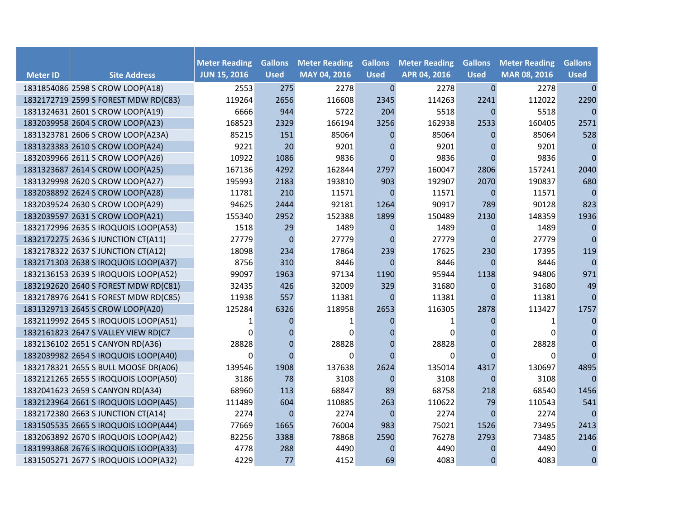|                 |                                      | <b>Meter Reading</b> | <b>Gallons</b>   | <b>Meter Reading</b> | <b>Gallons</b> | <b>Meter Reading</b> | <b>Gallons</b> | <b>Meter Reading</b> | <b>Gallons</b> |
|-----------------|--------------------------------------|----------------------|------------------|----------------------|----------------|----------------------|----------------|----------------------|----------------|
| <b>Meter ID</b> | <b>Site Address</b>                  | <b>JUN 15, 2016</b>  | <b>Used</b>      | MAY 04, 2016         | <b>Used</b>    | APR 04, 2016         | <b>Used</b>    | MAR 08, 2016         | <b>Used</b>    |
|                 | 1831854086 2598 S CROW LOOP(A18)     | 2553                 | 275              | 2278                 | $\mathbf 0$    | 2278                 | $\mathbf{0}$   | 2278                 | $\mathbf{0}$   |
|                 | 1832172719 2599 S FOREST MDW RD(C83) | 119264               | 2656             | 116608               | 2345           | 114263               | 2241           | 112022               | 2290           |
|                 | 1831324631 2601 S CROW LOOP(A19)     | 6666                 | 944              | 5722                 | 204            | 5518                 | $\mathbf{0}$   | 5518                 | $\mathbf{0}$   |
|                 | 1832039958 2604 S CROW LOOP(A23)     | 168523               | 2329             | 166194               | 3256           | 162938               | 2533           | 160405               | 2571           |
|                 | 1831323781 2606 S CROW LOOP(A23A)    | 85215                | 151              | 85064                | $\Omega$       | 85064                | $\Omega$       | 85064                | 528            |
|                 | 1831323383 2610 S CROW LOOP(A24)     | 9221                 | 20               | 9201                 | $\Omega$       | 9201                 | 0              | 9201                 | $\mathbf{0}$   |
|                 | 1832039966 2611 S CROW LOOP(A26)     | 10922                | 1086             | 9836                 | $\mathbf 0$    | 9836                 | $\mathbf 0$    | 9836                 | $\mathbf{0}$   |
|                 | 1831323687 2614 S CROW LOOP(A25)     | 167136               | 4292             | 162844               | 2797           | 160047               | 2806           | 157241               | 2040           |
|                 | 1831329998 2620 S CROW LOOP(A27)     | 195993               | 2183             | 193810               | 903            | 192907               | 2070           | 190837               | 680            |
|                 | 1832038892 2624 S CROW LOOP(A28)     | 11781                | 210              | 11571                | $\overline{0}$ | 11571                | $\mathbf 0$    | 11571                | $\pmb{0}$      |
|                 | 1832039524 2630 S CROW LOOP(A29)     | 94625                | 2444             | 92181                | 1264           | 90917                | 789            | 90128                | 823            |
|                 | 1832039597 2631 S CROW LOOP(A21)     | 155340               | 2952             | 152388               | 1899           | 150489               | 2130           | 148359               | 1936           |
|                 | 1832172996 2635 S IROQUOIS LOOP(A53) | 1518                 | 29               | 1489                 | $\mathbf 0$    | 1489                 | $\mathbf 0$    | 1489                 | $\mathbf 0$    |
|                 | 1832172275 2636 S JUNCTION CT(A11)   | 27779                | $\boldsymbol{0}$ | 27779                | $\mathbf 0$    | 27779                | $\mathbf 0$    | 27779                | $\mathbf 0$    |
|                 | 1832178322 2637 S JUNCTION CT(A12)   | 18098                | 234              | 17864                | 239            | 17625                | 230            | 17395                | 119            |
|                 | 1832171303 2638 S IROQUOIS LOOP(A37) | 8756                 | 310              | 8446                 | $\Omega$       | 8446                 | $\Omega$       | 8446                 | $\mathbf{0}$   |
|                 | 1832136153 2639 S IROQUOIS LOOP(A52) | 99097                | 1963             | 97134                | 1190           | 95944                | 1138           | 94806                | 971            |
|                 | 1832192620 2640 S FOREST MDW RD(C81) | 32435                | 426              | 32009                | 329            | 31680                | $\overline{0}$ | 31680                | 49             |
|                 | 1832178976 2641 S FOREST MDW RD(C85) | 11938                | 557              | 11381                | $\Omega$       | 11381                | $\Omega$       | 11381                | $\mathbf{0}$   |
|                 | 1831329713 2645 S CROW LOOP(A20)     | 125284               | 6326             | 118958               | 2653           | 116305               | 2878           | 113427               | 1757           |
|                 | 1832119992 2645 S IROQUOIS LOOP(A51) | 1                    | 0                | 1                    | $\mathbf 0$    | 1                    | 0              | 1                    | $\mathbf{0}$   |
|                 | 1832161823 2647 S VALLEY VIEW RD(C7  | $\Omega$             | 0                | $\Omega$             | 0              | $\mathbf{0}$         | 0              | $\Omega$             | $\mathbf{0}$   |
|                 | 1832136102 2651 S CANYON RD(A36)     | 28828                | $\overline{0}$   | 28828                | $\overline{0}$ | 28828                | $\Omega$       | 28828                | $\mathbf{0}$   |
|                 | 1832039982 2654 S IROQUOIS LOOP(A40) | 0                    | $\Omega$         | 0                    | $\Omega$       | 0                    | $\Omega$       | 0                    | $\mathbf{0}$   |
|                 | 1832178321 2655 S BULL MOOSE DR(A06) | 139546               | 1908             | 137638               | 2624           | 135014               | 4317           | 130697               | 4895           |
|                 | 1832121265 2655 S IROQUOIS LOOP(A50) | 3186                 | 78               | 3108                 | $\mathbf{0}$   | 3108                 | $\overline{0}$ | 3108                 | $\mathbf{0}$   |
|                 | 1832041623 2659 S CANYON RD(A34)     | 68960                | 113              | 68847                | 89             | 68758                | 218            | 68540                | 1456           |
|                 | 1832123964 2661 S IROQUOIS LOOP(A45) | 111489               | 604              | 110885               | 263            | 110622               | 79             | 110543               | 541            |
|                 | 1832172380 2663 S JUNCTION CT(A14)   | 2274                 | $\mathbf 0$      | 2274                 | $\mathbf 0$    | 2274                 | $\overline{0}$ | 2274                 | $\mathbf{0}$   |
|                 | 1831505535 2665 S IROQUOIS LOOP(A44) | 77669                | 1665             | 76004                | 983            | 75021                | 1526           | 73495                | 2413           |
|                 | 1832063892 2670 S IROQUOIS LOOP(A42) | 82256                | 3388             | 78868                | 2590           | 76278                | 2793           | 73485                | 2146           |
|                 | 1831993868 2676 S IROQUOIS LOOP(A33) | 4778                 | 288              | 4490                 | $\mathbf 0$    | 4490                 | 0              | 4490                 | $\mathbf{0}$   |
|                 | 1831505271 2677 S IROQUOIS LOOP(A32) | 4229                 | 77               | 4152                 | 69             | 4083                 | $\mathbf{0}$   | 4083                 | $\mathbf 0$    |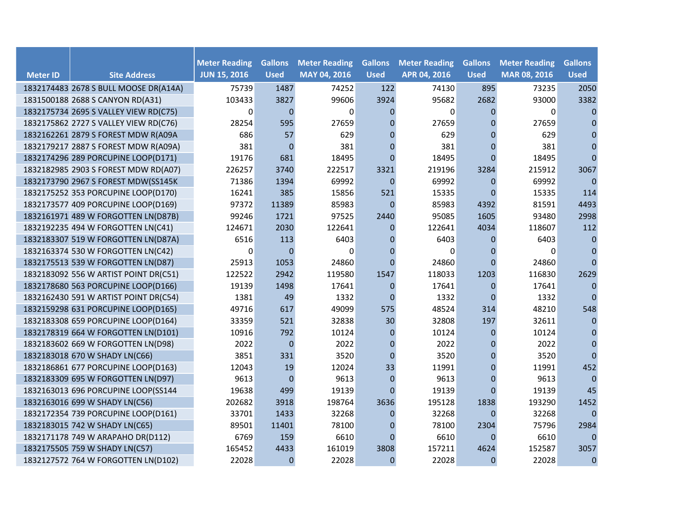|                 |                                       | <b>Meter Reading</b> | <b>Gallons</b> | <b>Meter Reading</b> | <b>Gallons</b>   | <b>Meter Reading</b> | <b>Gallons</b> | <b>Meter Reading</b> | <b>Gallons</b> |
|-----------------|---------------------------------------|----------------------|----------------|----------------------|------------------|----------------------|----------------|----------------------|----------------|
| <b>Meter ID</b> | <b>Site Address</b>                   | <b>JUN 15, 2016</b>  | <b>Used</b>    | MAY 04, 2016         | <b>Used</b>      | APR 04, 2016         | <b>Used</b>    | MAR 08, 2016         | <b>Used</b>    |
|                 | 1832174483 2678 S BULL MOOSE DR(A14A) | 75739                | 1487           | 74252                | 122              | 74130                | 895            | 73235                | 2050           |
|                 | 1831500188 2688 S CANYON RD(A31)      | 103433               | 3827           | 99606                | 3924             | 95682                | 2682           | 93000                | 3382           |
|                 | 1832175734 2695 S VALLEY VIEW RD(C75) | $\Omega$             | $\Omega$       | $\Omega$             | $\Omega$         | $\pmb{0}$            | $\Omega$       | $\Omega$             | $\Omega$       |
|                 | 1832175862 2727 S VALLEY VIEW RD(C76) | 28254                | 595            | 27659                | $\Omega$         | 27659                | $\Omega$       | 27659                | $\Omega$       |
|                 | 1832162261 2879 S FOREST MDW R(A09A   | 686                  | 57             | 629                  | $\Omega$         | 629                  | $\Omega$       | 629                  | $\Omega$       |
|                 | 1832179217 2887 S FOREST MDW R(A09A)  | 381                  | $\mathbf 0$    | 381                  | $\Omega$         | 381                  | $\Omega$       | 381                  | $\mathbf{0}$   |
|                 | 1832174296 289 PORCUPINE LOOP(D171)   | 19176                | 681            | 18495                | $\Omega$         | 18495                | $\Omega$       | 18495                | $\Omega$       |
|                 | 1832182985 2903 S FOREST MDW RD(A07)  | 226257               | 3740           | 222517               | 3321             | 219196               | 3284           | 215912               | 3067           |
|                 | 1832173790 2967 S FOREST MDW(SS145K   | 71386                | 1394           | 69992                | $\Omega$         | 69992                | $\overline{0}$ | 69992                | $\mathbf 0$    |
|                 | 1832175252 353 PORCUPINE LOOP(D170)   | 16241                | 385            | 15856                | 521              | 15335                | $\overline{0}$ | 15335                | 114            |
|                 | 1832173577 409 PORCUPINE LOOP(D169)   | 97372                | 11389          | 85983                | $\mathbf{0}$     | 85983                | 4392           | 81591                | 4493           |
|                 | 1832161971 489 W FORGOTTEN LN(D87B)   | 99246                | 1721           | 97525                | 2440             | 95085                | 1605           | 93480                | 2998           |
|                 | 1832192235 494 W FORGOTTEN LN(C41)    | 124671               | 2030           | 122641               | $\mathbf{0}$     | 122641               | 4034           | 118607               | 112            |
|                 | 1832183307 519 W FORGOTTEN LN(D87A)   | 6516                 | 113            | 6403                 | $\mathbf{0}$     | 6403                 | 0              | 6403                 | $\mathbf 0$    |
|                 | 1832163374 530 W FORGOTTEN LN(C42)    | 0                    | $\overline{0}$ | $\Omega$             | $\mathbf{0}$     | 0                    | 0              | 0                    | $\mathbf{0}$   |
|                 | 1832175513 539 W FORGOTTEN LN(D87)    | 25913                | 1053           | 24860                | $\Omega$         | 24860                | $\Omega$       | 24860                | $\Omega$       |
|                 | 1832183092 556 W ARTIST POINT DR(C51) | 122522               | 2942           | 119580               | 1547             | 118033               | 1203           | 116830               | 2629           |
|                 | 1832178680 563 PORCUPINE LOOP(D166)   | 19139                | 1498           | 17641                | $\mathbf{0}$     | 17641                | $\mathbf{0}$   | 17641                | $\mathbf{0}$   |
|                 | 1832162430 591 W ARTIST POINT DR(C54) | 1381                 | 49             | 1332                 | $\Omega$         | 1332                 | $\Omega$       | 1332                 | $\mathbf{0}$   |
|                 | 1832159298 631 PORCUPINE LOOP(D165)   | 49716                | 617            | 49099                | 575              | 48524                | 314            | 48210                | 548            |
|                 | 1832183308 659 PORCUPINE LOOP(D164)   | 33359                | 521            | 32838                | 30               | 32808                | 197            | 32611                | 0              |
|                 | 1832178319 664 W FORGOTTEN LN(D101)   | 10916                | 792            | 10124                | $\mathbf{0}$     | 10124                | $\overline{0}$ | 10124                | $\Omega$       |
|                 | 1832183602 669 W FORGOTTEN LN(D98)    | 2022                 | $\mathbf{0}$   | 2022                 | $\boldsymbol{0}$ | 2022                 | $\overline{0}$ | 2022                 | $\pmb{0}$      |
|                 | 1832183018 670 W SHADY LN(C66)        | 3851                 | 331            | 3520                 | $\mathbf{0}$     | 3520                 | 0              | 3520                 | $\mathbf{0}$   |
|                 | 1832186861 677 PORCUPINE LOOP(D163)   | 12043                | 19             | 12024                | 33               | 11991                | $\Omega$       | 11991                | 452            |
|                 | 1832183309 695 W FORGOTTEN LN(D97)    | 9613                 | $\Omega$       | 9613                 | $\Omega$         | 9613                 | $\Omega$       | 9613                 | $\mathbf{0}$   |
|                 | 1832163013 696 PORCUPINE LOOP(SS144   | 19638                | 499            | 19139                | $\Omega$         | 19139                | $\Omega$       | 19139                | 45             |
|                 | 1832163016 699 W SHADY LN(C56)        | 202682               | 3918           | 198764               | 3636             | 195128               | 1838           | 193290               | 1452           |
|                 | 1832172354 739 PORCUPINE LOOP(D161)   | 33701                | 1433           | 32268                | $\mathbf{0}$     | 32268                | $\Omega$       | 32268                | $\mathbf{0}$   |
|                 | 1832183015 742 W SHADY LN(C65)        | 89501                | 11401          | 78100                | $\mathbf 0$      | 78100                | 2304           | 75796                | 2984           |
|                 | 1832171178 749 W ARAPAHO DR(D112)     | 6769                 | 159            | 6610                 | $\mathbf{0}$     | 6610                 | $\overline{0}$ | 6610                 | $\mathbf 0$    |
|                 | 1832175505 759 W SHADY LN(C57)        | 165452               | 4433           | 161019               | 3808             | 157211               | 4624           | 152587               | 3057           |
|                 | 1832127572 764 W FORGOTTEN LN(D102)   | 22028                | $\mathbf{0}$   | 22028                | $\Omega$         | 22028                | $\Omega$       | 22028                | $\mathbf{0}$   |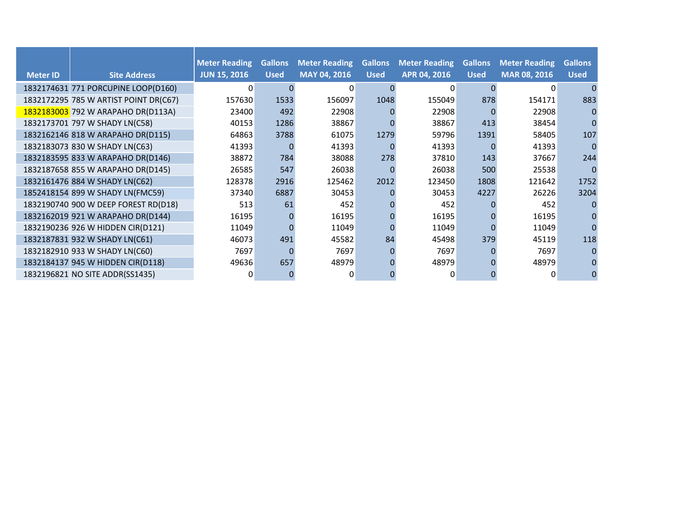|                 |                                       | <b>Meter Reading</b> | <b>Gallons</b> | <b>Meter Reading</b> | <b>Gallons</b> | <b>Meter Reading</b> | <b>Gallons</b> | <b>Meter Reading</b> | <b>Gallons</b> |
|-----------------|---------------------------------------|----------------------|----------------|----------------------|----------------|----------------------|----------------|----------------------|----------------|
| <b>Meter ID</b> | <b>Site Address</b>                   | <b>JUN 15, 2016</b>  | <b>Used</b>    | <b>MAY 04, 2016</b>  | <b>Used</b>    | APR 04, 2016         | <b>Used</b>    | <b>MAR 08, 2016</b>  | <b>Used</b>    |
|                 | 1832174631 771 PORCUPINE LOOP(D160)   | 0                    |                | $\Omega$             |                | 0                    |                | $\Omega$             |                |
|                 | 1832172295 785 W ARTIST POINT DR(C67) | 157630               | 1533           | 156097               | 1048           | 155049               | 878            | 154171               | 883            |
|                 | 1832183003 792 W ARAPAHO DR(D113A)    | 23400                | 492            | 22908                |                | 22908                |                | 22908                |                |
|                 | 1832173701 797 W SHADY LN(C58)        | 40153                | 1286           | 38867                |                | 38867                | 413            | 38454                |                |
|                 | 1832162146 818 W ARAPAHO DR(D115)     | 64863                | 3788           | 61075                | 1279           | 59796                | 1391           | 58405                | 107            |
|                 | 1832183073 830 W SHADY LN(C63)        | 41393                |                | 41393                |                | 41393                |                | 41393                |                |
|                 | 1832183595 833 W ARAPAHO DR(D146)     | 38872                | 784            | 38088                | 278            | 37810                | 143            | 37667                | 244            |
|                 | 1832187658 855 W ARAPAHO DR(D145)     | 26585                | 547            | 26038                | $\Omega$       | 26038                | 500            | 25538                |                |
|                 | 1832161476 884 W SHADY LN(C62)        | 128378               | 2916           | 125462               | 2012           | 123450               | 1808           | 121642               | 1752           |
|                 | 1852418154 899 W SHADY LN(FMC59)      | 37340                | 6887           | 30453                |                | 30453                | 4227           | 26226                | 3204           |
|                 | 1832190740 900 W DEEP FOREST RD(D18)  | 513                  | 61             | 452                  |                | 452                  |                | 452                  |                |
|                 | 1832162019 921 W ARAPAHO DR(D144)     | 16195                |                | 16195                |                | 16195                |                | 16195                |                |
|                 | 1832190236 926 W HIDDEN CIR(D121)     | 11049                |                | 11049                |                | 11049                |                | 11049                |                |
|                 | 1832187831 932 W SHADY LN(C61)        | 46073                | 491            | 45582                | 84             | 45498                | 379            | 45119                | 118            |
|                 | 1832182910 933 W SHADY LN(C60)        | 7697                 |                | 7697                 | $\Omega$       | 7697                 |                | 7697                 |                |
|                 | 1832184137 945 W HIDDEN CIR(D118)     | 49636                | 657            | 48979                |                | 48979                |                | 48979                |                |
|                 | 1832196821 NO SITE ADDR(SS1435)       | 0                    |                |                      |                |                      |                |                      |                |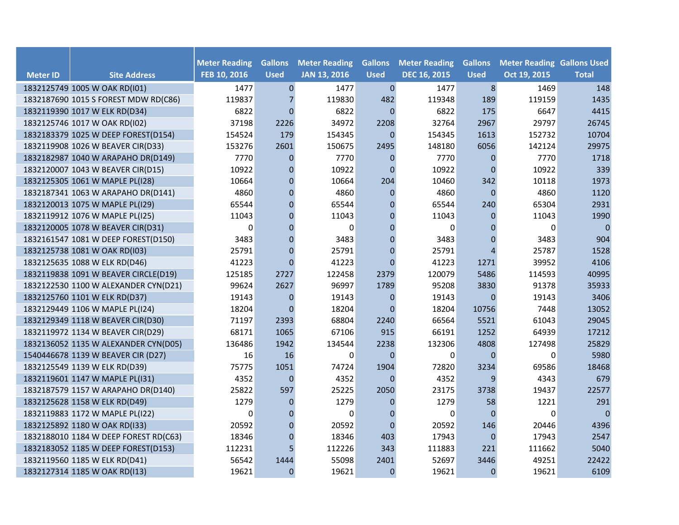| <b>Meter ID</b> | <b>Site Address</b>                   | <b>Meter Reading</b><br>FEB 10, 2016 | <b>Gallons</b><br><b>Used</b> | <b>Meter Reading</b><br><b>JAN 13, 2016</b> | <b>Gallons</b><br><b>Used</b> | <b>Meter Reading</b><br><b>DEC 16, 2015</b> | <b>Gallons</b><br><b>Used</b> | <b>Meter Reading Gallons Used</b><br>Oct 19, 2015 | <b>Total</b>   |
|-----------------|---------------------------------------|--------------------------------------|-------------------------------|---------------------------------------------|-------------------------------|---------------------------------------------|-------------------------------|---------------------------------------------------|----------------|
|                 | 1832125749 1005 W OAK RD(I01)         | 1477                                 | $\mathbf{0}$                  | 1477                                        | $\mathbf{0}$                  | 1477                                        | $\bf 8$                       | 1469                                              | 148            |
|                 | 1832187690 1015 S FOREST MDW RD(C86)  | 119837                               | $\overline{7}$                | 119830                                      | 482                           | 119348                                      | 189                           | 119159                                            | 1435           |
|                 | 1832119390 1017 W ELK RD(D34)         | 6822                                 | $\mathbf{0}$                  | 6822                                        | $\mathbf{0}$                  | 6822                                        | 175                           | 6647                                              | 4415           |
|                 | 1832125746 1017 W OAK RD(I02)         | 37198                                | 2226                          | 34972                                       | 2208                          | 32764                                       | 2967                          | 29797                                             | 26745          |
|                 | 1832183379 1025 W DEEP FOREST(D154)   | 154524                               | 179                           | 154345                                      | $\mathbf{0}$                  | 154345                                      | 1613                          | 152732                                            | 10704          |
|                 | 1832119908 1026 W BEAVER CIR(D33)     | 153276                               | 2601                          | 150675                                      | 2495                          | 148180                                      | 6056                          | 142124                                            | 29975          |
|                 | 1832182987 1040 W ARAPAHO DR(D149)    | 7770                                 | $\overline{0}$                | 7770                                        | $\mathbf{0}$                  | 7770                                        | $\overline{0}$                | 7770                                              | 1718           |
|                 | 1832120007 1043 W BEAVER CIR(D15)     | 10922                                | $\mathbf 0$                   | 10922                                       | $\mathbf{0}$                  | 10922                                       | $\overline{0}$                | 10922                                             | 339            |
|                 | 1832125305 1061 W MAPLE PL(I28)       | 10664                                | 0                             | 10664                                       | 204                           | 10460                                       | 342                           | 10118                                             | 1973           |
|                 | 1832187341 1063 W ARAPAHO DR(D141)    | 4860                                 | $\mathbf{0}$                  | 4860                                        | $\mathbf{0}$                  | 4860                                        | $\overline{0}$                | 4860                                              | 1120           |
|                 | 1832120013 1075 W MAPLE PL(I29)       | 65544                                | $\mathbf{0}$                  | 65544                                       | $\mathbf{0}$                  | 65544                                       | 240                           | 65304                                             | 2931           |
|                 | 1832119912 1076 W MAPLE PL(I25)       | 11043                                | 0                             | 11043                                       | $\mathbf{0}$                  | 11043                                       | $\mathbf{0}$                  | 11043                                             | 1990           |
|                 | 1832120005 1078 W BEAVER CIR(D31)     | $\Omega$                             | $\mathbf{0}$                  | $\Omega$                                    | $\mathbf{0}$                  | $\Omega$                                    | $\mathbf 0$                   | 0                                                 | $\overline{0}$ |
|                 | 1832161547 1081 W DEEP FOREST(D150)   | 3483                                 | $\overline{0}$                | 3483                                        | $\mathbf{0}$                  | 3483                                        | $\mathbf{0}$                  | 3483                                              | 904            |
|                 | 1832125738 1081 W OAK RD(I03)         | 25791                                | $\mathbf{0}$                  | 25791                                       | $\mathbf{0}$                  | 25791                                       | $\overline{4}$                | 25787                                             | 1528           |
|                 | 1832125635 1088 W ELK RD(D46)         | 41223                                | $\mathbf{0}$                  | 41223                                       | $\Omega$                      | 41223                                       | 1271                          | 39952                                             | 4106           |
|                 | 1832119838 1091 W BEAVER CIRCLE(D19)  | 125185                               | 2727                          | 122458                                      | 2379                          | 120079                                      | 5486                          | 114593                                            | 40995          |
|                 | 1832122530 1100 W ALEXANDER CYN(D21)  | 99624                                | 2627                          | 96997                                       | 1789                          | 95208                                       | 3830                          | 91378                                             | 35933          |
|                 | 1832125760 1101 W ELK RD(D37)         | 19143                                | $\mathbf 0$                   | 19143                                       | $\mathbf{0}$                  | 19143                                       | $\theta$                      | 19143                                             | 3406           |
|                 | 1832129449 1106 W MAPLE PL(I24)       | 18204                                | $\Omega$                      | 18204                                       | $\Omega$                      | 18204                                       | 10756                         | 7448                                              | 13052          |
|                 | 1832129349 1118 W BEAVER CIR(D30)     | 71197                                | 2393                          | 68804                                       | 2240                          | 66564                                       | 5521                          | 61043                                             | 29045          |
|                 | 1832119972 1134 W BEAVER CIR(D29)     | 68171                                | 1065                          | 67106                                       | 915                           | 66191                                       | 1252                          | 64939                                             | 17212          |
|                 | 1832136052 1135 W ALEXANDER CYN(D05)  | 136486                               | 1942                          | 134544                                      | 2238                          | 132306                                      | 4808                          | 127498                                            | 25829          |
|                 | 1540446678 1139 W BEAVER CIR (D27)    | 16                                   | 16                            | $\Omega$                                    | $\mathbf{0}$                  | $\mathbf 0$                                 | $\Omega$                      | 0                                                 | 5980           |
|                 | 1832125549 1139 W ELK RD(D39)         | 75775                                | 1051                          | 74724                                       | 1904                          | 72820                                       | 3234                          | 69586                                             | 18468          |
|                 | 1832119601 1147 W MAPLE PL(I31)       | 4352                                 | $\mathbf 0$                   | 4352                                        | $\Omega$                      | 4352                                        | 9                             | 4343                                              | 679            |
|                 | 1832187579 1157 W ARAPAHO DR(D140)    | 25822                                | 597                           | 25225                                       | 2050                          | 23175                                       | 3738                          | 19437                                             | 22577          |
|                 | 1832125628 1158 W ELK RD(D49)         | 1279                                 | 0                             | 1279                                        | $\mathbf 0$                   | 1279                                        | 58                            | 1221                                              | 291            |
|                 | 1832119883 1172 W MAPLE PL(I22)       | $\Omega$                             | $\Omega$                      | $\Omega$                                    | $\mathbf{0}$                  | $\Omega$                                    | $\Omega$                      | 0                                                 | $\mathbf 0$    |
|                 | 1832125892 1180 W OAK RD(I33)         | 20592                                | $\overline{0}$                | 20592                                       | $\mathbf{0}$                  | 20592                                       | 146                           | 20446                                             | 4396           |
|                 | 1832188010 1184 W DEEP FOREST RD(C63) | 18346                                | 0                             | 18346                                       | 403                           | 17943                                       | $\mathbf 0$                   | 17943                                             | 2547           |
|                 | 1832183052 1185 W DEEP FOREST(D153)   | 112231                               | 5                             | 112226                                      | 343                           | 111883                                      | 221                           | 111662                                            | 5040           |
|                 | 1832119560 1185 W ELK RD(D41)         | 56542                                | 1444                          | 55098                                       | 2401                          | 52697                                       | 3446                          | 49251                                             | 22422          |
|                 | 1832127314 1185 W OAK RD(I13)         | 19621                                | $\Omega$                      | 19621                                       | $\mathbf{0}$                  | 19621                                       | $\mathbf 0$                   | 19621                                             | 6109           |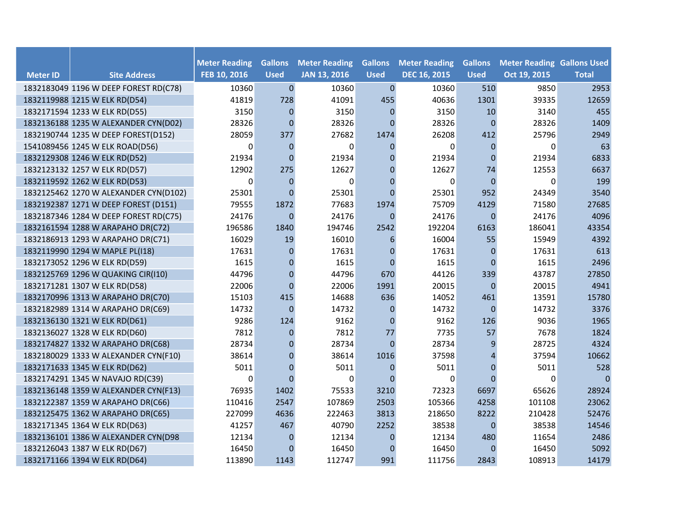|                 |                                       | <b>Meter Reading</b> | <b>Gallons</b> | <b>Meter Reading</b> | <b>Gallons</b> | <b>Meter Reading</b> | <b>Gallons</b>   | <b>Meter Reading Gallons Used</b> |                |
|-----------------|---------------------------------------|----------------------|----------------|----------------------|----------------|----------------------|------------------|-----------------------------------|----------------|
| <b>Meter ID</b> | <b>Site Address</b>                   | FEB 10, 2016         | <b>Used</b>    | <b>JAN 13, 2016</b>  | <b>Used</b>    | <b>DEC 16, 2015</b>  | <b>Used</b>      | Oct 19, 2015                      | <b>Total</b>   |
|                 | 1832183049 1196 W DEEP FOREST RD(C78) | 10360                | $\mathbf 0$    | 10360                | $\pmb{0}$      | 10360                | 510              | 9850                              | 2953           |
|                 | 1832119988 1215 W ELK RD(D54)         | 41819                | 728            | 41091                | 455            | 40636                | 1301             | 39335                             | 12659          |
|                 | 1832171594 1233 W ELK RD(D55)         | 3150                 | $\mathbf{0}$   | 3150                 | $\mathbf{0}$   | 3150                 | 10               | 3140                              | 455            |
|                 | 1832136188 1235 W ALEXANDER CYN(D02)  | 28326                | $\overline{0}$ | 28326                | $\Omega$       | 28326                | $\overline{0}$   | 28326                             | 1409           |
|                 | 1832190744 1235 W DEEP FOREST(D152)   | 28059                | 377            | 27682                | 1474           | 26208                | 412              | 25796                             | 2949           |
|                 | 1541089456 1245 W ELK ROAD(D56)       | $\Omega$             | $\Omega$       | $\Omega$             | $\Omega$       | $\Omega$             | $\Omega$         | 0                                 | 63             |
|                 | 1832129308 1246 W ELK RD(D52)         | 21934                | $\mathbf 0$    | 21934                | $\mathbf{0}$   | 21934                | $\overline{0}$   | 21934                             | 6833           |
|                 | 1832123132 1257 W ELK RD(D57)         | 12902                | 275            | 12627                | $\mathbf 0$    | 12627                | 74               | 12553                             | 6637           |
|                 | 1832119592 1262 W ELK RD(D53)         | $\Omega$             | $\mathbf{0}$   | $\Omega$             | $\mathbf{0}$   | 0                    | $\theta$         | 0                                 | 199            |
|                 | 1832125462 1270 W ALEXANDER CYN(D102) | 25301                | $\Omega$       | 25301                | $\Omega$       | 25301                | 952              | 24349                             | 3540           |
|                 | 1832192387 1271 W DEEP FOREST (D151)  | 79555                | 1872           | 77683                | 1974           | 75709                | 4129             | 71580                             | 27685          |
|                 | 1832187346 1284 W DEEP FOREST RD(C75) | 24176                | $\mathbf 0$    | 24176                | $\mathbf 0$    | 24176                | $\boldsymbol{0}$ | 24176                             | 4096           |
|                 | 1832161594 1288 W ARAPAHO DR(C72)     | 196586               | 1840           | 194746               | 2542           | 192204               | 6163             | 186041                            | 43354          |
|                 | 1832186913 1293 W ARAPAHO DR(C71)     | 16029                | 19             | 16010                | 6              | 16004                | 55               | 15949                             | 4392           |
|                 | 1832119990 1294 W MAPLE PL(I18)       | 17631                | $\overline{0}$ | 17631                | $\mathbf{0}$   | 17631                | $\mathbf 0$      | 17631                             | 613            |
|                 | 1832173052 1296 W ELK RD(D59)         | 1615                 | $\Omega$       | 1615                 | $\Omega$       | 1615                 | $\Omega$         | 1615                              | 2496           |
|                 | 1832125769 1296 W QUAKING CIR(I10)    | 44796                | $\mathbf{0}$   | 44796                | 670            | 44126                | 339              | 43787                             | 27850          |
|                 | 1832171281 1307 W ELK RD(D58)         | 22006                | $\mathbf 0$    | 22006                | 1991           | 20015                | $\overline{0}$   | 20015                             | 4941           |
|                 | 1832170996 1313 W ARAPAHO DR(C70)     | 15103                | 415            | 14688                | 636            | 14052                | 461              | 13591                             | 15780          |
|                 | 1832182989 1314 W ARAPAHO DR(C69)     | 14732                | $\Omega$       | 14732                | $\mathbf{0}$   | 14732                | $\overline{0}$   | 14732                             | 3376           |
|                 | 1832136130 1321 W ELK RD(D61)         | 9286                 | 124            | 9162                 | $\mathbf{0}$   | 9162                 | 126              | 9036                              | 1965           |
|                 | 1832136027 1328 W ELK RD(D60)         | 7812                 | $\mathbf{0}$   | 7812                 | 77             | 7735                 | 57               | 7678                              | 1824           |
|                 | 1832174827 1332 W ARAPAHO DR(C68)     | 28734                | $\overline{0}$ | 28734                | $\mathbf{0}$   | 28734                | 9                | 28725                             | 4324           |
|                 | 1832180029 1333 W ALEXANDER CYN(F10)  | 38614                | $\mathbf{0}$   | 38614                | 1016           | 37598                | 4                | 37594                             | 10662          |
|                 | 1832171633 1345 W ELK RD(D62)         | 5011                 | $\mathbf{0}$   | 5011                 | $\Omega$       | 5011                 | $\mathbf{0}$     | 5011                              | 528            |
|                 | 1832174291 1345 W NAVAJO RD(C39)      | $\Omega$             | $\Omega$       | $\Omega$             | $\Omega$       | $\Omega$             | $\Omega$         | 0                                 | $\overline{0}$ |
|                 | 1832136148 1359 W ALEXANDER CYN(F13)  | 76935                | 1402           | 75533                | 3210           | 72323                | 6697             | 65626                             | 28924          |
|                 | 1832122387 1359 W ARAPAHO DR(C66)     | 110416               | 2547           | 107869               | 2503           | 105366               | 4258             | 101108                            | 23062          |
|                 | 1832125475 1362 W ARAPAHO DR(C65)     | 227099               | 4636           | 222463               | 3813           | 218650               | 8222             | 210428                            | 52476          |
|                 | 1832171345 1364 W ELK RD(D63)         | 41257                | 467            | 40790                | 2252           | 38538                | $\mathbf{0}$     | 38538                             | 14546          |
|                 | 1832136101 1386 W ALEXANDER CYN(D98   | 12134                | 0              | 12134                | $\mathbf{0}$   | 12134                | 480              | 11654                             | 2486           |
|                 | 1832126043 1387 W ELK RD(D67)         | 16450                | $\Omega$       | 16450                | $\mathbf 0$    | 16450                | $\Omega$         | 16450                             | 5092           |
|                 | 1832171166 1394 W ELK RD(D64)         | 113890               | 1143           | 112747               | 991            | 111756               | 2843             | 108913                            | 14179          |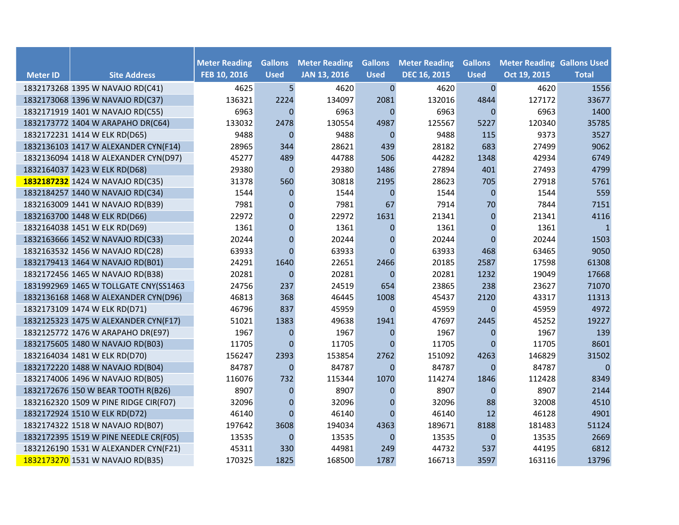|                 |                                       |                                      | <b>Gallons</b> |                                             | <b>Gallons</b> |                                             |                               |                                                   |                |
|-----------------|---------------------------------------|--------------------------------------|----------------|---------------------------------------------|----------------|---------------------------------------------|-------------------------------|---------------------------------------------------|----------------|
| <b>Meter ID</b> | <b>Site Address</b>                   | <b>Meter Reading</b><br>FEB 10, 2016 | <b>Used</b>    | <b>Meter Reading</b><br><b>JAN 13, 2016</b> | <b>Used</b>    | <b>Meter Reading</b><br><b>DEC 16, 2015</b> | <b>Gallons</b><br><b>Used</b> | <b>Meter Reading Gallons Used</b><br>Oct 19, 2015 | <b>Total</b>   |
|                 | 1832173268 1395 W NAVAJO RD(C41)      | 4625                                 | 5              | 4620                                        | $\mathbf 0$    | 4620                                        | $\mathbf{0}$                  | 4620                                              | 1556           |
|                 | 1832173068 1396 W NAVAJO RD(C37)      | 136321                               | 2224           | 134097                                      | 2081           | 132016                                      | 4844                          | 127172                                            | 33677          |
|                 | 1832171919 1401 W NAVAJO RD(C55)      | 6963                                 | $\Omega$       | 6963                                        | $\Omega$       | 6963                                        | $\Omega$                      | 6963                                              | 1400           |
|                 | 1832173772 1404 W ARAPAHO DR(C64)     | 133032                               | 2478           | 130554                                      | 4987           | 125567                                      | 5227                          | 120340                                            | 35785          |
|                 | 1832172231 1414 W ELK RD(D65)         | 9488                                 | $\mathbf 0$    | 9488                                        | $\mathbf{0}$   | 9488                                        | 115                           | 9373                                              | 3527           |
|                 | 1832136103 1417 W ALEXANDER CYN(F14)  | 28965                                | 344            | 28621                                       | 439            | 28182                                       | 683                           | 27499                                             | 9062           |
|                 | 1832136094 1418 W ALEXANDER CYN(D97)  | 45277                                | 489            | 44788                                       | 506            | 44282                                       | 1348                          | 42934                                             | 6749           |
|                 | 1832164037 1423 W ELK RD(D68)         | 29380                                | $\mathbf{0}$   | 29380                                       | 1486           | 27894                                       | 401                           | 27493                                             | 4799           |
|                 | 1832187232 1424 W NAVAJO RD(C35)      | 31378                                | 560            | 30818                                       | 2195           | 28623                                       | 705                           | 27918                                             | 5761           |
|                 | 1832184257 1440 W NAVAJO RD(C34)      | 1544                                 | 0              | 1544                                        | $\mathbf{0}$   | 1544                                        | $\mathbf{0}$                  | 1544                                              | 559            |
|                 | 1832163009 1441 W NAVAJO RD(B39)      | 7981                                 | 0              | 7981                                        | 67             | 7914                                        | 70                            | 7844                                              | 7151           |
|                 | 1832163700 1448 W ELK RD(D66)         | 22972                                | 0              | 22972                                       | 1631           | 21341                                       | $\mathbf{0}$                  | 21341                                             | 4116           |
|                 | 1832164038 1451 W ELK RD(D69)         | 1361                                 | $\mathbf{0}$   | 1361                                        | $\mathbf 0$    | 1361                                        | $\mathbf 0$                   | 1361                                              | $\mathbf{1}$   |
|                 | 1832163666 1452 W NAVAJO RD(C33)      | 20244                                | $\mathbf 0$    | 20244                                       | $\mathbf{0}$   | 20244                                       | $\overline{0}$                | 20244                                             | 1503           |
|                 | 1832163532 1456 W NAVAJO RD(C28)      | 63933                                | $\Omega$       | 63933                                       | $\Omega$       | 63933                                       | 468                           | 63465                                             | 9050           |
|                 | 1832179413 1464 W NAVAJO RD(B01)      | 24291                                | 1640           | 22651                                       | 2466           | 20185                                       | 2587                          | 17598                                             | 61308          |
|                 | 1832172456 1465 W NAVAJO RD(B38)      | 20281                                | $\mathbf 0$    | 20281                                       | $\mathbf 0$    | 20281                                       | 1232                          | 19049                                             | 17668          |
|                 | 1831992969 1465 W TOLLGATE CNY(SS1463 | 24756                                | 237            | 24519                                       | 654            | 23865                                       | 238                           | 23627                                             | 71070          |
|                 | 1832136168 1468 W ALEXANDER CYN(D96)  | 46813                                | 368            | 46445                                       | 1008           | 45437                                       | 2120                          | 43317                                             | 11313          |
|                 | 1832173109 1474 W ELK RD(D71)         | 46796                                | 837            | 45959                                       | $\Omega$       | 45959                                       | $\Omega$                      | 45959                                             | 4972           |
|                 | 1832125323 1475 W ALEXANDER CYN(F17)  | 51021                                | 1383           | 49638                                       | 1941           | 47697                                       | 2445                          | 45252                                             | 19227          |
|                 | 1832125772 1476 W ARAPAHO DR(E97)     | 1967                                 | 0              | 1967                                        | $\mathbf 0$    | 1967                                        | $\boldsymbol{0}$              | 1967                                              | 139            |
|                 | 1832175605 1480 W NAVAJO RD(B03)      | 11705                                | $\Omega$       | 11705                                       | $\Omega$       | 11705                                       | $\Omega$                      | 11705                                             | 8601           |
|                 | 1832164034 1481 W ELK RD(D70)         | 156247                               | 2393           | 153854                                      | 2762           | 151092                                      | 4263                          | 146829                                            | 31502          |
|                 | 1832172220 1488 W NAVAJO RD(B04)      | 84787                                | $\Omega$       | 84787                                       | $\Omega$       | 84787                                       | $\Omega$                      | 84787                                             | $\overline{0}$ |
|                 | 1832174006 1496 W NAVAJO RD(B05)      | 116076                               | 732            | 115344                                      | 1070           | 114274                                      | 1846                          | 112428                                            | 8349           |
|                 | 1832172676 150 W BEAR TOOTH R(B26)    | 8907                                 | $\mathbf{0}$   | 8907                                        | $\mathbf{0}$   | 8907                                        | $\mathbf{0}$                  | 8907                                              | 2144           |
|                 | 1832162320 1509 W PINE RIDGE CIR(F07) | 32096                                | $\mathbf 0$    | 32096                                       | $\mathbf 0$    | 32096                                       | 88                            | 32008                                             | 4510           |
|                 | 1832172924 1510 W ELK RD(D72)         | 46140                                | $\Omega$       | 46140                                       | $\Omega$       | 46140                                       | 12                            | 46128                                             | 4901           |
|                 | 1832174322 1518 W NAVAJO RD(B07)      | 197642                               | 3608           | 194034                                      | 4363           | 189671                                      | 8188                          | 181483                                            | 51124          |
|                 | 1832172395 1519 W PINE NEEDLE CR(F05) | 13535                                | $\mathbf{0}$   | 13535                                       | $\mathbf 0$    | 13535                                       | $\mathbf 0$                   | 13535                                             | 2669           |
|                 | 1832126190 1531 W ALEXANDER CYN(F21)  | 45311                                | 330            | 44981                                       | 249            | 44732                                       | 537                           | 44195                                             | 6812           |
|                 | 1832173270 1531 W NAVAJO RD(B35)      | 170325                               | 1825           | 168500                                      | 1787           | 166713                                      | 3597                          | 163116                                            | 13796          |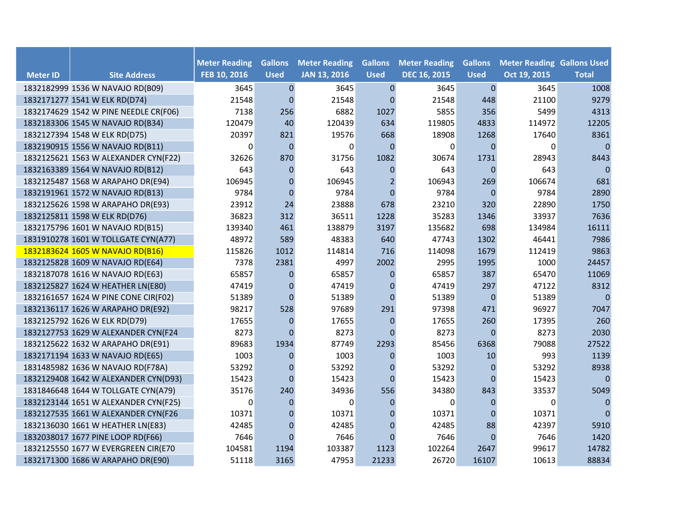|                 |                                       |                                      | <b>Gallons</b>   | <b>Meter Reading</b> | <b>Gallons</b> | <b>Meter Reading</b> | <b>Gallons</b> |                                                   |                |
|-----------------|---------------------------------------|--------------------------------------|------------------|----------------------|----------------|----------------------|----------------|---------------------------------------------------|----------------|
| <b>Meter ID</b> | <b>Site Address</b>                   | <b>Meter Reading</b><br>FEB 10, 2016 | <b>Used</b>      | <b>JAN 13, 2016</b>  | <b>Used</b>    | <b>DEC 16, 2015</b>  | <b>Used</b>    | <b>Meter Reading Gallons Used</b><br>Oct 19, 2015 | <b>Total</b>   |
|                 | 1832182999 1536 W NAVAJO RD(B09)      | 3645                                 | $\pmb{0}$        | 3645                 | $\mathbf 0$    | 3645                 | $\mathbf 0$    | 3645                                              | 1008           |
|                 | 1832171277 1541 W ELK RD(D74)         | 21548                                | $\mathbf{0}$     | 21548                | $\mathbf{0}$   | 21548                | 448            | 21100                                             | 9279           |
|                 | 1832174629 1542 W PINE NEEDLE CR(F06) | 7138                                 | 256              | 6882                 | 1027           | 5855                 | 356            | 5499                                              | 4313           |
|                 | 1832183306 1545 W NAVAJO RD(B34)      | 120479                               | 40               | 120439               | 634            | 119805               | 4833           | 114972                                            | 12205          |
|                 | 1832127394 1548 W ELK RD(D75)         | 20397                                | 821              | 19576                | 668            | 18908                | 1268           | 17640                                             | 8361           |
|                 | 1832190915 1556 W NAVAJO RD(B11)      | $\Omega$                             | $\mathbf 0$      | $\Omega$             | $\mathbf{0}$   | $\Omega$             | $\Omega$       | 0                                                 | $\mathbf 0$    |
|                 | 1832125621 1563 W ALEXANDER CYN(F22)  | 32626                                | 870              | 31756                | 1082           | 30674                | 1731           | 28943                                             | 8443           |
|                 | 1832163389 1564 W NAVAJO RD(B12)      | 643                                  | $\mathbf 0$      | 643                  | $\mathbf{0}$   | 643                  | $\mathbf 0$    | 643                                               | 0              |
|                 | 1832125487 1568 W ARAPAHO DR(E94)     | 106945                               | $\mathbf{0}$     | 106945               | 2              | 106943               | 269            | 106674                                            | 681            |
|                 | 1832191961 1572 W NAVAJO RD(B13)      | 9784                                 | $\Omega$         | 9784                 | $\Omega$       | 9784                 | $\mathbf{0}$   | 9784                                              | 2890           |
|                 | 1832125626 1598 W ARAPAHO DR(E93)     | 23912                                | 24               | 23888                | 678            | 23210                | 320            | 22890                                             | 1750           |
|                 | 1832125811 1598 W ELK RD(D76)         | 36823                                | 312              | 36511                | 1228           | 35283                | 1346           | 33937                                             | 7636           |
|                 | 1832175796 1601 W NAVAJO RD(B15)      | 139340                               | 461              | 138879               | 3197           | 135682               | 698            | 134984                                            | 16111          |
|                 | 1831910278 1601 W TOLLGATE CYN(A77)   | 48972                                | 589              | 48383                | 640            | 47743                | 1302           | 46441                                             | 7986           |
|                 | 1832183624 1605 W NAVAJO RD(B16)      | 115826                               | 1012             | 114814               | 716            | 114098               | 1679           | 112419                                            | 9863           |
|                 | 1832125828 1609 W NAVAJO RD(E64)      | 7378                                 | 2381             | 4997                 | 2002           | 2995                 | 1995           | 1000                                              | 24457          |
|                 | 1832187078 1616 W NAVAJO RD(E63)      | 65857                                | 0                | 65857                | $\mathbf{0}$   | 65857                | 387            | 65470                                             | 11069          |
|                 | 1832125827 1624 W HEATHER LN(E80)     | 47419                                | $\overline{0}$   | 47419                | $\mathbf{0}$   | 47419                | 297            | 47122                                             | 8312           |
|                 | 1832161657 1624 W PINE CONE CIR(F02)  | 51389                                | $\Omega$         | 51389                | $\Omega$       | 51389                | $\overline{0}$ | 51389                                             | $\overline{0}$ |
|                 | 1832136117 1626 W ARAPAHO DR(E92)     | 98217                                | 528              | 97689                | 291            | 97398                | 471            | 96927                                             | 7047           |
|                 | 1832125792 1626 W ELK RD(D79)         | 17655                                | $\mathbf{0}$     | 17655                | $\mathbf{0}$   | 17655                | 260            | 17395                                             | 260            |
|                 | 1832127753 1629 W ALEXANDER CYN(F24   | 8273                                 | $\Omega$         | 8273                 | $\Omega$       | 8273                 | $\mathbf{0}$   | 8273                                              | 2030           |
|                 | 1832125622 1632 W ARAPAHO DR(E91)     | 89683                                | 1934             | 87749                | 2293           | 85456                | 6368           | 79088                                             | 27522          |
|                 | 1832171194 1633 W NAVAJO RD(E65)      | 1003                                 | $\mathbf{0}$     | 1003                 | $\mathbf{0}$   | 1003                 | 10             | 993                                               | 1139           |
|                 | 1831485982 1636 W NAVAJO RD(F78A)     | 53292                                | $\boldsymbol{0}$ | 53292                | $\mathbf{0}$   | 53292                | $\mathbf 0$    | 53292                                             | 8938           |
|                 | 1832129408 1642 W ALEXANDER CYN(D93)  | 15423                                | $\Omega$         | 15423                | $\Omega$       | 15423                | $\theta$       | 15423                                             | $\Omega$       |
|                 | 1831846648 1644 W TOLLGATE CYN(A79)   | 35176                                | 240              | 34936                | 556            | 34380                | 843            | 33537                                             | 5049           |
|                 | 1832123144 1651 W ALEXANDER CYN(F25)  | $\Omega$                             | $\Omega$         | $\Omega$             | $\Omega$       | 0                    | $\Omega$       | 0                                                 | $\overline{0}$ |
|                 | 1832127535 1661 W ALEXANDER CYN(F26   | 10371                                | $\mathbf{0}$     | 10371                | $\mathbf 0$    | 10371                | $\theta$       | 10371                                             | $\Omega$       |
|                 | 1832136030 1661 W HEATHER LN(E83)     | 42485                                | $\mathbf{0}$     | 42485                | $\mathbf{0}$   | 42485                | 88             | 42397                                             | 5910           |
|                 | 1832038017 1677 PINE LOOP RD(F66)     | 7646                                 | $\Omega$         | 7646                 | $\mathbf{0}$   | 7646                 | $\mathbf 0$    | 7646                                              | 1420           |
|                 | 1832125550 1677 W EVERGREEN CIR(E70   | 104581                               | 1194             | 103387               | 1123           | 102264               | 2647           | 99617                                             | 14782          |
|                 | 1832171300 1686 W ARAPAHO DR(E90)     | 51118                                | 3165             | 47953                | 21233          | 26720                | 16107          | 10613                                             | 88834          |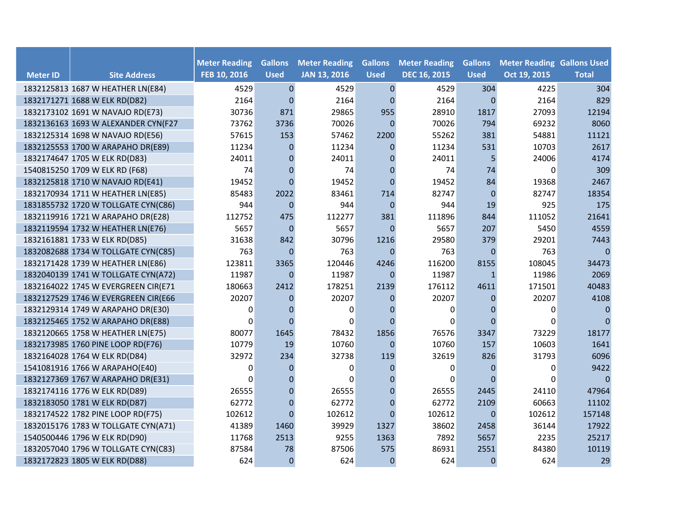|                 |                                     |                                      | <b>Gallons</b> |                                             |                               |                                             |                               |                                                   |              |
|-----------------|-------------------------------------|--------------------------------------|----------------|---------------------------------------------|-------------------------------|---------------------------------------------|-------------------------------|---------------------------------------------------|--------------|
| <b>Meter ID</b> | <b>Site Address</b>                 | <b>Meter Reading</b><br>FEB 10, 2016 | <b>Used</b>    | <b>Meter Reading</b><br><b>JAN 13, 2016</b> | <b>Gallons</b><br><b>Used</b> | <b>Meter Reading</b><br><b>DEC 16, 2015</b> | <b>Gallons</b><br><b>Used</b> | <b>Meter Reading Gallons Used</b><br>Oct 19, 2015 | <b>Total</b> |
|                 | 1832125813 1687 W HEATHER LN(E84)   | 4529                                 | $\mathbf 0$    | 4529                                        | $\pmb{0}$                     | 4529                                        | 304                           | 4225                                              | 304          |
|                 | 1832171271 1688 W ELK RD(D82)       | 2164                                 | $\mathbf{0}$   | 2164                                        | $\Omega$                      | 2164                                        | $\overline{0}$                | 2164                                              | 829          |
|                 | 1832173102 1691 W NAVAJO RD(E73)    | 30736                                | 871            | 29865                                       | 955                           | 28910                                       | 1817                          | 27093                                             | 12194        |
|                 | 1832136163 1693 W ALEXANDER CYN(F27 | 73762                                | 3736           | 70026                                       | $\Omega$                      | 70026                                       | 794                           | 69232                                             | 8060         |
|                 | 1832125314 1698 W NAVAJO RD(E56)    | 57615                                | 153            | 57462                                       | 2200                          | 55262                                       | 381                           | 54881                                             | 11121        |
|                 | 1832125553 1700 W ARAPAHO DR(E89)   | 11234                                | $\Omega$       | 11234                                       | $\Omega$                      | 11234                                       | 531                           | 10703                                             | 2617         |
|                 | 1832174647 1705 W ELK RD(D83)       | 24011                                | $\overline{0}$ | 24011                                       | $\mathbf 0$                   | 24011                                       | 5                             | 24006                                             | 4174         |
|                 | 1540815250 1709 W ELK RD (F68)      | 74                                   | $\Omega$       | 74                                          | $\Omega$                      | 74                                          | 74                            | 0                                                 | 309          |
|                 | 1832125818 1710 W NAVAJO RD(E41)    | 19452                                | $\Omega$       | 19452                                       | $\Omega$                      | 19452                                       | 84                            | 19368                                             | 2467         |
|                 | 1832170934 1711 W HEATHER LN(E85)   | 85483                                | 2022           | 83461                                       | 714                           | 82747                                       | $\mathbf{0}$                  | 82747                                             | 18354        |
|                 | 1831855732 1720 W TOLLGATE CYN(C86) | 944                                  | $\mathbf{0}$   | 944                                         | $\mathbf{0}$                  | 944                                         | 19                            | 925                                               | 175          |
|                 | 1832119916 1721 W ARAPAHO DR(E28)   | 112752                               | 475            | 112277                                      | 381                           | 111896                                      | 844                           | 111052                                            | 21641        |
|                 | 1832119594 1732 W HEATHER LN(E76)   | 5657                                 | $\mathbf{0}$   | 5657                                        | $\mathbf{0}$                  | 5657                                        | 207                           | 5450                                              | 4559         |
|                 | 1832161881 1733 W ELK RD(D85)       | 31638                                | 842            | 30796                                       | 1216                          | 29580                                       | 379                           | 29201                                             | 7443         |
|                 | 1832082688 1734 W TOLLGATE CYN(C85) | 763                                  | $\Omega$       | 763                                         | $\theta$                      | 763                                         | $\mathbf{0}$                  | 763                                               | $\Omega$     |
|                 | 1832171428 1739 W HEATHER LN(E86)   | 123811                               | 3365           | 120446                                      | 4246                          | 116200                                      | 8155                          | 108045                                            | 34473        |
|                 | 1832040139 1741 W TOLLGATE CYN(A72) | 11987                                | $\overline{0}$ | 11987                                       | $\mathbf{0}$                  | 11987                                       | $\mathbf{1}$                  | 11986                                             | 2069         |
|                 | 1832164022 1745 W EVERGREEN CIR(E71 | 180663                               | 2412           | 178251                                      | 2139                          | 176112                                      | 4611                          | 171501                                            | 40483        |
|                 | 1832127529 1746 W EVERGREEN CIR(E66 | 20207                                | $\mathbf{0}$   | 20207                                       | $\mathbf{0}$                  | 20207                                       | $\Omega$                      | 20207                                             | 4108         |
|                 | 1832129314 1749 W ARAPAHO DR(E30)   | $\Omega$                             | $\overline{0}$ | $\Omega$                                    | $\mathbf{0}$                  | $\Omega$                                    | $\mathbf 0$                   | 0                                                 | $\Omega$     |
|                 | 1832125465 1752 W ARAPAHO DR(E88)   | $\Omega$                             | $\Omega$       | $\Omega$                                    | $\Omega$                      | $\Omega$                                    | $\Omega$                      | 0                                                 | n            |
|                 | 1832120665 1758 W HEATHER LN(E75)   | 80077                                | 1645           | 78432                                       | 1856                          | 76576                                       | 3347                          | 73229                                             | 18177        |
|                 | 1832173985 1760 PINE LOOP RD(F76)   | 10779                                | 19             | 10760                                       | $\mathbf{0}$                  | 10760                                       | 157                           | 10603                                             | 1641         |
|                 | 1832164028 1764 W ELK RD(D84)       | 32972                                | 234            | 32738                                       | 119                           | 32619                                       | 826                           | 31793                                             | 6096         |
|                 | 1541081916 1766 W ARAPAHO(E40)      | $\Omega$                             | $\Omega$       | $\Omega$                                    | $\mathbf{0}$                  | $\Omega$                                    | $\Omega$                      | 0                                                 | 9422         |
|                 | 1832127369 1767 W ARAPAHO DR(E31)   | $\Omega$                             | $\Omega$       | $\Omega$                                    | $\theta$                      | 0                                           | $\Omega$                      | 0                                                 | $\Omega$     |
|                 | 1832174116 1776 W ELK RD(D89)       | 26555                                | $\overline{0}$ | 26555                                       | $\mathbf{0}$                  | 26555                                       | 2445                          | 24110                                             | 47964        |
|                 | 1832183050 1781 W ELK RD(D87)       | 62772                                | $\mathbf{0}$   | 62772                                       | $\Omega$                      | 62772                                       | 2109                          | 60663                                             | 11102        |
|                 | 1832174522 1782 PINE LOOP RD(F75)   | 102612                               | $\overline{0}$ | 102612                                      | $\Omega$                      | 102612                                      | $\mathbf{0}$                  | 102612                                            | 157148       |
|                 | 1832015176 1783 W TOLLGATE CYN(A71) | 41389                                | 1460           | 39929                                       | 1327                          | 38602                                       | 2458                          | 36144                                             | 17922        |
|                 | 1540500446 1796 W ELK RD(D90)       | 11768                                | 2513           | 9255                                        | 1363                          | 7892                                        | 5657                          | 2235                                              | 25217        |
|                 | 1832057040 1796 W TOLLGATE CYN(C83) | 87584                                | 78             | 87506                                       | 575                           | 86931                                       | 2551                          | 84380                                             | 10119        |
|                 | 1832172823 1805 W ELK RD(D88)       | 624                                  | $\mathbf{0}$   | 624                                         | $\mathbf{0}$                  | 624                                         | $\mathbf 0$                   | 624                                               | 29           |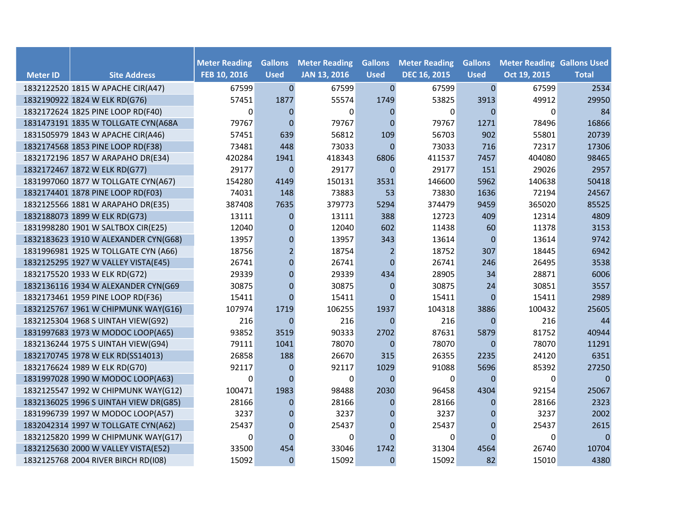|                 |                                       |                                      | <b>Gallons</b> |                                             |                               |                                             |                               | <b>Meter Reading Gallons Used</b> |              |
|-----------------|---------------------------------------|--------------------------------------|----------------|---------------------------------------------|-------------------------------|---------------------------------------------|-------------------------------|-----------------------------------|--------------|
| <b>Meter ID</b> | <b>Site Address</b>                   | <b>Meter Reading</b><br>FEB 10, 2016 | <b>Used</b>    | <b>Meter Reading</b><br><b>JAN 13, 2016</b> | <b>Gallons</b><br><b>Used</b> | <b>Meter Reading</b><br><b>DEC 16, 2015</b> | <b>Gallons</b><br><b>Used</b> | Oct 19, 2015                      | <b>Total</b> |
|                 | 1832122520 1815 W APACHE CIR(A47)     | 67599                                | $\mathbf{0}$   | 67599                                       | $\pmb{0}$                     | 67599                                       | $\mathbf 0$                   | 67599                             | 2534         |
|                 | 1832190922 1824 W ELK RD(G76)         | 57451                                | 1877           | 55574                                       | 1749                          | 53825                                       | 3913                          | 49912                             | 29950        |
|                 | 1832172624 1825 PINE LOOP RD(F40)     | $\Omega$                             | $\Omega$       | $\Omega$                                    | $\mathbf{0}$                  | $\Omega$                                    | $\Omega$                      | $\Omega$                          | 84           |
|                 | 1831473191 1835 W TOLLGATE CYN(A68A   | 79767                                | $\mathbf 0$    | 79767                                       | $\Omega$                      | 79767                                       | 1271                          | 78496                             | 16866        |
|                 | 1831505979 1843 W APACHE CIR(A46)     | 57451                                | 639            | 56812                                       | 109                           | 56703                                       | 902                           | 55801                             | 20739        |
|                 | 1832174568 1853 PINE LOOP RD(F38)     | 73481                                | 448            | 73033                                       | $\Omega$                      | 73033                                       | 716                           | 72317                             | 17306        |
|                 | 1832172196 1857 W ARAPAHO DR(E34)     | 420284                               | 1941           | 418343                                      | 6806                          | 411537                                      | 7457                          | 404080                            | 98465        |
|                 | 1832172467 1872 W ELK RD(G77)         | 29177                                | $\overline{0}$ | 29177                                       | $\mathbf{0}$                  | 29177                                       | 151                           | 29026                             | 2957         |
|                 | 1831997060 1877 W TOLLGATE CYN(A67)   | 154280                               | 4149           | 150131                                      | 3531                          | 146600                                      | 5962                          | 140638                            | 50418        |
|                 | 1832174401 1878 PINE LOOP RD(F03)     | 74031                                | 148            | 73883                                       | 53                            | 73830                                       | 1636                          | 72194                             | 24567        |
|                 | 1832125566 1881 W ARAPAHO DR(E35)     | 387408                               | 7635           | 379773                                      | 5294                          | 374479                                      | 9459                          | 365020                            | 85525        |
|                 | 1832188073 1899 W ELK RD(G73)         | 13111                                | 0              | 13111                                       | 388                           | 12723                                       | 409                           | 12314                             | 4809         |
|                 | 1831998280 1901 W SALTBOX CIR(E25)    | 12040                                | $\mathbf 0$    | 12040                                       | 602                           | 11438                                       | 60                            | 11378                             | 3153         |
|                 | 1832183623 1910 W ALEXANDER CYN(G68)  | 13957                                | 0              | 13957                                       | 343                           | 13614                                       | $\mathbf 0$                   | 13614                             | 9742         |
|                 | 1831996981 1925 W TOLLGATE CYN (A66)  | 18756                                | $\overline{2}$ | 18754                                       | $\overline{2}$                | 18752                                       | 307                           | 18445                             | 6942         |
|                 | 1832125295 1927 W VALLEY VISTA(E45)   | 26741                                | $\mathbf{0}$   | 26741                                       | $\mathbf{0}$                  | 26741                                       | 246                           | 26495                             | 3538         |
|                 | 1832175520 1933 W ELK RD(G72)         | 29339                                | $\Omega$       | 29339                                       | 434                           | 28905                                       | 34                            | 28871                             | 6006         |
|                 | 1832136116 1934 W ALEXANDER CYN(G69   | 30875                                | $\mathbf{0}$   | 30875                                       | $\mathbf{0}$                  | 30875                                       | 24                            | 30851                             | 3557         |
|                 | 1832173461 1959 PINE LOOP RD(F36)     | 15411                                | $\Omega$       | 15411                                       | $\Omega$                      | 15411                                       | $\overline{0}$                | 15411                             | 2989         |
|                 | 1832125767 1961 W CHIPMUNK WAY(G16)   | 107974                               | 1719           | 106255                                      | 1937                          | 104318                                      | 3886                          | 100432                            | 25605        |
|                 | 1832125304 1968 S UINTAH VIEW(G92)    | 216                                  | $\Omega$       | 216                                         | $\Omega$                      | 216                                         | $\theta$                      | 216                               | 44           |
|                 | 1831997683 1973 W MODOC LOOP(A65)     | 93852                                | 3519           | 90333                                       | 2702                          | 87631                                       | 5879                          | 81752                             | 40944        |
|                 | 1832136244 1975 S UINTAH VIEW(G94)    | 79111                                | 1041           | 78070                                       | $\mathbf{0}$                  | 78070                                       | $\overline{0}$                | 78070                             | 11291        |
|                 | 1832170745 1978 W ELK RD(SS14013)     | 26858                                | 188            | 26670                                       | 315                           | 26355                                       | 2235                          | 24120                             | 6351         |
|                 | 1832176624 1989 W ELK RD(G70)         | 92117                                | $\overline{0}$ | 92117                                       | 1029                          | 91088                                       | 5696                          | 85392                             | 27250        |
|                 | 1831997028 1990 W MODOC LOOP(A63)     | $\Omega$                             | $\Omega$       | $\Omega$                                    | $\Omega$                      | $\Omega$                                    | $\Omega$                      | 0                                 | $\Omega$     |
|                 | 1832125547 1992 W CHIPMUNK WAY(G12)   | 100471                               | 1983           | 98488                                       | 2030                          | 96458                                       | 4304                          | 92154                             | 25067        |
|                 | 1832136025 1996 S UINTAH VIEW DR(G85) | 28166                                | $\overline{0}$ | 28166                                       | $\mathbf{0}$                  | 28166                                       | $\Omega$                      | 28166                             | 2323         |
|                 | 1831996739 1997 W MODOC LOOP(A57)     | 3237                                 | $\Omega$       | 3237                                        | $\theta$                      | 3237                                        | $\Omega$                      | 3237                              | 2002         |
|                 | 1832042314 1997 W TOLLGATE CYN(A62)   | 25437                                | $\overline{0}$ | 25437                                       | $\mathbf{0}$                  | 25437                                       | $\mathbf 0$                   | 25437                             | 2615         |
|                 | 1832125820 1999 W CHIPMUNK WAY(G17)   | $\Omega$                             | $\Omega$       | 0                                           | $\Omega$                      | $\mathbf 0$                                 | $\Omega$                      | 0                                 | 0            |
|                 | 1832125630 2000 W VALLEY VISTA(E52)   | 33500                                | 454            | 33046                                       | 1742                          | 31304                                       | 4564                          | 26740                             | 10704        |
|                 | 1832125768 2004 RIVER BIRCH RD(I08)   | 15092                                | $\Omega$       | 15092                                       | $\mathbf{0}$                  | 15092                                       | 82                            | 15010                             | 4380         |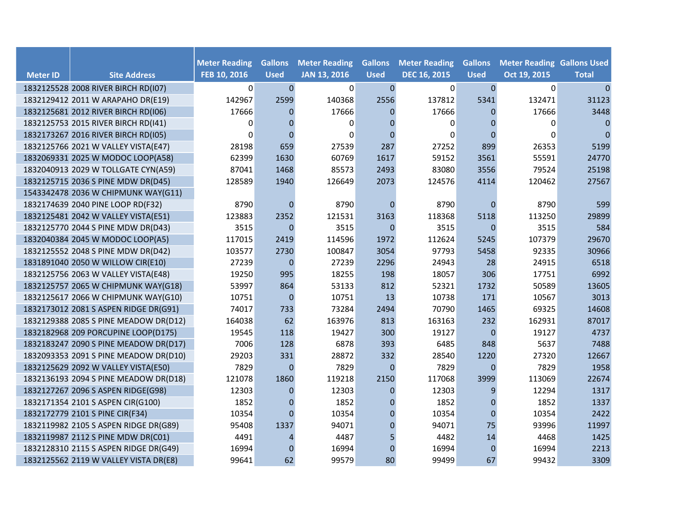|                 |                                       | <b>Meter Reading</b> | <b>Gallons</b> | <b>Meter Reading</b> | <b>Gallons</b> | <b>Meter Reading</b> | <b>Gallons</b> | <b>Meter Reading Gallons Used</b> |                |
|-----------------|---------------------------------------|----------------------|----------------|----------------------|----------------|----------------------|----------------|-----------------------------------|----------------|
| <b>Meter ID</b> | <b>Site Address</b>                   | FEB 10, 2016         | <b>Used</b>    | <b>JAN 13, 2016</b>  | <b>Used</b>    | <b>DEC 16, 2015</b>  | <b>Used</b>    | Oct 19, 2015                      | <b>Total</b>   |
|                 | 1832125528 2008 RIVER BIRCH RD(I07)   | $\mathbf 0$          | $\mathbf 0$    | 0                    | $\pmb{0}$      | $\mathbf 0$          | $\mathbf 0$    | $\mathbf 0$                       | $\overline{0}$ |
|                 | 1832129412 2011 W ARAPAHO DR(E19)     | 142967               | 2599           | 140368               | 2556           | 137812               | 5341           | 132471                            | 31123          |
|                 | 1832125681 2012 RIVER BIRCH RD(I06)   | 17666                | $\Omega$       | 17666                | $\mathbf{0}$   | 17666                | $\mathbf{0}$   | 17666                             | 3448           |
|                 | 1832125753 2015 RIVER BIRCH RD(I41)   | 0                    | $\Omega$       | $\Omega$             | $\mathbf 0$    | 0                    | 0              | 0                                 | 0              |
|                 | 1832173267 2016 RIVER BIRCH RD(I05)   | $\Omega$             | $\Omega$       | $\Omega$             | $\Omega$       | $\Omega$             | $\Omega$       | 0                                 | $\overline{0}$ |
|                 | 1832125766 2021 W VALLEY VISTA(E47)   | 28198                | 659            | 27539                | 287            | 27252                | 899            | 26353                             | 5199           |
|                 | 1832069331 2025 W MODOC LOOP(A58)     | 62399                | 1630           | 60769                | 1617           | 59152                | 3561           | 55591                             | 24770          |
|                 | 1832040913 2029 W TOLLGATE CYN(A59)   | 87041                | 1468           | 85573                | 2493           | 83080                | 3556           | 79524                             | 25198          |
|                 | 1832125715 2036 S PINE MDW DR(D45)    | 128589               | 1940           | 126649               | 2073           | 124576               | 4114           | 120462                            | 27567          |
|                 | 1543342478 2036 W CHIPMUNK WAY(G11)   |                      |                |                      |                |                      |                |                                   |                |
|                 | 1832174639 2040 PINE LOOP RD(F32)     | 8790                 | $\Omega$       | 8790                 | $\mathbf{0}$   | 8790                 | $\mathbf 0$    | 8790                              | 599            |
|                 | 1832125481 2042 W VALLEY VISTA(E51)   | 123883               | 2352           | 121531               | 3163           | 118368               | 5118           | 113250                            | 29899          |
|                 | 1832125770 2044 S PINE MDW DR(D43)    | 3515                 | $\mathbf{0}$   | 3515                 | $\mathbf{0}$   | 3515                 | $\mathbf{0}$   | 3515                              | 584            |
|                 | 1832040384 2045 W MODOC LOOP(A5)      | 117015               | 2419           | 114596               | 1972           | 112624               | 5245           | 107379                            | 29670          |
|                 | 1832125552 2048 S PINE MDW DR(D42)    | 103577               | 2730           | 100847               | 3054           | 97793                | 5458           | 92335                             | 30966          |
|                 | 1831891040 2050 W WILLOW CIR(E10)     | 27239                | $\mathbf 0$    | 27239                | 2296           | 24943                | 28             | 24915                             | 6518           |
|                 | 1832125756 2063 W VALLEY VISTA(E48)   | 19250                | 995            | 18255                | 198            | 18057                | 306            | 17751                             | 6992           |
|                 | 1832125757 2065 W CHIPMUNK WAY(G18)   | 53997                | 864            | 53133                | 812            | 52321                | 1732           | 50589                             | 13605          |
|                 | 1832125617 2066 W CHIPMUNK WAY(G10)   | 10751                | $\mathbf 0$    | 10751                | 13             | 10738                | 171            | 10567                             | 3013           |
|                 | 1832173012 2081 S ASPEN RIDGE DR(G91) | 74017                | 733            | 73284                | 2494           | 70790                | 1465           | 69325                             | 14608          |
|                 | 1832129388 2085 S PINE MEADOW DR(D12) | 164038               | 62             | 163976               | 813            | 163163               | 232            | 162931                            | 87017          |
|                 | 1832182968 209 PORCUPINE LOOP(D175)   | 19545                | 118            | 19427                | 300            | 19127                | $\mathbf 0$    | 19127                             | 4737           |
|                 | 1832183247 2090 S PINE MEADOW DR(D17) | 7006                 | 128            | 6878                 | 393            | 6485                 | 848            | 5637                              | 7488           |
|                 | 1832093353 2091 S PINE MEADOW DR(D10) | 29203                | 331            | 28872                | 332            | 28540                | 1220           | 27320                             | 12667          |
|                 | 1832125629 2092 W VALLEY VISTA(E50)   | 7829                 | $\Omega$       | 7829                 | $\theta$       | 7829                 | $\theta$       | 7829                              | 1958           |
|                 | 1832136193 2094 S PINE MEADOW DR(D18) | 121078               | 1860           | 119218               | 2150           | 117068               | 3999           | 113069                            | 22674          |
|                 | 1832127267 2096 S ASPEN RIDGE(G98)    | 12303                | $\Omega$       | 12303                | $\mathbf{0}$   | 12303                | 9              | 12294                             | 1317           |
|                 | 1832171354 2101 S ASPEN CIR(G100)     | 1852                 | $\mathbf 0$    | 1852                 | $\mathbf{0}$   | 1852                 | $\mathbf 0$    | 1852                              | 1337           |
|                 | 1832172779 2101 S PINE CIR(F34)       | 10354                | $\Omega$       | 10354                | $\mathbf{0}$   | 10354                | $\Omega$       | 10354                             | 2422           |
|                 | 1832119982 2105 S ASPEN RIDGE DR(G89) | 95408                | 1337           | 94071                | $\mathbf 0$    | 94071                | 75             | 93996                             | 11997          |
|                 | 1832119987 2112 S PINE MDW DR(C01)    | 4491                 | 4              | 4487                 | 5              | 4482                 | 14             | 4468                              | 1425           |
|                 | 1832128310 2115 S ASPEN RIDGE DR(G49) | 16994                | $\Omega$       | 16994                | $\mathbf 0$    | 16994                | $\mathbf{0}$   | 16994                             | 2213           |
|                 | 1832125562 2119 W VALLEY VISTA DR(E8) | 99641                | 62             | 99579                | 80             | 99499                | 67             | 99432                             | 3309           |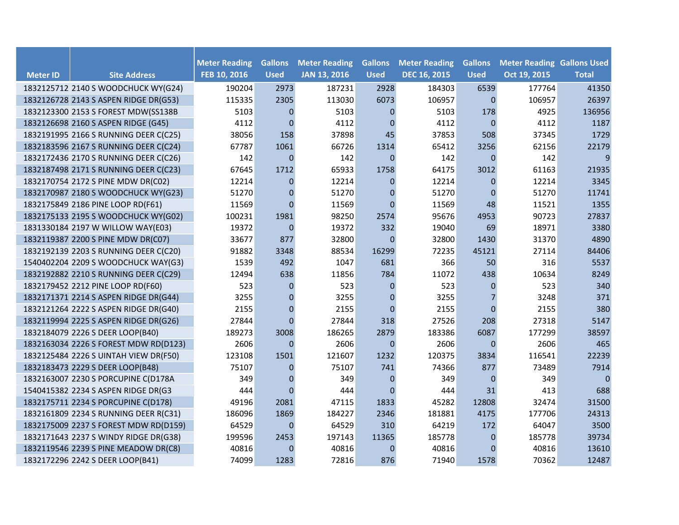| <b>Meter ID</b> | <b>Site Address</b>                   | <b>Meter Reading</b><br>FEB 10, 2016 | <b>Gallons</b><br><b>Used</b> | <b>Meter Reading</b><br><b>JAN 13, 2016</b> | <b>Gallons</b><br><b>Used</b> | <b>Meter Reading</b><br><b>DEC 16, 2015</b> | <b>Gallons</b><br><b>Used</b> | <b>Meter Reading Gallons Used</b><br>Oct 19, 2015 | <b>Total</b> |
|-----------------|---------------------------------------|--------------------------------------|-------------------------------|---------------------------------------------|-------------------------------|---------------------------------------------|-------------------------------|---------------------------------------------------|--------------|
|                 | 1832125712 2140 S WOODCHUCK WY(G24)   | 190204                               | 2973                          | 187231                                      | 2928                          | 184303                                      | 6539                          | 177764                                            | 41350        |
|                 | 1832126728 2143 S ASPEN RIDGE DR(G53) | 115335                               | 2305                          | 113030                                      | 6073                          | 106957                                      | $\mathbf{0}$                  | 106957                                            | 26397        |
|                 | 1832123300 2153 S FOREST MDW(SS138B   | 5103                                 | $\Omega$                      | 5103                                        | $\mathbf{0}$                  | 5103                                        | 178                           | 4925                                              | 136956       |
|                 | 1832126698 2160 S ASPEN RIDGE (G45)   | 4112                                 | $\mathbf 0$                   | 4112                                        | $\mathbf{0}$                  | 4112                                        | $\mathbf{0}$                  | 4112                                              | 1187         |
|                 | 1832191995 2166 S RUNNING DEER C(C25) | 38056                                | 158                           | 37898                                       | 45                            | 37853                                       | 508                           | 37345                                             | 1729         |
|                 | 1832183596 2167 S RUNNING DEER C(C24) | 67787                                | 1061                          | 66726                                       | 1314                          | 65412                                       | 3256                          | 62156                                             | 22179        |
|                 | 1832172436 2170 S RUNNING DEER C(C26) | 142                                  | $\mathbf 0$                   | 142                                         | $\mathbf{0}$                  | 142                                         | $\mathbf 0$                   | 142                                               | 9            |
|                 | 1832187498 2171 S RUNNING DEER C(C23) | 67645                                | 1712                          | 65933                                       | 1758                          | 64175                                       | 3012                          | 61163                                             | 21935        |
|                 | 1832170754 2172 S PINE MDW DR(C02)    | 12214                                | $\mathbf{0}$                  | 12214                                       | $\mathbf{0}$                  | 12214                                       | $\theta$                      | 12214                                             | 3345         |
|                 | 1832170987 2180 S WOODCHUCK WY(G23)   | 51270                                | $\mathbf 0$                   | 51270                                       | $\mathbf{0}$                  | 51270                                       | $\overline{0}$                | 51270                                             | 11741        |
|                 | 1832175849 2186 PINE LOOP RD(F61)     | 11569                                | $\Omega$                      | 11569                                       | $\mathbf{0}$                  | 11569                                       | 48                            | 11521                                             | 1355         |
|                 | 1832175133 2195 S WOODCHUCK WY(G02)   | 100231                               | 1981                          | 98250                                       | 2574                          | 95676                                       | 4953                          | 90723                                             | 27837        |
|                 | 1831330184 2197 W WILLOW WAY(E03)     | 19372                                | $\pmb{0}$                     | 19372                                       | 332                           | 19040                                       | 69                            | 18971                                             | 3380         |
|                 | 1832119387 2200 S PINE MDW DR(C07)    | 33677                                | 877                           | 32800                                       | $\mathbf 0$                   | 32800                                       | 1430                          | 31370                                             | 4890         |
|                 | 1832192139 2203 S RUNNING DEER C(C20) | 91882                                | 3348                          | 88534                                       | 16299                         | 72235                                       | 45121                         | 27114                                             | 84406        |
|                 | 1540402204 2209 S WOODCHUCK WAY(G3)   | 1539                                 | 492                           | 1047                                        | 681                           | 366                                         | 50                            | 316                                               | 5537         |
|                 | 1832192882 2210 S RUNNING DEER C(C29) | 12494                                | 638                           | 11856                                       | 784                           | 11072                                       | 438                           | 10634                                             | 8249         |
|                 | 1832179452 2212 PINE LOOP RD(F60)     | 523                                  | $\overline{0}$                | 523                                         | $\mathbf{0}$                  | 523                                         | $\mathbf{0}$                  | 523                                               | 340          |
|                 | 1832171371 2214 S ASPEN RIDGE DR(G44) | 3255                                 | $\mathbf{0}$                  | 3255                                        | $\mathbf 0$                   | 3255                                        |                               | 3248                                              | 371          |
|                 | 1832121264 2222 S ASPEN RIDGE DR(G40) | 2155                                 | $\mathbf{0}$                  | 2155                                        | $\Omega$                      | 2155                                        | $\overline{0}$                | 2155                                              | 380          |
|                 | 1832119994 2225 S ASPEN RIDGE DR(G26) | 27844                                | $\Omega$                      | 27844                                       | 318                           | 27526                                       | 208                           | 27318                                             | 5147         |
|                 | 1832184079 2226 S DEER LOOP(B40)      | 189273                               | 3008                          | 186265                                      | 2879                          | 183386                                      | 6087                          | 177299                                            | 38597        |
|                 | 1832163034 2226 S FOREST MDW RD(D123) | 2606                                 | $\Omega$                      | 2606                                        | $\mathbf{0}$                  | 2606                                        | $\overline{0}$                | 2606                                              | 465          |
|                 | 1832125484 2226 S UINTAH VIEW DR(F50) | 123108                               | 1501                          | 121607                                      | 1232                          | 120375                                      | 3834                          | 116541                                            | 22239        |
|                 | 1832183473 2229 S DEER LOOP(B48)      | 75107                                | $\overline{0}$                | 75107                                       | 741                           | 74366                                       | 877                           | 73489                                             | 7914         |
|                 | 1832163007 2230 S PORCUPINE C(D178A   | 349                                  | $\Omega$                      | 349                                         | $\mathbf{0}$                  | 349                                         | $\Omega$                      | 349                                               | $\Omega$     |
|                 | 1540415382 2234 S ASPEN RIDGE DR(G3   | 444                                  | $\Omega$                      | 444                                         | $\theta$                      | 444                                         | 31                            | 413                                               | 688          |
|                 | 1832175711 2234 S PORCUPINE C(D178)   | 49196                                | 2081                          | 47115                                       | 1833                          | 45282                                       | 12808                         | 32474                                             | 31500        |
|                 | 1832161809 2234 S RUNNING DEER R(C31) | 186096                               | 1869                          | 184227                                      | 2346                          | 181881                                      | 4175                          | 177706                                            | 24313        |
|                 | 1832175009 2237 S FOREST MDW RD(D159) | 64529                                | $\mathbf{0}$                  | 64529                                       | 310                           | 64219                                       | 172                           | 64047                                             | 3500         |
|                 | 1832171643 2237 S WINDY RIDGE DR(G38) | 199596                               | 2453                          | 197143                                      | 11365                         | 185778                                      | $\mathbf 0$                   | 185778                                            | 39734        |
|                 | 1832119546 2239 S PINE MEADOW DR(C8)  | 40816                                | 0                             | 40816                                       | $\mathbf{0}$                  | 40816                                       | $\Omega$                      | 40816                                             | 13610        |
|                 | 1832172296 2242 S DEER LOOP(B41)      | 74099                                | 1283                          | 72816                                       | 876                           | 71940                                       | 1578                          | 70362                                             | 12487        |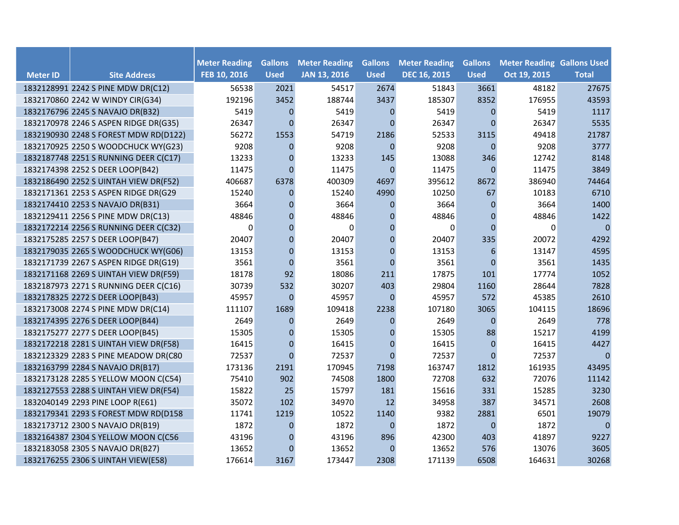|                 |                                       |                                      | <b>Gallons</b> | <b>Meter Reading</b> | <b>Gallons</b>   | <b>Meter Reading</b> |                               |                                                   |              |
|-----------------|---------------------------------------|--------------------------------------|----------------|----------------------|------------------|----------------------|-------------------------------|---------------------------------------------------|--------------|
| <b>Meter ID</b> | <b>Site Address</b>                   | <b>Meter Reading</b><br>FEB 10, 2016 | <b>Used</b>    | <b>JAN 13, 2016</b>  | <b>Used</b>      | <b>DEC 16, 2015</b>  | <b>Gallons</b><br><b>Used</b> | <b>Meter Reading Gallons Used</b><br>Oct 19, 2015 | <b>Total</b> |
|                 | 1832128991 2242 S PINE MDW DR(C12)    | 56538                                | 2021           | 54517                | 2674             | 51843                | 3661                          | 48182                                             | 27675        |
|                 | 1832170860 2242 W WINDY CIR(G34)      | 192196                               | 3452           | 188744               | 3437             | 185307               | 8352                          | 176955                                            | 43593        |
|                 | 1832176796 2245 S NAVAJO DR(B32)      | 5419                                 | $\Omega$       | 5419                 | $\mathbf{0}$     | 5419                 | $\mathbf{0}$                  | 5419                                              | 1117         |
|                 | 1832170978 2246 S ASPEN RIDGE DR(G35) | 26347                                | $\Omega$       | 26347                | $\Omega$         | 26347                | $\Omega$                      | 26347                                             | 5535         |
|                 | 1832190930 2248 S FOREST MDW RD(D122) | 56272                                | 1553           | 54719                | 2186             | 52533                | 3115                          | 49418                                             | 21787        |
|                 | 1832170925 2250 S WOODCHUCK WY(G23)   | 9208                                 | $\Omega$       | 9208                 | $\Omega$         | 9208                 | $\theta$                      | 9208                                              | 3777         |
|                 | 1832187748 2251 S RUNNING DEER C(C17) | 13233                                | $\overline{0}$ | 13233                | 145              | 13088                | 346                           | 12742                                             | 8148         |
|                 | 1832174398 2252 S DEER LOOP(B42)      | 11475                                | $\Omega$       | 11475                | $\mathbf{0}$     | 11475                | $\overline{0}$                | 11475                                             | 3849         |
|                 | 1832186490 2252 S UINTAH VIEW DR(F52) | 406687                               | 6378           | 400309               | 4697             | 395612               | 8672                          | 386940                                            | 74464        |
|                 | 1832171361 2253 S ASPEN RIDGE DR(G29  | 15240                                | 0              | 15240                | 4990             | 10250                | 67                            | 10183                                             | 6710         |
|                 | 1832174410 2253 S NAVAJO DR(B31)      | 3664                                 | 0              | 3664                 | $\boldsymbol{0}$ | 3664                 | $\mathbf 0$                   | 3664                                              | 1400         |
|                 | 1832129411 2256 S PINE MDW DR(C13)    | 48846                                | $\overline{0}$ | 48846                | $\mathbf 0$      | 48846                | $\mathbf 0$                   | 48846                                             | 1422         |
|                 | 1832172214 2256 S RUNNING DEER C(C32) | 0                                    | $\mathbf{0}$   | $\Omega$             | $\mathbf 0$      | $\Omega$             | $\mathbf 0$                   | 0                                                 | 0            |
|                 | 1832175285 2257 S DEER LOOP(B47)      | 20407                                | $\overline{0}$ | 20407                | $\mathbf{0}$     | 20407                | 335                           | 20072                                             | 4292         |
|                 | 1832179035 2265 S WOODCHUCK WY(G06)   | 13153                                | $\Omega$       | 13153                | $\mathbf{0}$     | 13153                | 6                             | 13147                                             | 4595         |
|                 | 1832171739 2267 S ASPEN RIDGE DR(G19) | 3561                                 | $\mathbf{0}$   | 3561                 | $\mathbf{0}$     | 3561                 | $\mathbf{0}$                  | 3561                                              | 1435         |
|                 | 1832171168 2269 S UINTAH VIEW DR(F59) | 18178                                | 92             | 18086                | 211              | 17875                | 101                           | 17774                                             | 1052         |
|                 | 1832187973 2271 S RUNNING DEER C(C16) | 30739                                | 532            | 30207                | 403              | 29804                | 1160                          | 28644                                             | 7828         |
|                 | 1832178325 2272 S DEER LOOP(B43)      | 45957                                | $\mathbf{0}$   | 45957                | $\Omega$         | 45957                | 572                           | 45385                                             | 2610         |
|                 | 1832173008 2274 S PINE MDW DR(C14)    | 111107                               | 1689           | 109418               | 2238             | 107180               | 3065                          | 104115                                            | 18696        |
|                 | 1832174395 2276 S DEER LOOP(B44)      | 2649                                 | $\Omega$       | 2649                 | $\mathbf{0}$     | 2649                 | $\mathbf 0$                   | 2649                                              | 778          |
|                 | 1832175277 2277 S DEER LOOP(B45)      | 15305                                | $\overline{0}$ | 15305                | $\boldsymbol{0}$ | 15305                | 88                            | 15217                                             | 4199         |
|                 | 1832172218 2281 S UINTAH VIEW DR(F58) | 16415                                | $\mathbf 0$    | 16415                | $\mathbf{0}$     | 16415                | $\mathbf{0}$                  | 16415                                             | 4427         |
|                 | 1832123329 2283 S PINE MEADOW DR(C80  | 72537                                | $\Omega$       | 72537                | $\Omega$         | 72537                | $\Omega$                      | 72537                                             | $\Omega$     |
|                 | 1832163799 2284 S NAVAJO DR(B17)      | 173136                               | 2191           | 170945               | 7198             | 163747               | 1812                          | 161935                                            | 43495        |
|                 | 1832173128 2285 S YELLOW MOON C(C54)  | 75410                                | 902            | 74508                | 1800             | 72708                | 632                           | 72076                                             | 11142        |
|                 | 1832127553 2288 S UINTAH VIEW DR(F54) | 15822                                | 25             | 15797                | 181              | 15616                | 331                           | 15285                                             | 3230         |
|                 | 1832040149 2293 PINE LOOP R(E61)      | 35072                                | 102            | 34970                | 12               | 34958                | 387                           | 34571                                             | 2608         |
|                 | 1832179341 2293 S FOREST MDW RD(D158  | 11741                                | 1219           | 10522                | 1140             | 9382                 | 2881                          | 6501                                              | 19079        |
|                 | 1832173712 2300 S NAVAJO DR(B19)      | 1872                                 | $\mathbf{0}$   | 1872                 | $\mathbf{0}$     | 1872                 | $\mathbf{0}$                  | 1872                                              | 0            |
|                 | 1832164387 2304 S YELLOW MOON C(C56   | 43196                                | $\overline{0}$ | 43196                | 896              | 42300                | 403                           | 41897                                             | 9227         |
|                 | 1832183058 2305 S NAVAJO DR(B27)      | 13652                                | $\Omega$       | 13652                | $\mathbf{0}$     | 13652                | 576                           | 13076                                             | 3605         |
|                 | 1832176255 2306 S UINTAH VIEW(E58)    | 176614                               | 3167           | 173447               | 2308             | 171139               | 6508                          | 164631                                            | 30268        |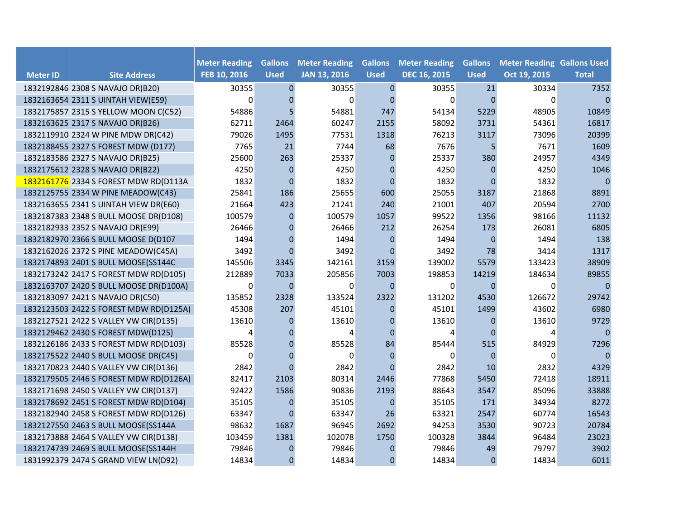|                 |                                        | <b>Meter Reading</b> | <b>Gallons</b> |                                             | <b>Gallons</b> |                                             | <b>Gallons</b> |                                                   |                |
|-----------------|----------------------------------------|----------------------|----------------|---------------------------------------------|----------------|---------------------------------------------|----------------|---------------------------------------------------|----------------|
| <b>Meter ID</b> | <b>Site Address</b>                    | FEB 10, 2016         | <b>Used</b>    | <b>Meter Reading</b><br><b>JAN 13, 2016</b> | <b>Used</b>    | <b>Meter Reading</b><br><b>DEC 16, 2015</b> | <b>Used</b>    | <b>Meter Reading Gallons Used</b><br>Oct 19, 2015 | <b>Total</b>   |
|                 | 1832192846 2308 S NAVAJO DR(B20)       | 30355                | $\pmb{0}$      | 30355                                       | $\mathbf 0$    | 30355                                       | 21             | 30334                                             | 7352           |
|                 | 1832163654 2311 S UINTAH VIEW(E59)     | $\Omega$             | $\mathbf 0$    | $\Omega$                                    | $\mathbf{0}$   | $\Omega$                                    | $\mathbf{0}$   | 0                                                 | $\overline{0}$ |
|                 | 1832175857 2315 S YELLOW MOON C(C52)   | 54886                | 5              | 54881                                       | 747            | 54134                                       | 5229           | 48905                                             | 10849          |
|                 | 1832163625 2317 S NAVAJO DR(B26)       | 62711                | 2464           | 60247                                       | 2155           | 58092                                       | 3731           | 54361                                             | 16817          |
|                 | 1832119910 2324 W PINE MDW DR(C42)     | 79026                | 1495           | 77531                                       | 1318           | 76213                                       | 3117           | 73096                                             | 20399          |
|                 | 1832188455 2327 S FOREST MDW (D177)    | 7765                 | 21             | 7744                                        | 68             | 7676                                        | 5.             | 7671                                              | 1609           |
|                 | 1832183586 2327 S NAVAJO DR(B25)       | 25600                | 263            | 25337                                       | $\mathbf{0}$   | 25337                                       | 380            | 24957                                             | 4349           |
|                 | 1832175612 2328 S NAVAJO DR(B22)       | 4250                 | $\mathbf{0}$   | 4250                                        | $\mathbf 0$    | 4250                                        | $\mathbf 0$    | 4250                                              | 1046           |
|                 | 1832161776 2334 S FOREST MDW RD(D113A  | 1832                 | $\mathbf{0}$   | 1832                                        | $\mathbf{0}$   | 1832                                        | $\Omega$       | 1832                                              | 0              |
|                 | 1832125755 2334 W PINE MEADOW(C43)     | 25841                | 186            | 25655                                       | 600            | 25055                                       | 3187           | 21868                                             | 8891           |
|                 | 1832163655 2341 S UINTAH VIEW DR(E60)  | 21664                | 423            | 21241                                       | 240            | 21001                                       | 407            | 20594                                             | 2700           |
|                 | 1832187383 2348 S BULL MOOSE DR(D108)  | 100579               | $\mathbf 0$    | 100579                                      | 1057           | 99522                                       | 1356           | 98166                                             | 11132          |
|                 | 1832182933 2352 S NAVAJO DR(E99)       | 26466                | $\Omega$       | 26466                                       | 212            | 26254                                       | 173            | 26081                                             | 6805           |
|                 | 1832182970 2366 S BULL MOOSE D(D107    | 1494                 | $\mathbf{0}$   | 1494                                        | $\mathbf{0}$   | 1494                                        | $\mathbf{0}$   | 1494                                              | 138            |
|                 | 1832162026 2372 S PINE MEADOW(C45A)    | 3492                 | $\mathbf 0$    | 3492                                        | $\mathbf{0}$   | 3492                                        | 78             | 3414                                              | 1317           |
|                 | 1832174893 2401 S BULL MOOSE(SS144C    | 145506               | 3345           | 142161                                      | 3159           | 139002                                      | 5579           | 133423                                            | 38909          |
|                 | 1832173242 2417 S FOREST MDW RD(D105)  | 212889               | 7033           | 205856                                      | 7003           | 198853                                      | 14219          | 184634                                            | 89855          |
|                 | 1832163707 2420 S BULL MOOSE DR(D100A) | 0                    | $\overline{0}$ | 0                                           | $\mathbf 0$    | 0                                           | $\mathbf 0$    | 0                                                 | $\overline{0}$ |
|                 | 1832183097 2421 S NAVAJO DR(C50)       | 135852               | 2328           | 133524                                      | 2322           | 131202                                      | 4530           | 126672                                            | 29742          |
|                 | 1832123503 2422 S FOREST MDW RD(D125A) | 45308                | 207            | 45101                                       | $\mathbf{0}$   | 45101                                       | 1499           | 43602                                             | 6980           |
|                 | 1832127521 2422 S VALLEY VW CIR(D135)  | 13610                | 0              | 13610                                       | $\mathbf{0}$   | 13610                                       | $\mathbf 0$    | 13610                                             | 9729           |
|                 | 1832129462 2430 S FOREST MDW(D125)     | 4                    | $\Omega$       | 4                                           | $\Omega$       | 4                                           | $\Omega$       | 4                                                 | $\Omega$       |
|                 | 1832126186 2433 S FOREST MDW RD(D103)  | 85528                | $\mathbf{0}$   | 85528                                       | 84             | 85444                                       | 515            | 84929                                             | 7296           |
|                 | 1832175522 2440 S BULL MOOSE DR(C45)   | $\Omega$             | $\mathbf{0}$   | $\Omega$                                    | $\mathbf{0}$   | $\Omega$                                    | $\mathbf{0}$   | 0                                                 | $\mathbf{0}$   |
|                 | 1832170823 2440 S VALLEY VW CIR(D136)  | 2842                 | $\Omega$       | 2842                                        | $\Omega$       | 2842                                        | 10             | 2832                                              | 4329           |
|                 | 1832179505 2446 S FOREST MDW RD(D126A) | 82417                | 2103           | 80314                                       | 2446           | 77868                                       | 5450           | 72418                                             | 18911          |
|                 | 1832171698 2450 S VALLEY VW CIR(D137)  | 92422                | 1586           | 90836                                       | 2193           | 88643                                       | 3547           | 85096                                             | 33888          |
|                 | 1832178692 2451 S FOREST MDW RD(D104)  | 35105                | $\mathbf 0$    | 35105                                       | $\mathbf 0$    | 35105                                       | 171            | 34934                                             | 8272           |
|                 | 1832182940 2458 S FOREST MDW RD(D126)  | 63347                | $\Omega$       | 63347                                       | 26             | 63321                                       | 2547           | 60774                                             | 16543          |
|                 | 1832127550 2463 S BULL MOOSE(SS144A    | 98632                | 1687           | 96945                                       | 2692           | 94253                                       | 3530           | 90723                                             | 20784          |
|                 | 1832173888 2464 S VALLEY VW CIR(D138)  | 103459               | 1381           | 102078                                      | 1750           | 100328                                      | 3844           | 96484                                             | 23023          |
|                 | 1832174739 2469 S BULL MOOSE(SS144H    | 79846                | 0              | 79846                                       | $\mathbf 0$    | 79846                                       | 49             | 79797                                             | 3902           |
|                 | 1831992379 2474 S GRAND VIEW LN(D92)   | 14834                | $\mathbf{0}$   | 14834                                       | $\mathbf{0}$   | 14834                                       | $\mathbf 0$    | 14834                                             | 6011           |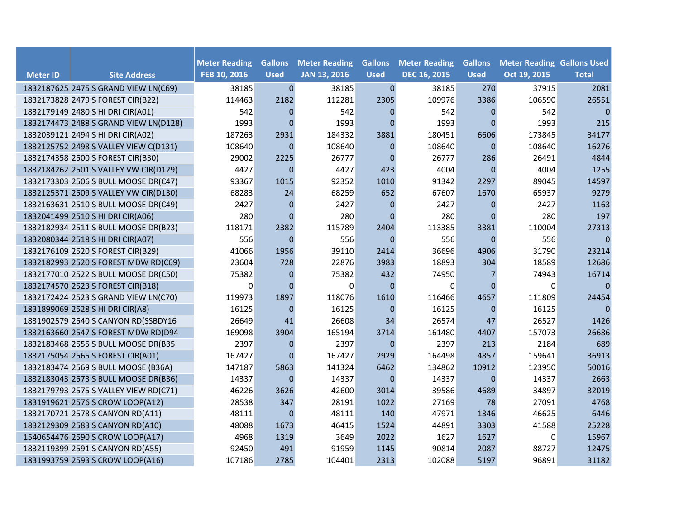|                 |                                       | <b>Meter Reading</b> | <b>Gallons</b>   | <b>Meter Reading</b> | <b>Gallons</b>   | <b>Meter Reading</b> | <b>Gallons</b> | <b>Meter Reading Gallons Used</b> |                |
|-----------------|---------------------------------------|----------------------|------------------|----------------------|------------------|----------------------|----------------|-----------------------------------|----------------|
| <b>Meter ID</b> | <b>Site Address</b>                   | FEB 10, 2016         | <b>Used</b>      | <b>JAN 13, 2016</b>  | <b>Used</b>      | <b>DEC 16, 2015</b>  | <b>Used</b>    | Oct 19, 2015                      | <b>Total</b>   |
|                 | 1832187625 2475 S GRAND VIEW LN(C69)  | 38185                | $\mathbf 0$      | 38185                | $\boldsymbol{0}$ | 38185                | 270            | 37915                             | 2081           |
|                 | 1832173828 2479 S FOREST CIR(B22)     | 114463               | 2182             | 112281               | 2305             | 109976               | 3386           | 106590                            | 26551          |
|                 | 1832179149 2480 S HI DRI CIR(A01)     | 542                  | $\mathbf{0}$     | 542                  | $\mathbf{0}$     | 542                  | $\mathbf{0}$   | 542                               | 0              |
|                 | 1832174473 2488 S GRAND VIEW LN(D128) | 1993                 | $\mathbf{0}$     | 1993                 | $\mathbf 0$      | 1993                 | $\Omega$       | 1993                              | 215            |
|                 | 1832039121 2494 S HI DRI CIR(A02)     | 187263               | 2931             | 184332               | 3881             | 180451               | 6606           | 173845                            | 34177          |
|                 | 1832125752 2498 S VALLEY VIEW C(D131) | 108640               | $\mathbf{0}$     | 108640               | $\Omega$         | 108640               | $\theta$       | 108640                            | 16276          |
|                 | 1832174358 2500 S FOREST CIR(B30)     | 29002                | 2225             | 26777                | $\mathbf{0}$     | 26777                | 286            | 26491                             | 4844           |
|                 | 1832184262 2501 S VALLEY VW CIR(D129) | 4427                 | $\mathbf{0}$     | 4427                 | 423              | 4004                 | $\Omega$       | 4004                              | 1255           |
|                 | 1832173303 2506 S BULL MOOSE DR(C47)  | 93367                | 1015             | 92352                | 1010             | 91342                | 2297           | 89045                             | 14597          |
|                 | 1832125371 2509 S VALLEY VW CIR(D130) | 68283                | 24               | 68259                | 652              | 67607                | 1670           | 65937                             | 9279           |
|                 | 1832163631 2510 S BULL MOOSE DR(C49)  | 2427                 | $\mathbf 0$      | 2427                 | $\mathbf 0$      | 2427                 | $\mathbf 0$    | 2427                              | 1163           |
|                 | 1832041499 2510 S HI DRI CIR(A06)     | 280                  | $\mathbf{0}$     | 280                  | $\mathbf 0$      | 280                  | $\overline{0}$ | 280                               | 197            |
|                 | 1832182934 2511 S BULL MOOSE DR(B23)  | 118171               | 2382             | 115789               | 2404             | 113385               | 3381           | 110004                            | 27313          |
|                 | 1832080344 2518 S HI DRI CIR(A07)     | 556                  | $\mathbf{0}$     | 556                  | $\mathbf{0}$     | 556                  | $\mathbf{0}$   | 556                               | $\overline{0}$ |
|                 | 1832176109 2520 S FOREST CIR(B29)     | 41066                | 1956             | 39110                | 2414             | 36696                | 4906           | 31790                             | 23214          |
|                 | 1832182993 2520 S FOREST MDW RD(C69)  | 23604                | 728              | 22876                | 3983             | 18893                | 304            | 18589                             | 12686          |
|                 | 1832177010 2522 S BULL MOOSE DR(C50)  | 75382                | $\mathbf 0$      | 75382                | 432              | 74950                |                | 74943                             | 16714          |
|                 | 1832174570 2523 S FOREST CIR(B18)     | 0                    | $\mathbf{0}$     | 0                    | $\mathbf{0}$     | $\Omega$             | $\mathbf{0}$   | 0                                 | $\Omega$       |
|                 | 1832172424 2523 S GRAND VIEW LN(C70)  | 119973               | 1897             | 118076               | 1610             | 116466               | 4657           | 111809                            | 24454          |
|                 | 1831899069 2528 S HI DRI CIR(A8)      | 16125                | $\mathbf{0}$     | 16125                | $\mathbf 0$      | 16125                | $\mathbf{0}$   | 16125                             | $\overline{0}$ |
|                 | 1831902579 2540 S CANYON RD(SSBDY16   | 26649                | 41               | 26608                | 34               | 26574                | 47             | 26527                             | 1426           |
|                 | 1832163660 2547 S FOREST MDW RD(D94   | 169098               | 3904             | 165194               | 3714             | 161480               | 4407           | 157073                            | 26686          |
|                 | 1832183468 2555 S BULL MOOSE DR(B35   | 2397                 | $\boldsymbol{0}$ | 2397                 | $\pmb{0}$        | 2397                 | 213            | 2184                              | 689            |
|                 | 1832175054 2565 S FOREST CIR(A01)     | 167427               | $\Omega$         | 167427               | 2929             | 164498               | 4857           | 159641                            | 36913          |
|                 | 1832183474 2569 S BULL MOOSE (B36A)   | 147187               | 5863             | 141324               | 6462             | 134862               | 10912          | 123950                            | 50016          |
|                 | 1832183043 2573 S BULL MOOSE DR(B36)  | 14337                | $\overline{0}$   | 14337                | $\mathbf{0}$     | 14337                | $\mathbf{0}$   | 14337                             | 2663           |
|                 | 1832179793 2575 S VALLEY VIEW RD(C71) | 46226                | 3626             | 42600                | 3014             | 39586                | 4689           | 34897                             | 32019          |
|                 | 1831919621 2576 S CROW LOOP(A12)      | 28538                | 347              | 28191                | 1022             | 27169                | 78             | 27091                             | 4768           |
|                 | 1832170721 2578 S CANYON RD(A11)      | 48111                | $\Omega$         | 48111                | 140              | 47971                | 1346           | 46625                             | 6446           |
|                 | 1832129309 2583 S CANYON RD(A10)      | 48088                | 1673             | 46415                | 1524             | 44891                | 3303           | 41588                             | 25228          |
|                 | 1540654476 2590 S CROW LOOP(A17)      | 4968                 | 1319             | 3649                 | 2022             | 1627                 | 1627           | 0                                 | 15967          |
|                 | 1832119399 2591 S CANYON RD(A55)      | 92450                | 491              | 91959                | 1145             | 90814                | 2087           | 88727                             | 12475          |
|                 | 1831993759 2593 S CROW LOOP(A16)      | 107186               | 2785             | 104401               | 2313             | 102088               | 5197           | 96891                             | 31182          |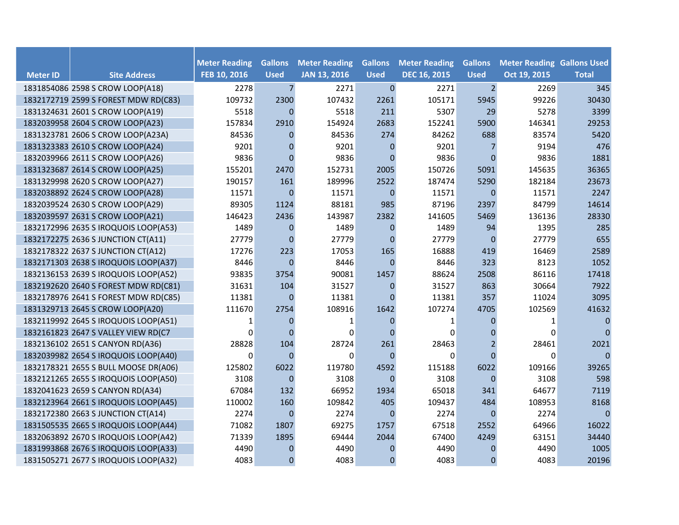|                 |                                      | <b>Meter Reading</b> | <b>Gallons</b>   | <b>Meter Reading</b> | <b>Gallons</b> | <b>Meter Reading</b> | <b>Gallons</b>   | <b>Meter Reading Gallons Used</b> |              |
|-----------------|--------------------------------------|----------------------|------------------|----------------------|----------------|----------------------|------------------|-----------------------------------|--------------|
| <b>Meter ID</b> | <b>Site Address</b>                  | FEB 10, 2016         | <b>Used</b>      | <b>JAN 13, 2016</b>  | <b>Used</b>    | <b>DEC 16, 2015</b>  | <b>Used</b>      | Oct 19, 2015                      | <b>Total</b> |
|                 | 1831854086 2598 S CROW LOOP(A18)     | 2278                 | $\overline{7}$   | 2271                 | $\pmb{0}$      | 2271                 | $2 \overline{ }$ | 2269                              | 345          |
|                 | 1832172719 2599 S FOREST MDW RD(C83) | 109732               | 2300             | 107432               | 2261           | 105171               | 5945             | 99226                             | 30430        |
|                 | 1831324631 2601 S CROW LOOP(A19)     | 5518                 | $\mathbf 0$      | 5518                 | 211            | 5307                 | 29               | 5278                              | 3399         |
|                 | 1832039958 2604 S CROW LOOP(A23)     | 157834               | 2910             | 154924               | 2683           | 152241               | 5900             | 146341                            | 29253        |
|                 | 1831323781 2606 S CROW LOOP(A23A)    | 84536                | $\mathbf{0}$     | 84536                | 274            | 84262                | 688              | 83574                             | 5420         |
|                 | 1831323383 2610 S CROW LOOP(A24)     | 9201                 | $\boldsymbol{0}$ | 9201                 | $\mathbf 0$    | 9201                 |                  | 9194                              | 476          |
|                 | 1832039966 2611 S CROW LOOP(A26)     | 9836                 | $\Omega$         | 9836                 | $\Omega$       | 9836                 | $\Omega$         | 9836                              | 1881         |
|                 | 1831323687 2614 S CROW LOOP(A25)     | 155201               | 2470             | 152731               | 2005           | 150726               | 5091             | 145635                            | 36365        |
|                 | 1831329998 2620 S CROW LOOP(A27)     | 190157               | 161              | 189996               | 2522           | 187474               | 5290             | 182184                            | 23673        |
|                 | 1832038892 2624 S CROW LOOP(A28)     | 11571                | $\boldsymbol{0}$ | 11571                | $\mathbf{0}$   | 11571                | $\Omega$         | 11571                             | 2247         |
|                 | 1832039524 2630 S CROW LOOP(A29)     | 89305                | 1124             | 88181                | 985            | 87196                | 2397             | 84799                             | 14614        |
|                 | 1832039597 2631 S CROW LOOP(A21)     | 146423               | 2436             | 143987               | 2382           | 141605               | 5469             | 136136                            | 28330        |
|                 | 1832172996 2635 S IROQUOIS LOOP(A53) | 1489                 | $\pmb{0}$        | 1489                 | $\pmb{0}$      | 1489                 | 94               | 1395                              | 285          |
|                 | 1832172275 2636 S JUNCTION CT(A11)   | 27779                | $\mathbf{0}$     | 27779                | $\mathbf{0}$   | 27779                | $\mathbf{0}$     | 27779                             | 655          |
|                 | 1832178322 2637 S JUNCTION CT(A12)   | 17276                | 223              | 17053                | 165            | 16888                | 419              | 16469                             | 2589         |
|                 | 1832171303 2638 S IROQUOIS LOOP(A37) | 8446                 | $\mathbf 0$      | 8446                 | $\mathbf 0$    | 8446                 | 323              | 8123                              | 1052         |
|                 | 1832136153 2639 S IROQUOIS LOOP(A52) | 93835                | 3754             | 90081                | 1457           | 88624                | 2508             | 86116                             | 17418        |
|                 | 1832192620 2640 S FOREST MDW RD(C81) | 31631                | 104              | 31527                | $\mathbf 0$    | 31527                | 863              | 30664                             | 7922         |
|                 | 1832178976 2641 S FOREST MDW RD(C85) | 11381                | $\mathbf 0$      | 11381                | $\mathbf{0}$   | 11381                | 357              | 11024                             | 3095         |
|                 | 1831329713 2645 S CROW LOOP(A20)     | 111670               | 2754             | 108916               | 1642           | 107274               | 4705             | 102569                            | 41632        |
|                 | 1832119992 2645 S IROQUOIS LOOP(A51) | 1                    | $\mathbf{0}$     | 1                    | $\mathbf 0$    | 1                    | $\Omega$         | 1                                 | 0            |
|                 | 1832161823 2647 S VALLEY VIEW RD(C7  | $\Omega$             | $\mathbf 0$      | 0                    | $\Omega$       | $\Omega$             | 0                | 0                                 | 0            |
|                 | 1832136102 2651 S CANYON RD(A36)     | 28828                | 104              | 28724                | 261            | 28463                | $\overline{2}$   | 28461                             | 2021         |
|                 | 1832039982 2654 S IROQUOIS LOOP(A40) | $\mathbf 0$          | $\mathbf 0$      | $\Omega$             | $\Omega$       | $\Omega$             | $\Omega$         | $\Omega$                          | 0            |
|                 | 1832178321 2655 S BULL MOOSE DR(A06) | 125802               | 6022             | 119780               | 4592           | 115188               | 6022             | 109166                            | 39265        |
|                 | 1832121265 2655 S IROQUOIS LOOP(A50) | 3108                 | $\boldsymbol{0}$ | 3108                 | $\Omega$       | 3108                 | $\mathbf{0}$     | 3108                              | 598          |
|                 | 1832041623 2659 S CANYON RD(A34)     | 67084                | 132              | 66952                | 1934           | 65018                | 341              | 64677                             | 7119         |
|                 | 1832123964 2661 S IROQUOIS LOOP(A45) | 110002               | 160              | 109842               | 405            | 109437               | 484              | 108953                            | 8168         |
|                 | 1832172380 2663 S JUNCTION CT(A14)   | 2274                 | $\mathbf 0$      | 2274                 | $\mathbf{0}$   | 2274                 | $\mathbf 0$      | 2274                              | 0            |
|                 | 1831505535 2665 S IROQUOIS LOOP(A44) | 71082                | 1807             | 69275                | 1757           | 67518                | 2552             | 64966                             | 16022        |
|                 | 1832063892 2670 S IROQUOIS LOOP(A42) | 71339                | 1895             | 69444                | 2044           | 67400                | 4249             | 63151                             | 34440        |
|                 | 1831993868 2676 S IROQUOIS LOOP(A33) | 4490                 | $\mathbf 0$      | 4490                 | $\mathbf 0$    | 4490                 | 0                | 4490                              | 1005         |
|                 | 1831505271 2677 S IROQUOIS LOOP(A32) | 4083                 | $\mathbf 0$      | 4083                 | $\mathbf{0}$   | 4083                 | $\mathbf{0}$     | 4083                              | 20196        |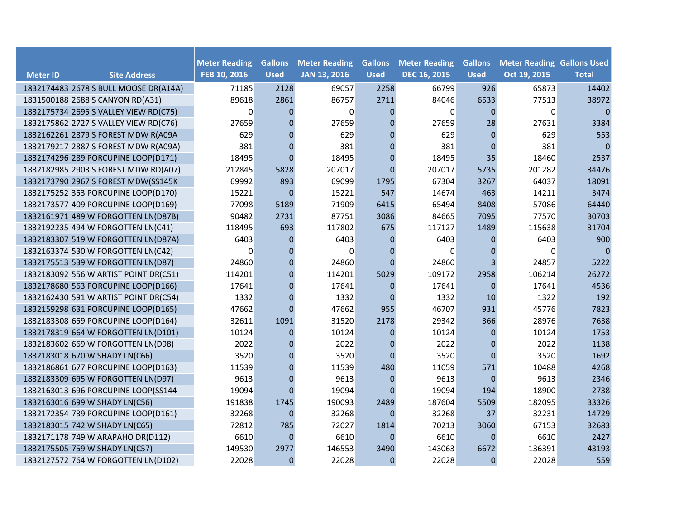|                 |                                       |                                      | <b>Gallons</b> | <b>Meter Reading</b> | <b>Gallons</b> | <b>Meter Reading</b> | <b>Gallons</b> |                                                   |                |
|-----------------|---------------------------------------|--------------------------------------|----------------|----------------------|----------------|----------------------|----------------|---------------------------------------------------|----------------|
| <b>Meter ID</b> | <b>Site Address</b>                   | <b>Meter Reading</b><br>FEB 10, 2016 | <b>Used</b>    | <b>JAN 13, 2016</b>  | <b>Used</b>    | <b>DEC 16, 2015</b>  | <b>Used</b>    | <b>Meter Reading Gallons Used</b><br>Oct 19, 2015 | <b>Total</b>   |
|                 | 1832174483 2678 S BULL MOOSE DR(A14A) | 71185                                | 2128           | 69057                | 2258           | 66799                | 926            | 65873                                             | 14402          |
|                 | 1831500188 2688 S CANYON RD(A31)      | 89618                                | 2861           | 86757                | 2711           | 84046                | 6533           | 77513                                             | 38972          |
|                 | 1832175734 2695 S VALLEY VIEW RD(C75) | $\Omega$                             | $\Omega$       | $\Omega$             | $\Omega$       | $\Omega$             | $\Omega$       | $\Omega$                                          | $\overline{0}$ |
|                 | 1832175862 2727 S VALLEY VIEW RD(C76) | 27659                                | $\Omega$       | 27659                | $\Omega$       | 27659                | 28             | 27631                                             | 3384           |
|                 | 1832162261 2879 S FOREST MDW R(A09A   | 629                                  | $\Omega$       | 629                  | $\theta$       | 629                  | $\Omega$       | 629                                               | 553            |
|                 | 1832179217 2887 S FOREST MDW R(A09A)  | 381                                  | $\mathbf 0$    | 381                  | $\mathbf{0}$   | 381                  | $\Omega$       | 381                                               | $\overline{0}$ |
|                 | 1832174296 289 PORCUPINE LOOP(D171)   | 18495                                | $\Omega$       | 18495                | $\Omega$       | 18495                | 35             | 18460                                             | 2537           |
|                 | 1832182985 2903 S FOREST MDW RD(A07)  | 212845                               | 5828           | 207017               | $\Omega$       | 207017               | 5735           | 201282                                            | 34476          |
|                 | 1832173790 2967 S FOREST MDW(SS145K   | 69992                                | 893            | 69099                | 1795           | 67304                | 3267           | 64037                                             | 18091          |
|                 | 1832175252 353 PORCUPINE LOOP(D170)   | 15221                                | $\mathbf{0}$   | 15221                | 547            | 14674                | 463            | 14211                                             | 3474           |
|                 | 1832173577 409 PORCUPINE LOOP(D169)   | 77098                                | 5189           | 71909                | 6415           | 65494                | 8408           | 57086                                             | 64440          |
|                 | 1832161971 489 W FORGOTTEN LN(D87B)   | 90482                                | 2731           | 87751                | 3086           | 84665                | 7095           | 77570                                             | 30703          |
|                 | 1832192235 494 W FORGOTTEN LN(C41)    | 118495                               | 693            | 117802               | 675            | 117127               | 1489           | 115638                                            | 31704          |
|                 | 1832183307 519 W FORGOTTEN LN(D87A)   | 6403                                 | 0              | 6403                 | $\mathbf{0}$   | 6403                 | 0              | 6403                                              | 900            |
|                 | 1832163374 530 W FORGOTTEN LN(C42)    | $\Omega$                             | $\mathbf{0}$   | $\Omega$             | $\mathbf{0}$   | 0                    | $\mathbf 0$    | 0                                                 | $\overline{0}$ |
|                 | 1832175513 539 W FORGOTTEN LN(D87)    | 24860                                | $\Omega$       | 24860                | $\Omega$       | 24860                | 3              | 24857                                             | 5222           |
|                 | 1832183092 556 W ARTIST POINT DR(C51) | 114201                               | $\Omega$       | 114201               | 5029           | 109172               | 2958           | 106214                                            | 26272          |
|                 | 1832178680 563 PORCUPINE LOOP(D166)   | 17641                                | $\mathbf 0$    | 17641                | $\mathbf{0}$   | 17641                | $\overline{0}$ | 17641                                             | 4536           |
|                 | 1832162430 591 W ARTIST POINT DR(C54) | 1332                                 | $\Omega$       | 1332                 | $\mathbf{0}$   | 1332                 | 10             | 1322                                              | 192            |
|                 | 1832159298 631 PORCUPINE LOOP(D165)   | 47662                                | $\Omega$       | 47662                | 955            | 46707                | 931            | 45776                                             | 7823           |
|                 | 1832183308 659 PORCUPINE LOOP(D164)   | 32611                                | 1091           | 31520                | 2178           | 29342                | 366            | 28976                                             | 7638           |
|                 | 1832178319 664 W FORGOTTEN LN(D101)   | 10124                                | $\Omega$       | 10124                | $\mathbf{0}$   | 10124                | $\mathbf{0}$   | 10124                                             | 1753           |
|                 | 1832183602 669 W FORGOTTEN LN(D98)    | 2022                                 | $\overline{0}$ | 2022                 | $\mathbf{0}$   | 2022                 | $\mathbf 0$    | 2022                                              | 1138           |
|                 | 1832183018 670 W SHADY LN(C66)        | 3520                                 | $\overline{0}$ | 3520                 | $\Omega$       | 3520                 | $\overline{0}$ | 3520                                              | 1692           |
|                 | 1832186861 677 PORCUPINE LOOP(D163)   | 11539                                | $\Omega$       | 11539                | 480            | 11059                | 571            | 10488                                             | 4268           |
|                 | 1832183309 695 W FORGOTTEN LN(D97)    | 9613                                 | $\Omega$       | 9613                 | $\mathbf{0}$   | 9613                 | $\theta$       | 9613                                              | 2346           |
|                 | 1832163013 696 PORCUPINE LOOP(SS144   | 19094                                | $\Omega$       | 19094                | $\Omega$       | 19094                | 194            | 18900                                             | 2738           |
|                 | 1832163016 699 W SHADY LN(C56)        | 191838                               | 1745           | 190093               | 2489           | 187604               | 5509           | 182095                                            | 33326          |
|                 | 1832172354 739 PORCUPINE LOOP(D161)   | 32268                                | $\mathbf 0$    | 32268                | $\mathbf{0}$   | 32268                | 37             | 32231                                             | 14729          |
|                 | 1832183015 742 W SHADY LN(C65)        | 72812                                | 785            | 72027                | 1814           | 70213                | 3060           | 67153                                             | 32683          |
|                 | 1832171178 749 W ARAPAHO DR(D112)     | 6610                                 | $\overline{0}$ | 6610                 | $\mathbf{0}$   | 6610                 | $\mathbf 0$    | 6610                                              | 2427           |
|                 | 1832175505 759 W SHADY LN(C57)        | 149530                               | 2977           | 146553               | 3490           | 143063               | 6672           | 136391                                            | 43193          |
|                 | 1832127572 764 W FORGOTTEN LN(D102)   | 22028                                | $\mathbf 0$    | 22028                | $\mathbf{0}$   | 22028                | $\mathbf 0$    | 22028                                             | 559            |